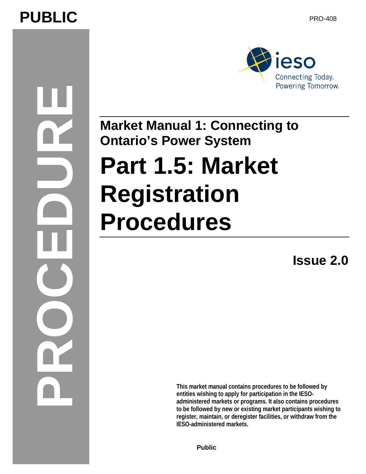# PUBLIC PUBLIC





**Market Manual 1: Connecting to Ontario's Power System** 

# **Part 1.5: Market Registration Procedures**

**Issue 2.0** 

**This market manual contains procedures to be followed by entities wishing to apply for participation in the IESOadministered markets or programs. It also contains procedures to be followed by new or existing market participants wishing to register, maintain, or deregister facilities, or withdraw from the IESO-administered markets.** 

**Public**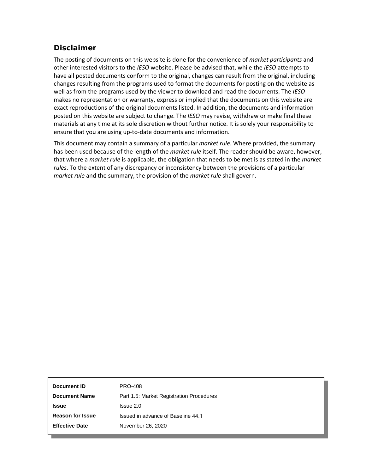# **Disclaimer**

The posting of documents on this website is done for the convenience of *market participants* and other interested visitors to the *IESO* website. Please be advised that, while the *IESO* attempts to have all posted documents conform to the original, changes can result from the original, including changes resulting from the programs used to format the documents for posting on the website as well as from the programs used by the viewer to download and read the documents. The *IESO*  makes no representation or warranty, express or implied that the documents on this website are exact reproductions of the original documents listed. In addition, the documents and information posted on this website are subject to change. The *IESO* may revise, withdraw or make final these materials at any time at its sole discretion without further notice. It is solely your responsibility to ensure that you are using up-to-date documents and information.

This document may contain a summary of a particular *market rule*. Where provided, the summary has been used because of the length of the *market rule* itself. The reader should be aware, however, that where a *market rule* is applicable, the obligation that needs to be met is as stated in the *market rules*. To the extent of any discrepancy or inconsistency between the provisions of a particular *market rule* and the summary, the provision of the *market rule* shall govern.

| Document ID                                                      | <b>PRO-408</b>                     |
|------------------------------------------------------------------|------------------------------------|
| Part 1.5: Market Registration Procedures<br><b>Document Name</b> |                                    |
| <b>Issue</b>                                                     | $l$ ssue $2.0$                     |
| <b>Reason for Issue</b>                                          | Issued in advance of Baseline 44.1 |
| <b>Effective Date</b>                                            | November 26, 2020                  |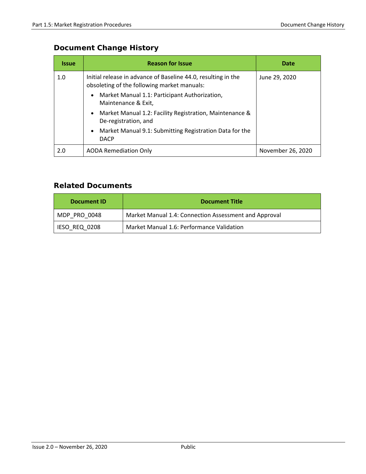# **Document Change History**

| <b>Issue</b> | <b>Reason for Issue</b>                                                                                      | Date              |
|--------------|--------------------------------------------------------------------------------------------------------------|-------------------|
| 1.0          | Initial release in advance of Baseline 44.0, resulting in the<br>obsoleting of the following market manuals: | June 29, 2020     |
|              | Market Manual 1.1: Participant Authorization,<br>$\bullet$<br>Maintenance & Exit,                            |                   |
|              | Market Manual 1.2: Facility Registration, Maintenance &<br>$\bullet$<br>De-registration, and                 |                   |
|              | Market Manual 9.1: Submitting Registration Data for the<br>$\bullet$<br><b>DACP</b>                          |                   |
| 2.0          | <b>AODA Remediation Only</b>                                                                                 | November 26, 2020 |

# **Related Documents**

| Document ID                                                | <b>Document Title</b>                                 |  |
|------------------------------------------------------------|-------------------------------------------------------|--|
| MDP PRO 0048                                               | Market Manual 1.4: Connection Assessment and Approval |  |
| Market Manual 1.6: Performance Validation<br>IESO REQ 0208 |                                                       |  |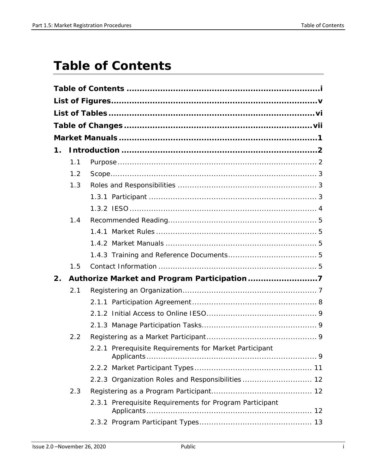# <span id="page-3-0"></span>**Table of Contents**

| $\mathbf 1$ . |     |                                                         |
|---------------|-----|---------------------------------------------------------|
|               | 1.1 |                                                         |
|               | 1.2 |                                                         |
|               | 1.3 |                                                         |
|               |     |                                                         |
|               |     |                                                         |
|               | 1.4 |                                                         |
|               |     |                                                         |
|               |     |                                                         |
|               |     |                                                         |
|               | 1.5 |                                                         |
| 2.            |     |                                                         |
|               | 2.1 |                                                         |
|               |     |                                                         |
|               |     |                                                         |
|               |     |                                                         |
|               | 2.2 |                                                         |
|               |     | 2.2.1 Prerequisite Requirements for Market Participant  |
|               |     |                                                         |
|               |     | 2.2.3 Organization Roles and Responsibilities  12       |
|               | 2.3 |                                                         |
|               |     | 2.3.1 Prerequisite Requirements for Program Participant |
|               |     |                                                         |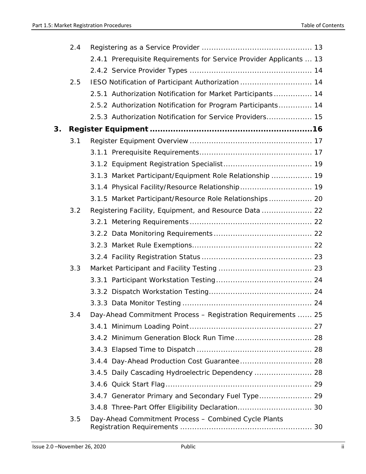|    | 2.4 |                                                                     |
|----|-----|---------------------------------------------------------------------|
|    |     | 2.4.1 Prerequisite Requirements for Service Provider Applicants  13 |
|    |     |                                                                     |
|    | 2.5 | IESO Notification of Participant Authorization  14                  |
|    |     | 2.5.1 Authorization Notification for Market Participants 14         |
|    |     | 2.5.2 Authorization Notification for Program Participants 14        |
|    |     | 2.5.3 Authorization Notification for Service Providers 15           |
| 3. |     |                                                                     |
|    | 3.1 |                                                                     |
|    |     |                                                                     |
|    |     |                                                                     |
|    |     | 3.1.3 Market Participant/Equipment Role Relationship  19            |
|    |     | 3.1.4 Physical Facility/Resource Relationship 19                    |
|    |     | 3.1.5 Market Participant/Resource Role Relationships 20             |
|    | 3.2 | Registering Facility, Equipment, and Resource Data  22              |
|    |     |                                                                     |
|    |     |                                                                     |
|    |     |                                                                     |
|    |     |                                                                     |
|    | 3.3 |                                                                     |
|    |     |                                                                     |
|    |     |                                                                     |
|    |     |                                                                     |
|    | 3.4 | Day-Ahead Commitment Process - Registration Requirements  25        |
|    |     |                                                                     |
|    |     |                                                                     |
|    |     |                                                                     |
|    |     |                                                                     |
|    |     | 3.4.5 Daily Cascading Hydroelectric Dependency  28                  |
|    |     |                                                                     |
|    |     | 3.4.7 Generator Primary and Secondary Fuel Type 29                  |
|    |     |                                                                     |
|    | 3.5 | Day-Ahead Commitment Process - Combined Cycle Plants                |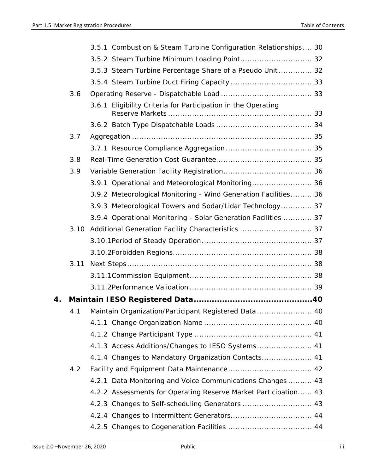|    |      | 3.5.1 Combustion & Steam Turbine Configuration Relationships 30 |  |
|----|------|-----------------------------------------------------------------|--|
|    |      | 3.5.2 Steam Turbine Minimum Loading Point 32                    |  |
|    |      | 3.5.3 Steam Turbine Percentage Share of a Pseudo Unit  32       |  |
|    |      |                                                                 |  |
|    | 3.6  |                                                                 |  |
|    |      | 3.6.1 Eligibility Criteria for Participation in the Operating   |  |
|    |      |                                                                 |  |
|    | 3.7  |                                                                 |  |
|    |      |                                                                 |  |
|    | 3.8  |                                                                 |  |
|    | 3.9  |                                                                 |  |
|    |      | 3.9.1 Operational and Meteorological Monitoring 36              |  |
|    |      | 3.9.2 Meteorological Monitoring - Wind Generation Facilities 36 |  |
|    |      | 3.9.3 Meteorological Towers and Sodar/Lidar Technology 37       |  |
|    |      | 3.9.4 Operational Monitoring - Solar Generation Facilities  37  |  |
|    | 3.10 | Additional Generation Facility Characteristics  37              |  |
|    |      |                                                                 |  |
|    |      |                                                                 |  |
|    | 3.11 |                                                                 |  |
|    |      |                                                                 |  |
|    |      |                                                                 |  |
| 4. |      |                                                                 |  |
|    | 4.1  | Maintain Organization/Participant Registered Data  40           |  |
|    |      |                                                                 |  |
|    |      |                                                                 |  |
|    |      | 4.1.3 Access Additions/Changes to IESO Systems 41               |  |
|    |      |                                                                 |  |
|    | 4.2  |                                                                 |  |
|    |      | 4.2.1 Data Monitoring and Voice Communications Changes  43      |  |
|    |      | 4.2.2 Assessments for Operating Reserve Market Participation 43 |  |
|    |      |                                                                 |  |
|    |      |                                                                 |  |
|    |      |                                                                 |  |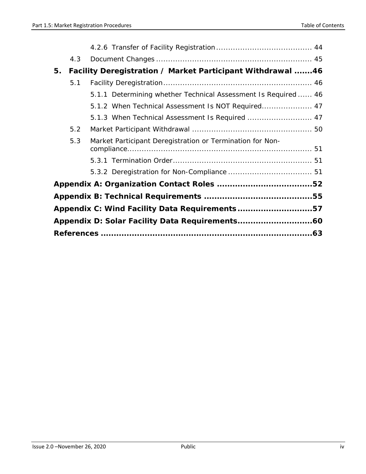| 4.3                                                              |  |
|------------------------------------------------------------------|--|
| Facility Deregistration / Market Participant Withdrawal 46<br>5. |  |
| 5.1                                                              |  |
| 5.1.1 Determining whether Technical Assessment Is Required  46   |  |
| 5.1.2 When Technical Assessment Is NOT Required 47               |  |
| 5.1.3 When Technical Assessment Is Required  47                  |  |
| 5.2                                                              |  |
| Market Participant Deregistration or Termination for Non-<br>5.3 |  |
|                                                                  |  |
|                                                                  |  |
|                                                                  |  |
|                                                                  |  |
| Appendix C: Wind Facility Data Requirements57                    |  |
|                                                                  |  |
|                                                                  |  |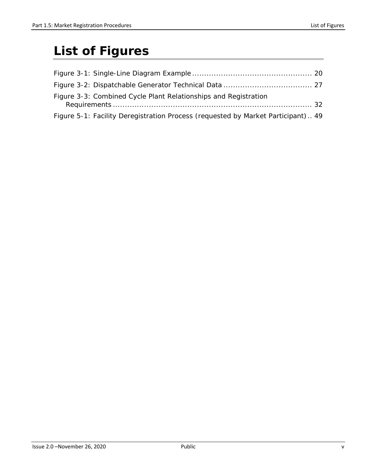# <span id="page-7-0"></span>**List of Figures**

| Figure 3-3: Combined Cycle Plant Relationships and Registration                  |  |
|----------------------------------------------------------------------------------|--|
| Figure 5-1: Facility Deregistration Process (requested by Market Participant) 49 |  |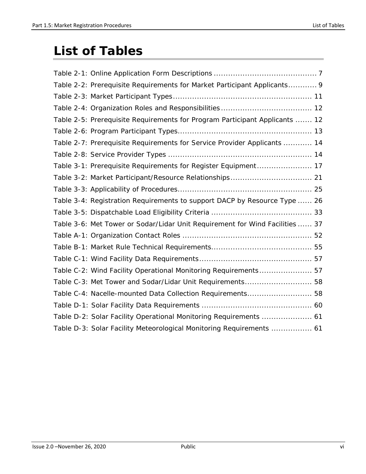# <span id="page-8-0"></span>**List of Tables**

| Table 2-2: Prerequisite Requirements for Market Participant Applicants 9     |
|------------------------------------------------------------------------------|
|                                                                              |
|                                                                              |
| Table 2-5: Prerequisite Requirements for Program Participant Applicants  12  |
|                                                                              |
| Table 2-7: Prerequisite Requirements for Service Provider Applicants  14     |
|                                                                              |
| Table 3-1: Prerequisite Requirements for Register Equipment 17               |
| Table 3-2: Market Participant/Resource Relationships 21                      |
|                                                                              |
| Table 3-4: Registration Requirements to support DACP by Resource Type  26    |
|                                                                              |
| Table 3-6: Met Tower or Sodar/Lidar Unit Requirement for Wind Facilities  37 |
|                                                                              |
|                                                                              |
|                                                                              |
| Table C-2: Wind Facility Operational Monitoring Requirements 57              |
| Table C-3: Met Tower and Sodar/Lidar Unit Requirements 58                    |
| Table C-4: Nacelle-mounted Data Collection Requirements 58                   |
|                                                                              |
| Table D-2: Solar Facility Operational Monitoring Requirements  61            |
| Table D-3: Solar Facility Meteorological Monitoring Requirements  61         |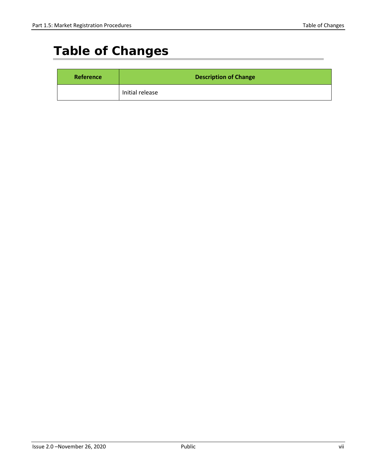# <span id="page-9-0"></span>**Table of Changes**

| Reference | <b>Description of Change</b> |
|-----------|------------------------------|
|           | Initial release              |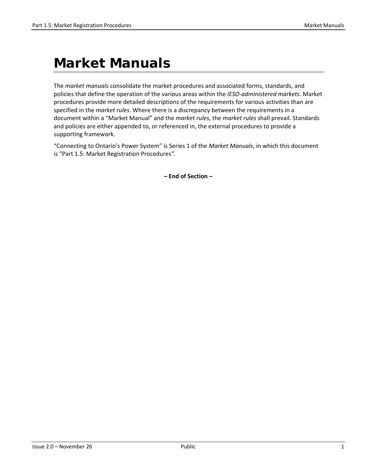# <span id="page-10-0"></span>**Market Manuals**

The *market manuals* consolidate the market procedures and associated forms, standards, and policies that define the operation of the various areas within the *IESO-administered markets*. Market procedures provide more detailed descriptions of the requirements for various activities than are specified in the *market rules*. Where there is a discrepancy between the requirements in a document within a "Market Manual" and the *market rules*, the *market rules* shall prevail. Standards and policies are either appended to, or referenced in, the external procedures to provide a supporting framework.

"Connecting to Ontario's Power System" is Series 1 of the *Market Manuals*, in which this document is "Part 1.5: Market Registration Procedures*".*

**– End of Section –**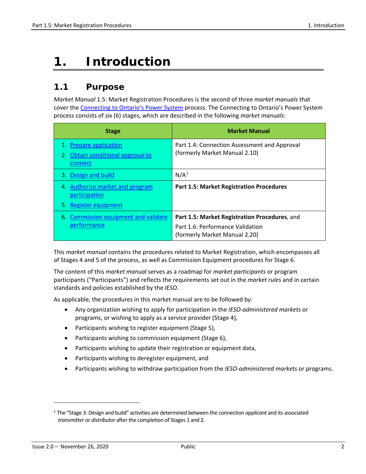# <span id="page-11-0"></span>**1. Introduction**

# <span id="page-11-1"></span>**1.1 Purpose**

*Market Manual* 1.5: Market Registration Procedures is the second of three *market manuals* that cover th[e Connecting to Ontario's Power System](http://www.ieso.ca/Sector-Participants/Connection-Process/Overview) process. The Connecting to Ontario's Power System process consists of six (6) stages, which are described in the following *market manuals*:

| <b>Stage</b>                                                           | <b>Market Manual</b>                                                              |
|------------------------------------------------------------------------|-----------------------------------------------------------------------------------|
| 1. Prepare application<br>2. Obtain conditional approval to<br>connect | Part 1.4: Connection Assessment and Approval<br>(formerly Market Manual 2.10)     |
| 3. Design and build                                                    | N/A <sup>1</sup>                                                                  |
| 4. Authorize market and program<br>participation                       | <b>Part 1.5: Market Registration Procedures</b>                                   |
| 5. Register equipment                                                  |                                                                                   |
| 6. Commission equipment and validate<br>performance                    | Part 1.5: Market Registration Procedures, and<br>Part 1.6: Performance Validation |
|                                                                        | (formerly Market Manual 2.20)                                                     |

This *market manual* contains the procedures related to Market Registration, which encompasses all of Stages 4 and 5 of the process, as well as Commission Equipment procedures for Stage 6.

The content of this *market manual* serves as a roadmap for *market participants* or program participants ("Participants") and reflects the requirements set out in the *market rules* and in certain standards and policies established by the *IESO*.

As applicable, the procedures in this market manual are to be followed by:

- Any organization wishing to apply for participation in the *IESO-administered markets* or programs, or wishing to apply as a service provider (Stage 4),
- Participants wishing to register equipment (Stage 5),
- Participants wishing to commission equipment (Stage 6),
- Participants wishing to update their registration or equipment data,
- Participants wishing to deregister equipment, and
- Participants wishing to withdraw participation from the *IESO-administered markets* or programs.

<span id="page-11-2"></span><sup>1</sup> The "Stage 3: Design and build" activities are determined between the connection *applicant* and its associated *transmitter* or *distributor* after the completion of Stages 1 and 2.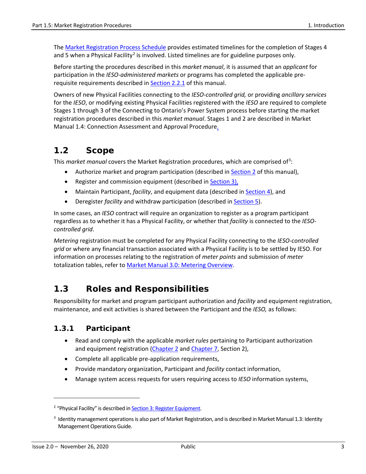The [Market Registration Process Schedule](http://www.ieso.ca/-/media/Files/IESO/Document-Library/registration/facility/Market-Registration-Process-Schedule.pdf?la=en) provides estimated timelines for the completion of Stages 4 and 5 when a Physical Facility<sup>[2](#page-12-3)</sup> is involved. Listed timelines are for guideline purposes only.

Before starting the procedures described in this *market manual*, it is assumed that an *applicant* for participation in the *IESO-administered markets* or programs has completed the applicable prerequisite requirements described in [Section 2.2.1](#page-18-3) of this manual.

Owners of new Physical Facilities connecting to the *IESO-controlled grid,* or providing *ancillary services* for the *IESO*, or modifying existing Physical Facilities registered with the *IESO* are required to complete Stages 1 through 3 of the Connecting to Ontario's Power System process before starting the market registration procedures described in this *market manual*. Stages 1 and 2 are described in Market Manual 1.4: Connection Assessment and Approval Procedure.

# <span id="page-12-0"></span>**1.2 Scope**

This *market manual* covers the Market Registration procedures, which are comprised of<sup>[3](#page-12-4)</sup>:

- Authorize market and program participation (described i[n Section 2](#page-16-0) of this manual),
- Register and commission equipment (described i[n Section 3\)](#page-25-0),
- Maintain Participant, *facility*, and equipment data (described in [Section 4\)](#page-51-0), and
- Deregister *facility* and withdraw participation (described in [Section 5\)](#page-55-0).

In some cases, an *IESO* contract will require an organization to register as a program participant regardless as to whether it has a Physical Facility, or whether that *facility* is connected to the *IESOcontrolled grid*.

*Metering* registration must be completed for any Physical Facility connecting to the *IESO-controlled grid* or where any financial transaction associated with a Physical Facility is to be settled by IESO. For information on processes relating to the registration of *meter points* and submission of *meter* totalization tables, refer to [Market Manual 3.0: Metering Overview.](http://www.ieso.ca/-/media/Files/IESO/Document-Library/Market-Rules-and-Manuals-Library/market-manuals/metering/mtr-Overview.pdf)

# <span id="page-12-1"></span>**1.3 Roles and Responsibilities**

Responsibility for market and program participant authorization and *facility* and equipment registration, maintenance, and exit activities is shared between the Participant and the *IESO,* as follows:

### <span id="page-12-2"></span>**1.3.1 Participant**

- Read and comply with the applicable *market rules* pertaining to Participant authorization and equipment registration [\(Chapter 2](http://www.ieso.ca/-/media/Files/IESO/Document-Library/Market-Rules-and-Manuals-Library/market-rules/mr-chapter2.pdf) and [Chapter 7,](http://www.ieso.ca/-/media/Files/IESO/Document-Library/Market-Rules-and-Manuals-Library/market-rules/mr-chapter7.pdf) Section 2),
- Complete all applicable pre-application requirements,
- Provide mandatory organization, Participant and *facility* contact information,
- Manage system access requests for users requiring access to *IESO* information systems,

<span id="page-12-3"></span><sup>&</sup>lt;sup>2</sup> "Physical Facility" is described in **Section 3: Register Equipment**.

<span id="page-12-4"></span> $3$  Identity management operations is also part of Market Registration, and is described in Market Manual 1.3: Identity Management Operations Guide.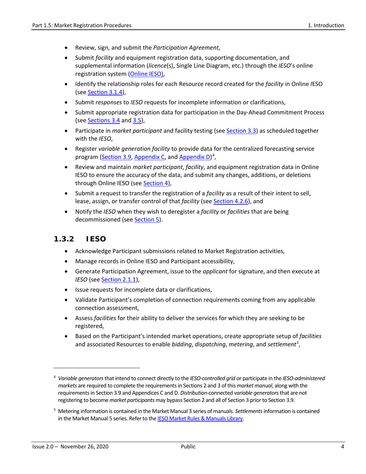- Review, sign, and submit the *Participation Agreement*,
- Submit *facility* and equipment registration data, supporting documentation, and supplemental information (*licence*(s), Single Line Diagram, etc.) through the *IESO*'s online registration system [\(Online IESO\)](https://online.ieso.ca/suite/tempo/news/all),
- Identify the relationship roles for each Resource record created for the *facility* in Online *I*ESO (see [Section 3.1.4\)](#page-28-2),
- Submit *responses* to *IESO* requests for incomplete information or clarifications,
- Submit appropriate registration data for participation in the Day-Ahead Commitment Process (see [Sections 3.4](#page-34-0) an[d 3.5\)](#page-39-1),
- Participate in *market participant* and facility testing (see [Section 3.3\)](#page-32-1) as scheduled together with the *IESO*,
- Register *variable generation facility* to provide data for the centralized forecasting service program [\(Section 3.9,](#page-45-0) [Appendix C,](#page-66-0) and [Appendix D\)](#page-69-0)<sup>[4](#page-13-1)</sup>,
- Review and maintain *market participant*, *facility*, and equipment registration data in Online IESO to ensure the accuracy of the data, and submit any changes, additions, or deletions through Online IESO (see [Section 4\)](#page-49-0),
- Submit a request to transfer the registration of a *facility* as a result of their intent to sell, lease, assign, or transfer control of that *facility* (see [Section 4.2.6\)](#page-53-2), and
- Notify the *IESO* when they wish to deregister a *facility* or *facilities* that are being decommissioned (see [Section 5\)](#page-55-0).

#### <span id="page-13-0"></span>**1.3.2 IESO**

- Acknowledge Participant submissions related to Market Registration activities,
- Manage records in Online IESO and Participant accessibility,
- Generate Participation Agreement, issue to the *applicant* for signature, and then execute at *IESO* (see [Section 2.1.1\)](#page-17-0),
- Issue requests for incomplete data or clarifications,
- Validate Participant's completion of connection requirements coming from any applicable connection assessment,
- Assess *facilities* for their ability to deliver the services for which they are seeking to be registered,
- Based on the Participant's intended market operations, create appropriate setup of *facilities* and associated Resource*s* to enable *bidding*, *dispatching*, *metering*, and *settlement[5](#page-13-2)* ,

<span id="page-13-1"></span><sup>4</sup> *Variable generators* that intend to connect directly to the *IESO-controlled grid* or participate in the *IESO-administered markets* are required to complete the requirements in Sections 2 and 3 of this *market manual*, along with the requirements in Section 3.9 and Appendices C and D. *Distribution*-connected *variable generators*that are not registering to become *market participants* may bypass Section 2 and all of Section 3 prior to Section 3.9.

<span id="page-13-2"></span><sup>5</sup> Metering information is contained in the Market Manual 3 series of manuals. *Settlements*information is contained in the Market Manual 5 series. Refer to th[e IESO Market Rules & Manuals Library.](http://www.ieso.ca/Sector%20Participants/Market%20Operations/Market%20Rules%20And%20Manuals%20Library)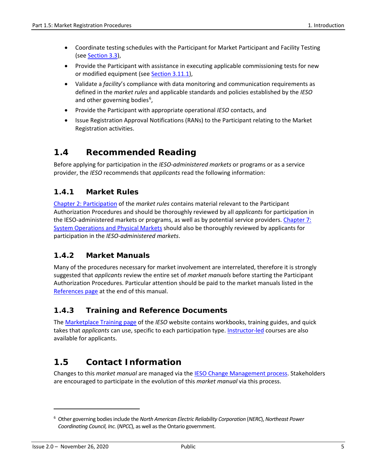- Coordinate testing schedules with the Participant for Market Participant and Facility Testing (see [Section 3.3\)](#page-32-1),
- Provide the Participant with assistance in executing applicable commissioning tests for new or modified equipment (see [Section 3.11.1\)](#page-47-2),
- Validate a *facility*'s compliance with data monitoring and communication requirements as defined in the *market rules* and applicable standards and policies established by the *IESO* and other governing bodies<sup>[6](#page-14-5)</sup>,
- Provide the Participant with appropriate operational *IESO* contacts, and
- Issue Registration Approval Notifications (RANs) to the Participant relating to the Market Registration activities.

# <span id="page-14-0"></span>**1.4 Recommended Reading**

Before applying for participation in the *IESO-administered markets* or programs or as a service provider, the *IESO* recommends that *applicants* read the following information:

# <span id="page-14-1"></span>**1.4.1 Market Rules**

[Chapter 2: Participation](http://www.ieso.ca/-/media/Files/IESO/Document-Library/Market-Rules-and-Manuals-Library/market-rules/mr-chapter2.pdf) of the *market rules* contains material relevant to the Participant Authorization Procedures and should be thoroughly reviewed by all *applicants* for participation in the IESO-administered markets or programs, as well as by potential service providers. Chapter 7: [System Operations and Physical Markets](http://www.ieso.ca/-/media/Files/IESO/Document-Library/Market-Rules-and-Manuals-Library/market-rules/mr-chapter7.pdf) should also be thoroughly reviewed by applicants for participation in the *IESO-administered markets*.

# <span id="page-14-2"></span>**1.4.2 Market Manuals**

Many of the procedures necessary for market involvement are interrelated, therefore it is strongly suggested that *applicants* review the entire set of *market manuals* before starting the Participant Authorization Procedures. Particular attention should be paid to the market manuals listed in the [References page](#page-72-0) at the end of this manual.

# <span id="page-14-3"></span>**1.4.3 Training and Reference Documents**

The [Marketplace Training page](http://www.ieso.ca/Sector-Participants/Market-Operations/Marketplace-Training/Training-Materials) of the *IESO* website contains workbooks, training guides, and quick takes that *applicants* can use, specific to each participation type[. Instructor-led](http://www.ieso.ca/Sector-Participants/Market-Operations/Marketplace-Training/Instructor-Led-Courses) courses are also available for applicants.

# <span id="page-14-4"></span>**1.5 Contact Information**

Changes to this *market manual* are managed via the IESO [Change Management process.](http://www.ieso.ca/sector-participants/change-management/overview) Stakeholders are encouraged to participate in the evolution of this *market manual* via this process.

<span id="page-14-5"></span><sup>6</sup> Other governing bodies include the *North American Electric Reliability Corporation* (*NERC*), *Northeast Power Coordinating Council, Inc.* (*NPCC*), as well as the Ontario government.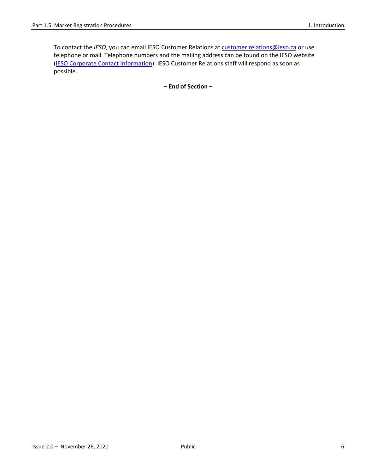To contact the IESO, you can email IESO Customer Relations at **customer.relations@ieso.ca** or use telephone or mail. Telephone numbers and the mailing address can be found on the IESO website [\(IESO Corporate Contact Information\)](http://www.ieso.ca/corporate-ieso/contact). IESO Customer Relations staff will respond as soon as possible.

**– End of Section –**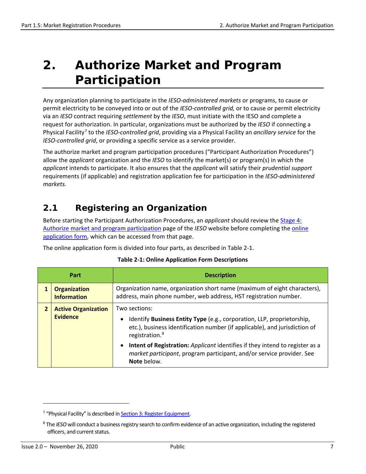# <span id="page-16-0"></span>**2. Authorize Market and Program Participation**

Any organization planning to participate in the *IESO-administered markets* or programs, to cause or permit electricity to be conveyed into or out of the *IESO-controlled grid,* or to cause or permit electricity via an *IESO* contract requiring *settlement* by the *IESO*, must initiate with the IESO and complete a request for authorization. In particular, organizations must be authorized by the *IESO* if connecting a Physical Facility[7](#page-16-3) to the *IESO-controlled grid*, providing via a Physical Facility an *ancillary service* for the *IESO-controlled grid*, or providing a specific service as a service provider.

The authorize market and program participation procedures ("Participant Authorization Procedures") allow the *applicant* organization and the *IESO* to identify the market(s) or program(s) in which the *applicant* intends to participate. It also ensures that the *applicant* will satisfy their *prudential support* requirements (if applicable) and registration application fee for participation in the *IESO-administered markets.* 

# <span id="page-16-1"></span>**2.1 Registering an Organization**

Before starting the Participant Authorization Procedures, an *applicant* should review the [Stage 4:](http://www.ieso.ca/en/Sector-Participants/Connection-Process/Authorize-Market-and-Program-Participation)  [Authorize market and program participation](http://www.ieso.ca/en/Sector-Participants/Connection-Process/Authorize-Market-and-Program-Participation) page of the *IESO* website before completing the [online](http://www.ieso.ca/Sector-Participants/Connection-Process/Register-an-Organization)  [application form,](http://www.ieso.ca/Sector-Participants/Connection-Process/Register-an-Organization) which can be accessed from that page.

<span id="page-16-2"></span>The online application form is divided into four parts, as described in Table 2-1.

| <b>Description</b><br>Part |                                           |                                                                                                                                                                                                                  |
|----------------------------|-------------------------------------------|------------------------------------------------------------------------------------------------------------------------------------------------------------------------------------------------------------------|
|                            | <b>Organization</b><br><b>Information</b> | Organization name, organization short name (maximum of eight characters),<br>address, main phone number, web address, HST registration number.                                                                   |
| 2                          | <b>Active Organization</b><br>Evidence    | Two sections:<br>Identify Business Entity Type (e.g., corporation, LLP, proprietorship,<br>$\bullet$<br>etc.), business identification number (if applicable), and jurisdiction of<br>registration. <sup>8</sup> |
|                            |                                           | Intent of Registration: Applicant identifies if they intend to register as a<br>$\bullet$<br>market participant, program participant, and/or service provider. See<br>Note below.                                |

#### **Table 2-1: Online Application Form Descriptions**

<span id="page-16-3"></span><sup>&</sup>lt;sup>7</sup> "Physical Facility" is described i[n Section 3: Register Equipment.](#page-25-1)

<span id="page-16-4"></span><sup>8</sup> The *IESO* will conduct a business registry search to confirm evidence of an active organization, including the registered officers, and current status.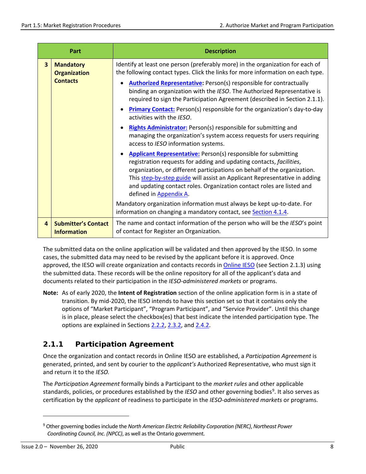| Part                    |                                                            | <b>Description</b>                                                                                                                                                                                                                                                                                                                                                                                                                                                                                                                                                                                                                                                                                                      |
|-------------------------|------------------------------------------------------------|-------------------------------------------------------------------------------------------------------------------------------------------------------------------------------------------------------------------------------------------------------------------------------------------------------------------------------------------------------------------------------------------------------------------------------------------------------------------------------------------------------------------------------------------------------------------------------------------------------------------------------------------------------------------------------------------------------------------------|
| $\overline{\mathbf{3}}$ | <b>Mandatory</b><br><b>Organization</b><br><b>Contacts</b> | Identify at least one person (preferably more) in the organization for each of<br>the following contact types. Click the links for more information on each type.<br><b>Authorized Representative:</b> Person(s) responsible for contractually<br>binding an organization with the IESO. The Authorized Representative is<br>required to sign the Participation Agreement (described in Section 2.1.1).<br><b>Primary Contact:</b> Person(s) responsible for the organization's day-to-day<br>activities with the IESO.<br>Rights Administrator: Person(s) responsible for submitting and<br>$\bullet$<br>managing the organization's system access requests for users requiring<br>access to IESO information systems. |
|                         |                                                            | <b>Applicant Representative:</b> Person(s) responsible for submitting<br>registration requests for adding and updating contacts, facilities,<br>organization, or different participations on behalf of the organization.<br>This step-by-step guide will assist an Applicant Representative in adding<br>and updating contact roles. Organization contact roles are listed and<br>defined in Appendix A.<br>Mandatory organization information must always be kept up-to-date. For<br>information on changing a mandatory contact, see Section 4.1.4.                                                                                                                                                                   |
| 4                       | <b>Submitter's Contact</b><br><b>Information</b>           | The name and contact information of the person who will be the IESO's point<br>of contact for Register an Organization.                                                                                                                                                                                                                                                                                                                                                                                                                                                                                                                                                                                                 |

The submitted data on the online application will be validated and then approved by the IESO. In some cases, the submitted data may need to be revised by the applicant before it is approved. Once approved, the IESO will create organization and contacts records in [Online IESO](https://online.ieso.ca/suite/) (see Section 2.1.3) using the submitted data. These records will be the online repository for all of the applicant's data and documents related to their participation in the *IESO-administered markets* or programs.

**Note:** As of early 2020, the **Intent of Registration** section of the online application form is in a state of transition. By mid-2020, the IESO intends to have this section set so that it contains only the options of "Market Participant", "Program Participant", and "Service Provider". Until this change is in place, please select the checkbox(es) that best indicate the intended participation type. The options are explained in Sections [2.2.2,](#page-20-0) [2.3.2,](#page-22-0) an[d 2.4.2.](#page-23-0)

### <span id="page-17-0"></span>**2.1.1 Participation Agreement**

Once the organization and contact records in Online IESO are established, a *Participation Agreement* is generated, printed, and sent by courier to the *applicant's* Authorized Representative, who must sign it and return it to the *IESO.*

The *Participation Agreement* formally binds a Participant to the *market rules* and other applicable standards, policies, or procedures established by the *IESO* and other governing bodies<sup>[9](#page-17-1)</sup>. It also serves as certification by the *applicant* of readiness to participate in the *IESO-administered markets* or programs.

<span id="page-17-1"></span><sup>9</sup> Other governing bodies include the *North American Electric Reliability Corporation (NERC)*, *Northeast Power Coordinating Council, Inc. (NPCC)*, as well as the Ontario government.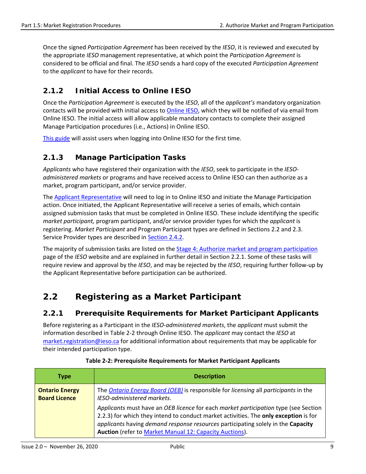Once the signed *Participation Agreement* has been received by the *IESO*, it is reviewed and executed by the appropriate *IESO* management representative, at which point the *Participation Agreement* is considered to be official and final. The *IESO* sends a hard copy of the executed *Participation Agreement* to the *applicant* to have for their records.

# <span id="page-18-0"></span>**2.1.2 Initial Access to Online IESO**

Once the *Participation Agreement* is executed by the *IESO*, all of the *applicant's* mandatory organization contacts will be provided with initial access to [Online IESO,](https://online.ieso.ca/suite/) which they will be notified of via email from Online IESO. The initial access will allow applicable mandatory contacts to complete their assigned Manage Participation procedures (i.e., Actions) in Online IESO.

[This guide](http://www.ieso.ca/-/media/Files/IESO/Document-Library/registration/online-ieso/logging-in.pdf) will assist users when logging into Online IESO for the first time.

#### <span id="page-18-1"></span>**2.1.3 Manage Participation Tasks**

*Applicants* who have registered their organization with the *IESO*, seek to participate in the *IESOadministered markets* or programs and have received access to Online IESO can then authorize as a market, program participant, and/or service provider.

The [Applicant Representative](http://www.ieso.ca/-/media/Files/IESO/Document-Library/registration/online-ieso/Applicant_Representative.pdf?la=en) will need to log in to Online IESO and initiate the Manage Participation action. Once initiated, the Applicant Representative will receive a series of emails, which contain assigned submission tasks that must be completed in Online IESO. These include identifying the specific *market participant,* program participant, and/or service provider types for which the *applicant* is registering. *Market Participant* and Program Participant types are defined in Sections 2.2 and 2.3. Service Provider types are described in [Section 2.4.2.](#page-23-0)

The majority of submission tasks are listed on the **Stage 4: Authorize market and program participation** page of the *IESO* website and are explained in further detail in Section 2.2.1. Some of these tasks will require review and approval by the *IESO*, and may be rejected by the *IESO*, requiring further follow-up by the Applicant Representative before participation can be authorized.

# <span id="page-18-2"></span>**2.2 Registering as a Market Participant**

#### <span id="page-18-3"></span>**2.2.1 Prerequisite Requirements for Market Participant Applicants**

Before registering as a Participant in the *IESO-administered markets*, the *applicant* must submit the information described in Table 2-2 through Online IESO. The *applicant* may contact the *IESO* at [market.registration@ieso.ca](mailto:market.registration@ieso.ca) for additional information about requirements that may be applicable for their intended participation type.

<span id="page-18-4"></span>

| <b>Type</b>                                   | <b>Description</b>                                                                                                                                                                                                                                                                                                                |
|-----------------------------------------------|-----------------------------------------------------------------------------------------------------------------------------------------------------------------------------------------------------------------------------------------------------------------------------------------------------------------------------------|
| <b>Ontario Energy</b><br><b>Board Licence</b> | The <i>Ontario Energy Board (OEB)</i> is responsible for <i>licensing</i> all <i>participants</i> in the<br>IESO-administered markets.                                                                                                                                                                                            |
|                                               | Applicants must have an OEB licence for each market participation type (see Section<br>2.2.3) for which they intend to conduct market activities. The only exception is for<br>applicants having demand response resources participating solely in the Capacity<br><b>Auction</b> (refer to Market Manual 12: Capacity Auctions). |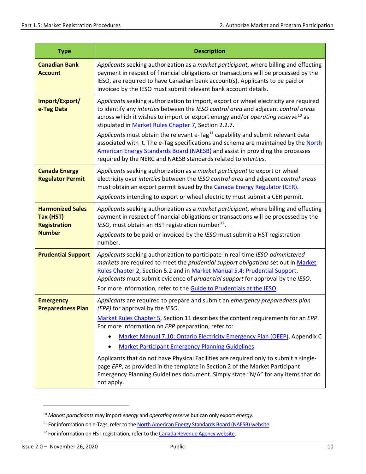| <b>Type</b>                                                                  | <b>Description</b>                                                                                                                                                                                                                                                                                                                                                                                                                                                                                                                                                                                                                                                            |
|------------------------------------------------------------------------------|-------------------------------------------------------------------------------------------------------------------------------------------------------------------------------------------------------------------------------------------------------------------------------------------------------------------------------------------------------------------------------------------------------------------------------------------------------------------------------------------------------------------------------------------------------------------------------------------------------------------------------------------------------------------------------|
| <b>Canadian Bank</b><br><b>Account</b>                                       | Applicants seeking authorization as a market participant, where billing and effecting<br>payment in respect of financial obligations or transactions will be processed by the<br>IESO, are required to have Canadian bank account(s). Applicants to be paid or<br>invoiced by the IESO must submit relevant bank account details.                                                                                                                                                                                                                                                                                                                                             |
| Import/Export/<br>e-Tag Data                                                 | Applicants seeking authorization to import, export or wheel electricity are required<br>to identify any interties between the IESO control area and adjacent control areas<br>across which it wishes to import or export energy and/or operating reserve <sup>10</sup> as<br>stipulated in Market Rules Chapter 7, Section 2.2.7.<br>Applicants must obtain the relevant e-Tag <sup>11</sup> capability and submit relevant data<br>associated with it. The e-Tag specifications and schema are maintained by the North<br>American Energy Standards Board (NAESB) and assist in providing the processes<br>required by the NERC and NAESB standards related to interties.    |
| <b>Canada Energy</b><br><b>Regulator Permit</b>                              | Applicants seeking authorization as a market participant to export or wheel<br>electricity over interties between the IESO control area and adjacent control areas<br>must obtain an export permit issued by the Canada Energy Regulator (CER).<br>Applicants intending to export or wheel electricity must submit a CER permit.                                                                                                                                                                                                                                                                                                                                              |
| <b>Harmonized Sales</b><br>Tax (HST)<br><b>Registration</b><br><b>Number</b> | Applicants seeking authorization as a market participant, where billing and effecting<br>payment in respect of financial obligations or transactions will be processed by the<br>IESO, must obtain an HST registration number <sup>12</sup> .<br>Applicants to be paid or invoiced by the IESO must submit a HST registration<br>number.                                                                                                                                                                                                                                                                                                                                      |
| <b>Prudential Support</b>                                                    | Applicants seeking authorization to participate in real-time IESO-administered<br>markets are required to meet the prudential support obligations set out in Market<br>Rules Chapter 2, Section 5.2 and in Market Manual 5.4: Prudential Support.<br>Applicants must submit evidence of prudential support for approval by the IESO.<br>For more information, refer to the Guide to Prudentials at the IESO.                                                                                                                                                                                                                                                                  |
| <b>Emergency</b><br><b>Preparedness Plan</b>                                 | Applicants are required to prepare and submit an emergency preparedness plan<br>(EPP) for approval by the IESO.<br>Market Rules Chapter 5, Section 11 describes the content requirements for an EPP.<br>For more information on EPP preparation, refer to:<br>Market Manual 7.10: Ontario Electricity Emergency Plan (OEEP), Appendix C<br><b>Market Participant Emergency Planning Guidelines</b><br>Applicants that do not have Physical Facilities are required only to submit a single-<br>page EPP, as provided in the template in Section 2 of the Market Participant<br>Emergency Planning Guidelines document. Simply state "N/A" for any items that do<br>not apply. |

<span id="page-19-0"></span><sup>10</sup> *Market participants* may import *energy* and *operating reserve* but can only export *energy*.

<span id="page-19-1"></span><sup>&</sup>lt;sup>11</sup> For information on e-Tags, refer to th[e North American Energy Standards Board \(NAESB\) website.](https://www.naesb.org/default.asp)

<span id="page-19-2"></span><sup>&</sup>lt;sup>12</sup> For information on HST registration, refer to the **Canada Revenue Agency website**.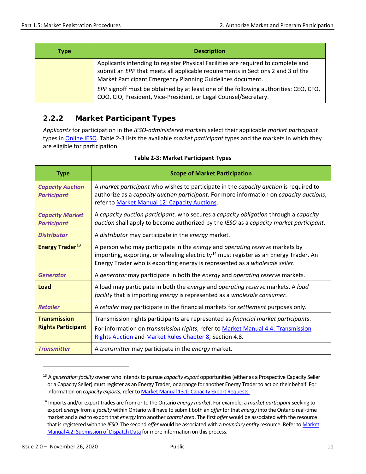| Type | <b>Description</b>                                                                                                                                                                                                                 |
|------|------------------------------------------------------------------------------------------------------------------------------------------------------------------------------------------------------------------------------------|
|      | Applicants intending to register Physical Facilities are required to complete and<br>submit an EPP that meets all applicable requirements in Sections 2 and 3 of the<br>Market Participant Emergency Planning Guidelines document. |
|      | EPP signoff must be obtained by at least one of the following authorities: CEO, CFO,<br>COO, CIO, President, Vice-President, or Legal Counsel/Secretary.                                                                           |

# <span id="page-20-0"></span>**2.2.2 Market Participant Types**

*Applicants* for participation in the *IESO-administered markets* select their applicable *market participant* types in [Online IESO.](https://online.ieso.ca/suite/) Table 2-3 lists the available *market participant* types and the markets in which they are eligible for participation.

<span id="page-20-1"></span>

| <b>Type</b>                                      | <b>Scope of Market Participation</b>                                                                                                                                                                                                                            |
|--------------------------------------------------|-----------------------------------------------------------------------------------------------------------------------------------------------------------------------------------------------------------------------------------------------------------------|
| <b>Capacity Auction</b><br><b>Participant</b>    | A market participant who wishes to participate in the capacity auction is required to<br>authorize as a capacity auction participant. For more information on capacity auctions,<br>refer to Market Manual 12: Capacity Auctions.                               |
| <b>Capacity Market</b><br><b>Participant</b>     | A capacity auction participant, who secures a capacity obligation through a capacity<br>auction shall apply to become authorized by the IESO as a capacity market participant.                                                                                  |
| <b>Distributor</b>                               | A distributor may participate in the energy market.                                                                                                                                                                                                             |
| <b>Energy Trader<sup>13</sup></b>                | A person who may participate in the energy and operating reserve markets by<br>importing, exporting, or wheeling electricity <sup>14</sup> must register as an Energy Trader. An<br>Energy Trader who is exporting energy is represented as a wholesale seller. |
| <b>Generator</b>                                 | A generator may participate in both the energy and operating reserve markets.                                                                                                                                                                                   |
| Load                                             | A load may participate in both the energy and operating reserve markets. A load<br>facility that is importing energy is represented as a wholesale consumer.                                                                                                    |
| <b>Retailer</b>                                  | A retailer may participate in the financial markets for settlement purposes only.                                                                                                                                                                               |
| <b>Transmission</b><br><b>Rights Participant</b> | Transmission rights participants are represented as financial market participants.<br>For information on <i>transmission rights</i> , refer to Market Manual 4.4: Transmission<br>Rights Auction and Market Rules Chapter 8, Section 4.8.                       |
| <b>Transmitter</b>                               | A transmitter may participate in the energy market.                                                                                                                                                                                                             |

#### **Table 2-3: Market Participant Types**

<span id="page-20-2"></span><sup>13</sup> A *generation facility* owner who intends to pursue *capacity export* opportunities (either as a Prospective Capacity Seller or a Capacity Seller) must register as an Energy Trader, or arrange for another Energy Trader to act on their behalf. For information on *capacity exports*, refer t[o Market Manual 13.1: Capacity Export Requests.](http://www.ieso.ca/-/media/Files/IESO/Document-Library/Market-Rules-and-Manuals-Library/market-manuals/capacity-export/CapacityExportRequests.pdf)

<span id="page-20-3"></span><sup>14</sup> Imports and/or export trades are from or to the Ontario *energy market*. For example, a *market participant* seeking to export *energy* from a *facility* within Ontario will have to submit both an *offer* for that *energy* into the Ontario real-time market and a *bid* to export that *energy* into another *control area*. The first *offer* would be associated with the resource that is registered with the *IESO*. The second *offer* would be associated with a *boundary entity* resource. Refer t[o Market](http://www.ieso.ca/-/media/Files/IESO/Document-Library/Market-Rules-and-Manuals-Library/market-manuals/market-operations/mo-dispatchdatartm.pdf)  [Manual 4.2: Submission of Dispatch Data](http://www.ieso.ca/-/media/Files/IESO/Document-Library/Market-Rules-and-Manuals-Library/market-manuals/market-operations/mo-dispatchdatartm.pdf) for more information on this process.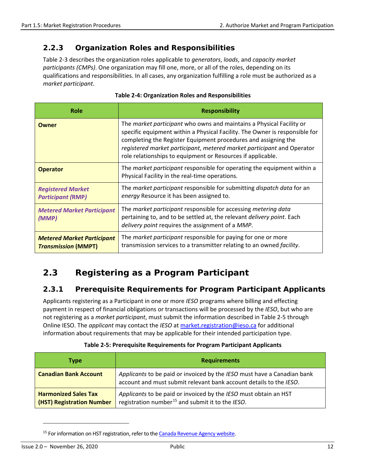#### <span id="page-21-0"></span>**2.2.3 Organization Roles and Responsibilities**

Table 2-3 describes the organization roles applicable to *generators*, *loads*, and *capacity market participants (CMPs)*. One organization may fill one, more, or all of the roles, depending on its qualifications and responsibilities. In all cases, any organization fulfilling a role must be authorized as a *market participant*.

<span id="page-21-3"></span>

| Role                                                            | <b>Responsibility</b>                                                                                                                                                                                                                                                                                                                                                 |
|-----------------------------------------------------------------|-----------------------------------------------------------------------------------------------------------------------------------------------------------------------------------------------------------------------------------------------------------------------------------------------------------------------------------------------------------------------|
| <b>Owner</b>                                                    | The <i>market participant</i> who owns and maintains a Physical Facility or<br>specific equipment within a Physical Facility. The Owner is responsible for<br>completing the Register Equipment procedures and assigning the<br>registered market participant, metered market participant and Operator<br>role relationships to equipment or Resources if applicable. |
| <b>Operator</b>                                                 | The <i>market participant</i> responsible for operating the equipment within a<br>Physical Facility in the real-time operations.                                                                                                                                                                                                                                      |
| <b>Registered Market</b><br><b>Participant (RMP)</b>            | The market participant responsible for submitting dispatch data for an<br>energy Resource it has been assigned to.                                                                                                                                                                                                                                                    |
| <b>Metered Market Participant</b><br>(MMP)                      | The market participant responsible for accessing metering data<br>pertaining to, and to be settled at, the relevant delivery point. Each<br>delivery point requires the assignment of a MMP.                                                                                                                                                                          |
| <b>Metered Market Participant</b><br><b>Transmission (MMPT)</b> | The market participant responsible for paying for one or more<br>transmission services to a transmitter relating to an owned facility.                                                                                                                                                                                                                                |

#### **Table 2-4: Organization Roles and Responsibilities**

# <span id="page-21-1"></span>**2.3 Registering as a Program Participant**

#### <span id="page-21-2"></span>**2.3.1 Prerequisite Requirements for Program Participant Applicants**

Applicants registering as a Participant in one or more *IESO* programs where billing and effecting payment in respect of financial obligations or transactions will be processed by the *IESO*, but who are not registering as a *market participant*, must submit the information described in Table 2-5 through Online IESO. The *applicant* may contact the *IESO* at [market.registration@ieso.ca](mailto:market.registration@ieso.ca) for additional information about requirements that may be applicable for their intended participation type.

<span id="page-21-4"></span>

| <b>Type</b>                                              | <b>Requirements</b>                                                                                                                           |
|----------------------------------------------------------|-----------------------------------------------------------------------------------------------------------------------------------------------|
| <b>Canadian Bank Account</b>                             | Applicants to be paid or invoiced by the IESO must have a Canadian bank<br>account and must submit relevant bank account details to the IESO. |
| <b>Harmonized Sales Tax</b><br>(HST) Registration Number | Applicants to be paid or invoiced by the IESO must obtain an HST<br>registration number <sup>15</sup> and submit it to the <i>IESO</i> .      |

#### **Table 2-5: Prerequisite Requirements for Program Participant Applicants**

<span id="page-21-5"></span><sup>&</sup>lt;sup>15</sup> For information on HST registration, refer to the Canada Revenue Agency website.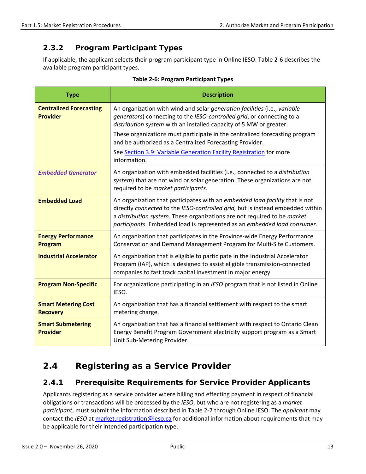# <span id="page-22-0"></span>**2.3.2 Program Participant Types**

If applicable, the applicant selects their program participant type in Online IESO. Table 2-6 describes the available program participant types.

<span id="page-22-3"></span>

| <b>Type</b>                                       | <b>Description</b>                                                                                                                                                                                                                                                                                                     |
|---------------------------------------------------|------------------------------------------------------------------------------------------------------------------------------------------------------------------------------------------------------------------------------------------------------------------------------------------------------------------------|
| <b>Centralized Forecasting</b><br><b>Provider</b> | An organization with wind and solar generation facilities (i.e., variable<br>generators) connecting to the IESO-controlled grid, or connecting to a<br>distribution system with an installed capacity of 5 MW or greater.                                                                                              |
|                                                   | These organizations must participate in the centralized forecasting program<br>and be authorized as a Centralized Forecasting Provider.                                                                                                                                                                                |
|                                                   | See Section 3.9: Variable Generation Facility Registration for more<br>information.                                                                                                                                                                                                                                    |
| <b>Embedded Generator</b>                         | An organization with embedded facilities (i.e., connected to a distribution<br>system) that are not wind or solar generation. These organizations are not<br>required to be market participants.                                                                                                                       |
| <b>Embedded Load</b>                              | An organization that participates with an embedded load facility that is not<br>directly connected to the IESO-controlled grid, but is instead embedded within<br>a distribution system. These organizations are not required to be market<br>participants. Embedded load is represented as an embedded load consumer. |
| <b>Energy Performance</b><br>Program              | An organization that participates in the Province-wide Energy Performance<br>Conservation and Demand Management Program for Multi-Site Customers.                                                                                                                                                                      |
| <b>Industrial Accelerator</b>                     | An organization that is eligible to participate in the Industrial Accelerator<br>Program (IAP), which is designed to assist eligible transmission-connected<br>companies to fast track capital investment in major energy.                                                                                             |
| <b>Program Non-Specific</b>                       | For organizations participating in an IESO program that is not listed in Online<br>IESO.                                                                                                                                                                                                                               |
| <b>Smart Metering Cost</b><br><b>Recovery</b>     | An organization that has a financial settlement with respect to the smart<br>metering charge.                                                                                                                                                                                                                          |
| <b>Smart Submetering</b><br><b>Provider</b>       | An organization that has a financial settlement with respect to Ontario Clean<br>Energy Benefit Program Government electricity support program as a Smart<br>Unit Sub-Metering Provider.                                                                                                                               |

#### **Table 2-6: Program Participant Types**

# <span id="page-22-1"></span>**2.4 Registering as a Service Provider**

### <span id="page-22-2"></span>**2.4.1 Prerequisite Requirements for Service Provider Applicants**

Applicants registering as a service provider where billing and effecting payment in respect of financial obligations or transactions will be processed by the *IESO*, but who are not registering as a *market participant*, must submit the information described in Table 2-7 through Online IESO. The *applicant* may contact the *IESO* a[t market.registration@ieso.ca](mailto:market.registration@ieso.ca) for additional information about requirements that may be applicable for their intended participation type.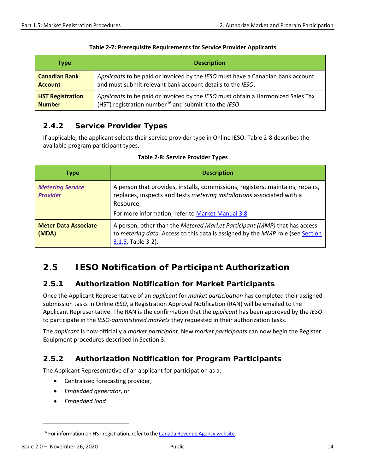<span id="page-23-4"></span>

| <b>Type</b>             | <b>Description</b>                                                               |
|-------------------------|----------------------------------------------------------------------------------|
| <b>Canadian Bank</b>    | Applicants to be paid or invoiced by the IESO must have a Canadian bank account  |
| <b>Account</b>          | and must submit relevant bank account details to the IESO.                       |
| <b>HST Registration</b> | Applicants to be paid or invoiced by the IESO must obtain a Harmonized Sales Tax |
| <b>Number</b>           | (HST) registration number <sup>16</sup> and submit it to the IESO.               |

#### **Table 2-7: Prerequisite Requirements for Service Provider Applicants**

# <span id="page-23-0"></span>**2.4.2 Service Provider Types**

If applicable, the applicant selects their service provider type in Online IESO. Table 2-8 describes the available program participant types.

<span id="page-23-5"></span>

| <b>Type</b>                                | <b>Description</b>                                                                                                                                                                                                       |
|--------------------------------------------|--------------------------------------------------------------------------------------------------------------------------------------------------------------------------------------------------------------------------|
| <b>Metering Service</b><br><b>Provider</b> | A person that provides, installs, commissions, registers, maintains, repairs,<br>replaces, inspects and tests metering installations associated with a<br>Resource.<br>For more information, refer to Market Manual 3.8. |
| <b>Meter Data Associate</b><br>(MDA)       | A person, other than the Metered Market Participant (MMP) that has access<br>to metering data. Access to this data is assigned by the MMP role (see Section<br>3.1.5, Table 3-2).                                        |

#### **Table 2-8: Service Provider Types**

# <span id="page-23-1"></span>**2.5 IESO Notification of Participant Authorization**

### <span id="page-23-2"></span>**2.5.1 Authorization Notification for Market Participants**

Once the Applicant Representative of an *applicant* for *market participation* has completed their assigned submission tasks in Online *IESO*, a Registration Approval Notification (RAN) will be emailed to the Applicant Representative. The RAN is the confirmation that the *applicant* has been approved by the *IESO* to participate in the *IESO-administered markets* they requested in their authorization tasks.

The *applicant* is now officially a *market participant*. New *market participants* can now begin the Register Equipment procedures described in Section 3.

### <span id="page-23-3"></span>**2.5.2 Authorization Notification for Program Participants**

The Applicant Representative of an applicant for participation as a:

- Centralized forecasting provider,
- *Embedded generator*, or
- *Embedded load*

<span id="page-23-6"></span><sup>&</sup>lt;sup>16</sup> For information on HST registration, refer to the Canada Revenue Agency website.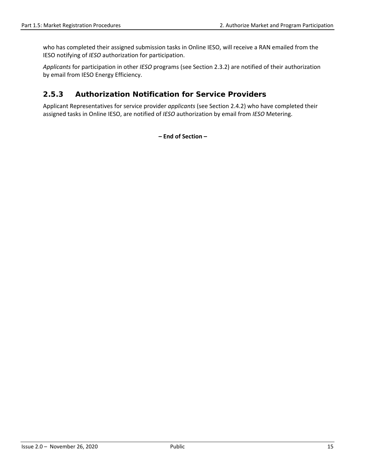who has completed their assigned submission tasks in Online IESO, will receive a RAN emailed from the IESO notifying of *IESO* authorization for participation.

*Applicants* for participation in other *IESO* programs (see Section 2.3.2) are notified of their authorization by email from IESO Energy Efficiency.

### <span id="page-24-0"></span>**2.5.3 Authorization Notification for Service Providers**

Applicant Representatives for service provider *applicants* (see Section 2.4.2) who have completed their assigned tasks in Online IESO, are notified of *IESO* authorization by email from *IESO* Metering.

**– End of Section –**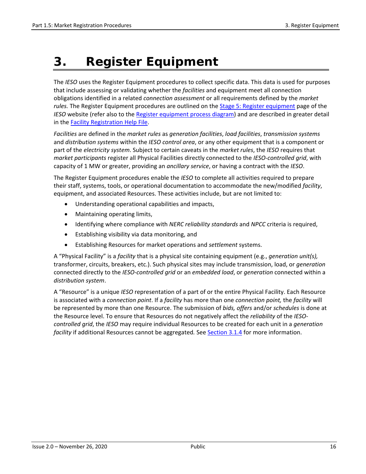# <span id="page-25-0"></span>**3. Register Equipment**

The *IESO* uses the Register Equipment procedures to collect specific data. This data is used for purposes that include assessing or validating whether the *facilities* and equipment meet all connection obligations identified in a related *connection assessment* or all requirements defined by the *market rules.* The Register Equipment procedures are outlined on the [Stage 5: Register equipment](http://www.ieso.ca/en/Sector-Participants/Connection-Process/Register-Equipment) page of the *IESO* website (refer also to the [Register equipment process diagram\)](http://www.ieso.ca/Sector-Participants/Connection-Process/Register-Equipment/Stage-5-Diagram) and are described in greater detail in the [Facility Registration Help File.](http://www.ieso.ca/-/media/Files/IESO/Document-Library/registration/facility/Online_Facility_Registration_Help.pdf)

*Facilities* are defined in the *market rules* as *generation facilities*, *load facilities*, *transmission systems* and *distribution systems* within the *IESO control area*, or any other equipment that is a component or part of the *electricity system*. Subject to certain caveats in the *market rules*, the *IESO* requires that *market participants* register all Physical Facilities directly connected to the *IESO-controlled grid*, with capacity of 1 MW or greater, providing an *ancillary service*, or having a contract with the *IESO*.

The Register Equipment procedures enable the *IESO* to complete all activities required to prepare their staff, systems, tools, or operational documentation to accommodate the new/modified *facility*, equipment, and associated Resources. These activities include, but are not limited to:

- Understanding operational capabilities and impacts,
- Maintaining operating limits,
- Identifying where compliance with *NERC reliability standards* and *NPCC* criteria is required,
- Establishing visibility via data monitoring, and
- Establishing Resources for market operations and *settlement* systems.

<span id="page-25-1"></span>A "Physical Facility" is a *facility* that is a physical site containing equipment (e.g., *generation unit(s),*  transformer, circuits, breakers, etc.). Such physical sites may include transmission, load, or *generation* connected directly to the *IESO-controlled grid* or an *embedded load*, or *generation* connected within a *distribution system*.

A "Resource" is a unique *IESO* representation of a part of or the entire Physical Facility. Each Resource is associated with a *connection point*. If a *facility* has more than one *connection point,* the *facility* will be represented by more than one Resource. The submission of *bids, offers* and/or *schedules* is done at the Resource level. To ensure that Resources do not negatively affect the *reliability* of the *IESOcontrolled grid*, the *IESO* may require individual Resources to be created for each unit in a *generation facility* if additional Resources cannot be aggregated. See [Section 3.1.4](#page-28-2) for more information.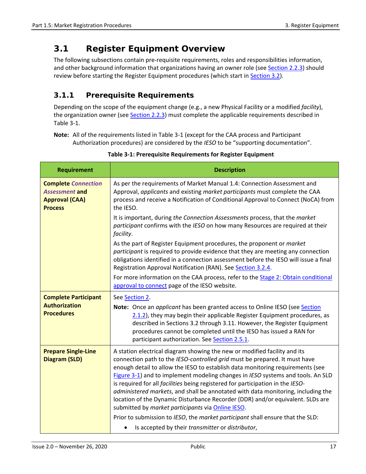# <span id="page-26-0"></span>**3.1 Register Equipment Overview**

The following subsections contain pre-requisite requirements, roles and responsibilities information, and other background information that organizations having an owner role (see [Section 2.2.3\)](#page-21-0) should review before starting the Register Equipment procedures (which start in [Section 3.2\)](#page-31-0).

# <span id="page-26-1"></span>**3.1.1 Prerequisite Requirements**

Depending on the scope of the equipment change (e.g., a new Physical Facility or a modified *facility*), the organization owner (see [Section 2.2.3\)](#page-21-0) must complete the applicable requirements described in Table 3-1.

**Note:** All of the requirements listed in Table 3-1 (except for the CAA process and Participant Authorization procedures) are considered by the *IESO* to be "supporting documentation".

<span id="page-26-2"></span>

| <b>Requirement</b>                                                                             | <b>Description</b>                                                                                                                                                                                                                                                                                                                                                                                                                                                                                                                                                                                                                        |
|------------------------------------------------------------------------------------------------|-------------------------------------------------------------------------------------------------------------------------------------------------------------------------------------------------------------------------------------------------------------------------------------------------------------------------------------------------------------------------------------------------------------------------------------------------------------------------------------------------------------------------------------------------------------------------------------------------------------------------------------------|
| <b>Complete Connection</b><br><b>Assessment and</b><br><b>Approval (CAA)</b><br><b>Process</b> | As per the requirements of Market Manual 1.4: Connection Assessment and<br>Approval, applicants and existing market participants must complete the CAA<br>process and receive a Notification of Conditional Approval to Connect (NoCA) from<br>the IESO.                                                                                                                                                                                                                                                                                                                                                                                  |
|                                                                                                | It is important, during the Connection Assessments process, that the market<br>participant confirms with the IESO on how many Resources are required at their<br>facility.                                                                                                                                                                                                                                                                                                                                                                                                                                                                |
|                                                                                                | As the part of Register Equipment procedures, the proponent or market<br>participant is required to provide evidence that they are meeting any connection<br>obligations identified in a connection assessment before the IESO will issue a final<br>Registration Approval Notification (RAN). See Section 3.2.4.                                                                                                                                                                                                                                                                                                                         |
|                                                                                                | For more information on the CAA process, refer to the Stage 2: Obtain conditional<br>approval to connect page of the IESO website.                                                                                                                                                                                                                                                                                                                                                                                                                                                                                                        |
| <b>Complete Participant</b>                                                                    | See Section 2.                                                                                                                                                                                                                                                                                                                                                                                                                                                                                                                                                                                                                            |
| <b>Authorization</b><br><b>Procedures</b>                                                      | Note: Once an applicant has been granted access to Online IESO (see Section<br>2.1.2), they may begin their applicable Register Equipment procedures, as<br>described in Sections 3.2 through 3.11. However, the Register Equipment<br>procedures cannot be completed until the IESO has issued a RAN for<br>participant authorization. See Section 2.5.1.                                                                                                                                                                                                                                                                                |
| <b>Prepare Single-Line</b><br><b>Diagram (SLD)</b>                                             | A station electrical diagram showing the new or modified facility and its<br>connection path to the IESO-controlled grid must be prepared. It must have<br>enough detail to allow the IESO to establish data monitoring requirements (see<br>Figure 3-1) and to implement modeling changes in IESO systems and tools. An SLD<br>is required for all facilities being registered for participation in the IESO-<br>administered markets, and shall be annotated with data monitoring, including the<br>location of the Dynamic Disturbance Recorder (DDR) and/or equivalent. SLDs are<br>submitted by market participants via Online IESO. |
|                                                                                                | Prior to submission to IESO, the market participant shall ensure that the SLD:                                                                                                                                                                                                                                                                                                                                                                                                                                                                                                                                                            |
|                                                                                                | Is accepted by their transmitter or distributor,<br>$\bullet$                                                                                                                                                                                                                                                                                                                                                                                                                                                                                                                                                                             |

**Table 3-1: Prerequisite Requirements for Register Equipment**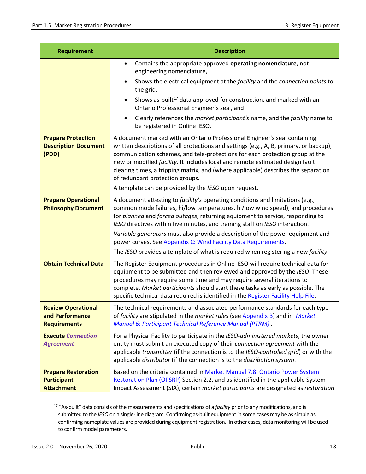| <b>Requirement</b>                                                    | <b>Description</b>                                                                                                                                                                                                                                                                                                                                                                                                                                                                                                                                                        |  |  |  |  |
|-----------------------------------------------------------------------|---------------------------------------------------------------------------------------------------------------------------------------------------------------------------------------------------------------------------------------------------------------------------------------------------------------------------------------------------------------------------------------------------------------------------------------------------------------------------------------------------------------------------------------------------------------------------|--|--|--|--|
|                                                                       | Contains the appropriate approved operating nomenclature, not<br>$\bullet$<br>engineering nomenclature,                                                                                                                                                                                                                                                                                                                                                                                                                                                                   |  |  |  |  |
|                                                                       | Shows the electrical equipment at the facility and the connection points to<br>$\bullet$<br>the grid,                                                                                                                                                                                                                                                                                                                                                                                                                                                                     |  |  |  |  |
|                                                                       | Shows as-built <sup>17</sup> data approved for construction, and marked with an<br>$\bullet$<br>Ontario Professional Engineer's seal, and                                                                                                                                                                                                                                                                                                                                                                                                                                 |  |  |  |  |
|                                                                       | Clearly references the market participant's name, and the facility name to<br>be registered in Online IESO.                                                                                                                                                                                                                                                                                                                                                                                                                                                               |  |  |  |  |
| <b>Prepare Protection</b><br><b>Description Document</b><br>(PDD)     | A document marked with an Ontario Professional Engineer's seal containing<br>written descriptions of all protections and settings (e.g., A, B, primary, or backup),<br>communication schemes, and tele-protections for each protection group at the<br>new or modified facility. It includes local and remote estimated design fault<br>clearing times, a tripping matrix, and (where applicable) describes the separation<br>of redundant protection groups.                                                                                                             |  |  |  |  |
|                                                                       | A template can be provided by the IESO upon request.                                                                                                                                                                                                                                                                                                                                                                                                                                                                                                                      |  |  |  |  |
| <b>Prepare Operational</b><br><b>Philosophy Document</b>              | A document attesting to facility's operating conditions and limitations (e.g.,<br>common mode failures, hi/low temperatures, hi/low wind speed), and procedures<br>for planned and forced outages, returning equipment to service, responding to<br>IESO directives within five minutes, and training staff on IESO interaction.<br>Variable generators must also provide a description of the power equipment and<br>power curves. See Appendix C: Wind Facility Data Requirements.<br>The IESO provides a template of what is required when registering a new facility. |  |  |  |  |
| <b>Obtain Technical Data</b>                                          | The Register Equipment procedures in Online IESO will require technical data for<br>equipment to be submitted and then reviewed and approved by the IESO. These<br>procedures may require some time and may require several iterations to<br>complete. Market participants should start these tasks as early as possible. The<br>specific technical data required is identified in the Register Facility Help File.                                                                                                                                                       |  |  |  |  |
| <b>Review Operational</b><br>and Performance<br><b>Requirements</b>   | The technical requirements and associated performance standards for each type<br>of facility are stipulated in the market rules (see Appendix B) and in Market<br>Manual 6: Participant Technical Reference Manual (PTRM).                                                                                                                                                                                                                                                                                                                                                |  |  |  |  |
| <b>Execute Connection</b><br><b>Agreement</b>                         | For a Physical Facility to participate in the IESO-administered markets, the owner<br>entity must submit an executed copy of their connection agreement with the<br>applicable transmitter (if the connection is to the IESO-controlled grid) or with the<br>applicable distributor (if the connection is to the distribution system.                                                                                                                                                                                                                                     |  |  |  |  |
| <b>Prepare Restoration</b><br><b>Participant</b><br><b>Attachment</b> | Based on the criteria contained in Market Manual 7.8: Ontario Power System<br>Restoration Plan (OPSRP) Section 2.2, and as identified in the applicable System<br>Impact Assessment (SIA), certain market participants are designated as restoration                                                                                                                                                                                                                                                                                                                      |  |  |  |  |

<span id="page-27-0"></span><sup>17 &</sup>quot;As-built" data consists of the measurements and specifications of a *facility* prior to any modifications, and is submitted to the *IESO* on a single-line diagram. Confirming as-built equipment in some cases may be as simple as confirming nameplate values are provided during equipment registration. In other cases, data monitoring will be used to confirm model parameters.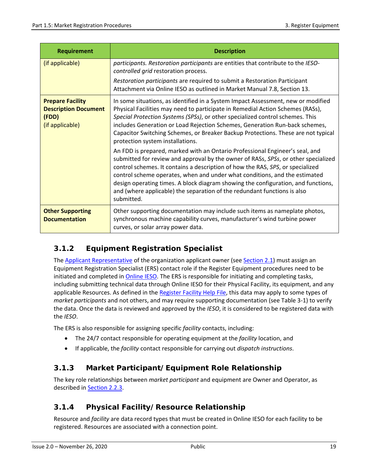| <b>Requirement</b>                                                                 | <b>Description</b>                                                                                                                                                                                                                                                                                                                                                                                                                                                                                                |  |  |  |  |
|------------------------------------------------------------------------------------|-------------------------------------------------------------------------------------------------------------------------------------------------------------------------------------------------------------------------------------------------------------------------------------------------------------------------------------------------------------------------------------------------------------------------------------------------------------------------------------------------------------------|--|--|--|--|
| (if applicable)                                                                    | participants. Restoration participants are entities that contribute to the IESO-<br>controlled grid restoration process.                                                                                                                                                                                                                                                                                                                                                                                          |  |  |  |  |
|                                                                                    | Restoration participants are required to submit a Restoration Participant<br>Attachment via Online IESO as outlined in Market Manual 7.8, Section 13.                                                                                                                                                                                                                                                                                                                                                             |  |  |  |  |
| <b>Prepare Facility</b><br><b>Description Document</b><br>(FDD)<br>(if applicable) | In some situations, as identified in a System Impact Assessment, new or modified<br>Physical Facilities may need to participate in Remedial Action Schemes (RASs),<br>Special Protection Systems (SPSs), or other specialized control schemes. This<br>includes Generation or Load Rejection Schemes, Generation Run-back schemes,<br>Capacitor Switching Schemes, or Breaker Backup Protections. These are not typical<br>protection system installations.                                                       |  |  |  |  |
|                                                                                    | An FDD is prepared, marked with an Ontario Professional Engineer's seal, and<br>submitted for review and approval by the owner of RASs, SPSs, or other specialized<br>control schemes. It contains a description of how the RAS, SPS, or specialized<br>control scheme operates, when and under what conditions, and the estimated<br>design operating times. A block diagram showing the configuration, and functions,<br>and (where applicable) the separation of the redundant functions is also<br>submitted. |  |  |  |  |
| <b>Other Supporting</b><br><b>Documentation</b>                                    | Other supporting documentation may include such items as nameplate photos,<br>synchronous machine capability curves, manufacturer's wind turbine power<br>curves, or solar array power data.                                                                                                                                                                                                                                                                                                                      |  |  |  |  |

# <span id="page-28-0"></span>**3.1.2 Equipment Registration Specialist**

The [Applicant Representative](http://www.ieso.ca/-/media/Files/IESO/Document-Library/registration/online-ieso/Authorized_Representative.pdf?la=en) of the organization applicant owner (se[e Section 2.1\)](#page-16-1) must assign an Equipment Registration Specialist (ERS) contact role if the Register Equipment procedures need to be initiated and completed in *Online IESO*. The ERS is responsible for initiating and completing tasks, including submitting technical data through Online IESO for their Physical Facility, its equipment, and any applicable Resources. As defined in the [Register Facility Help File,](http://www.ieso.ca/-/media/Files/IESO/Document-Library/registration/facility/Online_Facility_Registration_Help.pdf) this data may apply to some types of *market participants* and not others, and may require supporting documentation (see Table 3-1) to verify the data. Once the data is reviewed and approved by the *IESO*, it is considered to be registered data with the *IESO*.

The ERS is also responsible for assigning specific *facility* contacts, including:

- The 24/7 contact responsible for operating equipment at the *facility* location, and
- If applicable, the *facility* contact responsible for carrying out *dispatch instructions*.

# <span id="page-28-1"></span>**3.1.3 Market Participant/Equipment Role Relationship**

The key role relationships between *market participant* and equipment are Owner and Operator, as described in [Section 2.2.3.](#page-21-0)

# <span id="page-28-2"></span>**3.1.4 Physical Facility/Resource Relationship**

Resource and *facility* are data record types that must be created in Online IESO for each facility to be registered. Resources are associated with a connection point.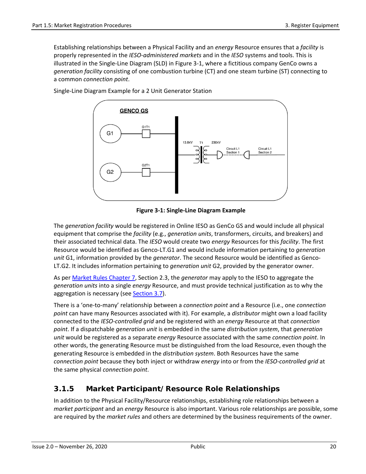Establishing relationships between a Physical Facility and an *energy* Resource ensures that a *facility* is properly represented in the *IESO-administered markets* and in the *IESO* systems and tools. This is illustrated in the Single-Line Diagram (SLD) in Figure 3-1, where a fictitious company GenCo owns a *generation facility* consisting of one combustion turbine (CT) and one steam turbine (ST) connecting to a common *connection point*.



Single-Line Diagram Example for a 2 Unit Generator Station

**Figure 3-1: Single-Line Diagram Example**

<span id="page-29-1"></span>The *generation facility* would be registered in Online IESO as GenCo GS and would include all physical equipment that comprise the *facility* (e.g., *generation units*, transformers, circuits, and breakers) and their associated technical data. The *IESO* would create two *energy* Resources for this *facility*. The first Resource would be identified as Genco-LT.G1 and would include information pertaining to *generation unit* G1, information provided by the *generator*. The second Resource would be identified as Genco-LT.G2. It includes information pertaining to *generation unit* G2, provided by the generator owner.

As pe[r Market Rules Chapter 7,](http://www.ieso.ca/-/media/Files/IESO/Document-Library/Market-Rules-and-Manuals-Library/market-rules/mr-chapter7.pdf) Section 2.3, the *generator* may apply to the IESO to aggregate the *generation units* into a single *energy* Resource, and must provide technical justification as to why the aggregation is necessary (se[e Section 3.7\)](#page-44-0).

There is a 'one-to-many' relationship between a *connection point* and a Resource (i.e., one *connection point* can have many Resources associated with it). For example, a *distributor* might own a load facility connected to the *IESO-controlled grid* and be registered with an *energy* Resource at that *connection point*. If a dispatchable *generation unit* is embedded in the same *distribution system*, that *generation unit* would be registered as a separate *energy* Resource associated with the same *connection point*. In other words, the generating Resource must be distinguished from the load Resource, even though the generating Resource is embedded in the *distribution system*. Both Resources have the same *connection point* because they both inject or withdraw *energy* into or from the *IESO-controlled grid* at the same physical *connection point*.

# <span id="page-29-0"></span>**3.1.5 Market Participant/Resource Role Relationships**

In addition to the Physical Facility/Resource relationships, establishing role relationships between a *market participant* and an *energy* Resource is also important. Various role relationships are possible, some are required by the *market rules* and others are determined by the business requirements of the owner.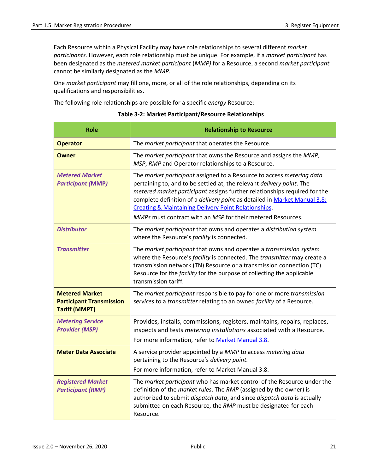Each Resource within a Physical Facility may have role relationships to several different *market participants*. However, each role relationship must be unique. For example, if a *market participant* has been designated as the *metered market participant* (*MMP)* for a Resource, a second *market participant* cannot be similarly designated as the *MMP*.

One *market participant* may fill one, more, or all of the role relationships, depending on its qualifications and responsibilities.

<span id="page-30-0"></span>The following role relationships are possible for a specific *energy* Resource:

| <b>Role</b>                                                                      | <b>Relationship to Resource</b>                                                                                                                                                                                                                                                                                                                                                                                                                   |  |  |  |  |
|----------------------------------------------------------------------------------|---------------------------------------------------------------------------------------------------------------------------------------------------------------------------------------------------------------------------------------------------------------------------------------------------------------------------------------------------------------------------------------------------------------------------------------------------|--|--|--|--|
| <b>Operator</b>                                                                  | The market participant that operates the Resource.                                                                                                                                                                                                                                                                                                                                                                                                |  |  |  |  |
| <b>Owner</b>                                                                     | The market participant that owns the Resource and assigns the MMP,<br>MSP, RMP and Operator relationships to a Resource.                                                                                                                                                                                                                                                                                                                          |  |  |  |  |
| <b>Metered Market</b><br><b>Participant (MMP)</b>                                | The market participant assigned to a Resource to access metering data<br>pertaining to, and to be settled at, the relevant delivery point. The<br>metered market participant assigns further relationships required for the<br>complete definition of a <i>delivery point</i> as detailed in Market Manual 3.8:<br><b>Creating &amp; Maintaining Delivery Point Relationships.</b><br>MMPs must contract with an MSP for their metered Resources. |  |  |  |  |
| <b>Distributor</b>                                                               | The market participant that owns and operates a distribution system<br>where the Resource's facility is connected.                                                                                                                                                                                                                                                                                                                                |  |  |  |  |
| <b>Transmitter</b>                                                               | The market participant that owns and operates a transmission system<br>where the Resource's facility is connected. The transmitter may create a<br>transmission network (TN) Resource or a transmission connection (TC)<br>Resource for the facility for the purpose of collecting the applicable<br>transmission tariff.                                                                                                                         |  |  |  |  |
| <b>Metered Market</b><br><b>Participant Transmission</b><br><b>Tariff (MMPT)</b> | The market participant responsible to pay for one or more transmission<br>services to a transmitter relating to an owned facility of a Resource.                                                                                                                                                                                                                                                                                                  |  |  |  |  |
| <b>Metering Service</b><br><b>Provider (MSP)</b>                                 | Provides, installs, commissions, registers, maintains, repairs, replaces,<br>inspects and tests metering installations associated with a Resource.<br>For more information, refer to Market Manual 3.8.                                                                                                                                                                                                                                           |  |  |  |  |
| <b>Meter Data Associate</b>                                                      | A service provider appointed by a MMP to access metering data<br>pertaining to the Resource's delivery point.<br>For more information, refer to Market Manual 3.8.                                                                                                                                                                                                                                                                                |  |  |  |  |
| <b>Registered Market</b><br><b>Participant (RMP)</b>                             | The market participant who has market control of the Resource under the<br>definition of the market rules. The RMP (assigned by the owner) is<br>authorized to submit dispatch data, and since dispatch data is actually<br>submitted on each Resource, the RMP must be designated for each<br>Resource.                                                                                                                                          |  |  |  |  |

#### **Table 3-2: Market Participant/Resource Relationships**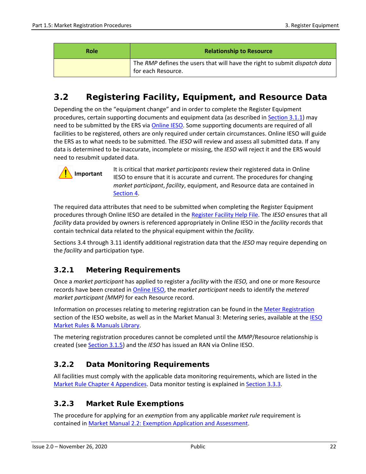| <b>Role</b> | <b>Relationship to Resource</b>                                                                  |
|-------------|--------------------------------------------------------------------------------------------------|
|             | The RMP defines the users that will have the right to submit dispatch data<br>for each Resource. |

# <span id="page-31-0"></span>**3.2 Registering Facility, Equipment, and Resource Data**

Depending the on the "equipment change" and in order to complete the Register Equipment procedures, certain supporting documents and equipment data (as described i[n Section 3.1.1\)](#page-26-1) may need to be submitted by the ERS via [Online IESO.](https://online.ieso.ca/suite/) Some supporting documents are required of all facilities to be registered, others are only required under certain circumstances. Online IESO will guide the ERS as to what needs to be submitted. The *IESO* will review and assess all submitted data. If any data is determined to be inaccurate, incomplete or missing, the *IESO* will reject it and the ERS would need to resubmit updated data.

# **Important**

It is critical that *market participants* review their registered data in Online IESO to ensure that it is accurate and current. The procedures for changing *market participant*, *facility*, equipment, and Resource data are contained in [Section 4.](#page-49-0)

The required data attributes that need to be submitted when completing the Register Equipment procedures through Online IESO are detailed in th[e Register Facility Help File.](https://www.google.com/url?client=internal-uds-cse&cx=002629981176120676867:kta9nqaj3vo&q=http://www.ieso.ca/-/media/Files/IESO/Document-Library/registration/facility/Online_Facility_Registration_Help.pdf&sa=U&ved=2ahUKEwiV3624_MvkAhXQu54KHUi1AGIQFjABegQIERAB&usg=AOvVaw3DsAo5i9IJFmA0t_LIkGSF) The *IESO* ensures that all *facility* data provided by owners is referenced appropriately in Online IESO in the *facility* records that contain technical data related to the physical equipment within the *facility.*

Sections 3.4 through 3.11 identify additional registration data that the *IESO* may require depending on the *facility* and participation type.

# <span id="page-31-1"></span>**3.2.1 Metering Requirements**

Once a *market participant* has applied to register a *facility* with the *IESO,* and one or more Resource records have been created i[n Online IESO,](https://online.ieso.ca/suite/) the *market participant* needs to identify the *metered market participant (MMP)* for each Resource record.

Information on processes relating to metering registration can be found in the [Meter Registration](http://www.ieso.ca/Sector-Participants/Meter-Registration) section of the [IESO](http://www.ieso.ca/Sector%20Participants/Market%20Operations/Market%20Rules%20And%20Manuals%20Library) website, as well as in the Market Manual 3: Metering series, available at the IESO [Market Rules & Manuals Library.](http://www.ieso.ca/Sector%20Participants/Market%20Operations/Market%20Rules%20And%20Manuals%20Library)

The metering registration procedures cannot be completed until the *MMP*/Resource relationship is created (se[e Section 3.1.5\)](#page-29-0) and the *IESO* has issued an RAN via Online IESO.

# <span id="page-31-2"></span>**3.2.2 Data Monitoring Requirements**

All facilities must comply with the applicable data monitoring requirements, which are listed in the [Market Rule Chapter 4 Appendices.](http://www.ieso.ca/-/media/Files/IESO/Document-Library/Market-Rules-and-Manuals-Library/market-rules/mr-chapter4appx.pdf) Data monitor testing is explained in [Section 3.3.3.](#page-33-2)

# <span id="page-31-3"></span>**3.2.3 Market Rule Exemptions**

The procedure for applying for an *exemption* from any applicable *market rule* requirement is contained in [Market Manual 2.2: Exemption Application and Assessment.](http://www.ieso.ca/-/media/Files/IESO/Document-Library/Market-Rules-and-Manuals-Library/market-manuals/market-administration/ma-exemptapplicandassesprocedure.pdf)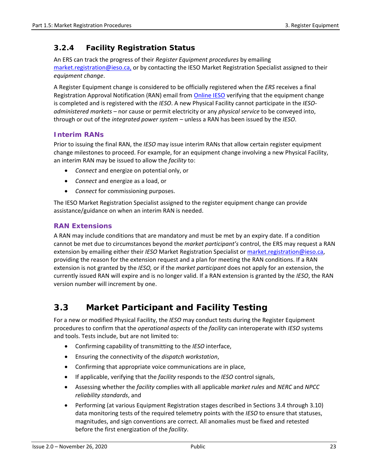### <span id="page-32-0"></span>**3.2.4 Facility Registration Status**

An ERS can track the progress of their *Register Equipment procedures* by emailing [market.registration@ieso.ca,](mailto:market.registration@ieso.ca) or by contacting the IESO Market Registration Specialist assigned to their *equipment change*.

A Register Equipment change is considered to be officially registered when the *ERS* receives a final Registration Approval Notification (RAN) email from *Online IESO* verifying that the equipment change is completed and is registered with the *IESO*. A new Physical Facility cannot participate in the *IESOadministered markets –* nor cause or permit electricity or any *physical service* to be conveyed into, through or out of the *integrated power system –* unless a RAN has been issued by the *IESO*.

#### **Interim RANs**

Prior to issuing the final RAN, the *IESO* may issue interim RANs that allow certain register equipment change milestones to proceed. For example, for an equipment change involving a new Physical Facility, an interim RAN may be issued to allow the *facility* to:

- *Connect* and energize on potential only, or
- *Connect* and energize as a load, or
- *Connect* for commissioning purposes.

The IESO Market Registration Specialist assigned to the register equipment change can provide assistance/guidance on when an interim RAN is needed.

#### **RAN Extensions**

A RAN may include conditions that are mandatory and must be met by an expiry date. If a condition cannot be met due to circumstances beyond the *market participant's* control, the ERS may request a RAN extension by emailing either their *IESO* Market Registration Specialist or [market.registration@ieso.ca,](mailto:market.registration@ieso.ca) providing the reason for the extension request and a plan for meeting the RAN conditions. If a RAN extension is not granted by the *IESO,* or if the *market participant* does not apply for an extension, the currently issued RAN will expire and is no longer valid. If a RAN extension is granted by the *IESO*, the RAN version number will increment by one.

# <span id="page-32-1"></span>**3.3 Market Participant and Facility Testing**

For a new or modified Physical Facility, the *IESO* may conduct tests during the Register Equipment procedures to confirm that the *operational aspects* of the *facility* can interoperate with *IESO* systems and tools. Tests include, but are not limited to:

- Confirming capability of transmitting to the *IESO* interface,
- Ensuring the connectivity of the *dispatch workstation*,
- Confirming that appropriate voice communications are in place,
- If applicable, verifying that the *facility* responds to the *IESO* control signals,
- Assessing whether the *facility* complies with all applicable *market rules* and *NERC* and *NPCC reliability standards*, and
- Performing (at various Equipment Registration stages described in Sections 3.4 through 3.10) data monitoring tests of the required telemetry points with the *IESO* to ensure that statuses, magnitudes, and sign conventions are correct. All anomalies must be fixed and retested before the first energization of the *facility*.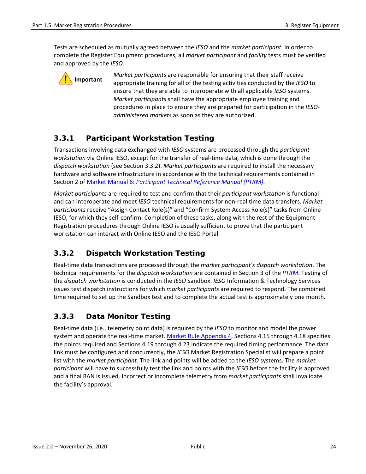Tests are scheduled as mutually agreed between the *IESO* and the *market participant*. In order to complete the Register Equipment procedures, all *market participant* and *facility* tests must be verified and approved by the *IESO.*



*Market participants* are responsible for ensuring that their staff receive appropriate training for all of the testing activities conducted by the *IESO* to ensure that they are able to interoperate with all applicable *IESO* systems. *Market participants* shall have the appropriate employee training and procedures in place to ensure they are prepared for participation in the *IESOadministered markets* as soon as they are authorized.

# <span id="page-33-0"></span>**3.3.1 Participant Workstation Testing**

Transactions involving data exchanged with *IESO* systems are processed through the *participant workstation* via Online IESO, except for the transfer of real-time data, which is done through the *dispatch workstation* (see Section 3.3.2). *Market participants* are required to install the necessary hardware and software infrastructure in accordance with the technical requirements contained in Section 2 of Market Manual 6: *[Participant Technical Reference Manual \(PTRM\)](http://www.ieso.ca/-/media/Files/IESO/Document-Library/Market-Rules-and-Manuals-Library/market-manuals/technical-reference/ptrm-ptrmManual.pdf)*.

*Market participants* are required to test and confirm that their *participant workstation* is functional and can interoperate and meet *IESO* technical requirements for non-real time data transfers. *Market participants* receive "Assign Contact Role(s)" and "Confirm System Access Role(s)" tasks from Online IESO, for which they self-confirm. Completion of these tasks, along with the rest of the Equipment Registration procedures through Online IESO is usually sufficient to prove that the participant workstation can interact with Online IESO and the IESO Portal.

# <span id="page-33-1"></span>**3.3.2 Dispatch Workstation Testing**

Real-time data transactions are processed through the *market participant's dispatch workstation*. The technical requirements for the *dispatch workstation* are contained in Section 3 of the *[PTRM](http://www.ieso.ca/-/media/Files/IESO/Document-Library/Market-Rules-and-Manuals-Library/market-manuals/technical-reference/ptrm-ptrmManual.pdf)*. Testing of the *dispatch workstation* is conducted in the *IESO* Sandbox. *IESO* Information & Technology Services issues test dispatch instructions for which *market participants* are required to respond. The combined time required to set up the Sandbox test and to complete the actual test is approximately one month.

# <span id="page-33-2"></span>**3.3.3 Data Monitor Testing**

Real-time data (i.e., telemetry point data) is required by the *IESO* to monitor and model the power system and operate the real-time market. [Market Rule Appendix 4,](http://www.ieso.ca/-/media/Files/IESO/Document-Library/Market-Rules-and-Manuals-Library/market-rules/mr-chapter4appx.pdf) Sections 4.15 through 4.18 specifies the points required and Sections 4.19 through 4.23 indicate the required timing performance. The data link must be configured and concurrently, the *IESO* Market Registration Specialist will prepare a point list with the *market participant*. The link and points will be added to the *IESO* systems. The *market participant* will have to successfully test the link and points with the *IESO* before the facility is approved and a final RAN is issued. Incorrect or incomplete telemetry from *market participants* shall invalidate the facility's approval.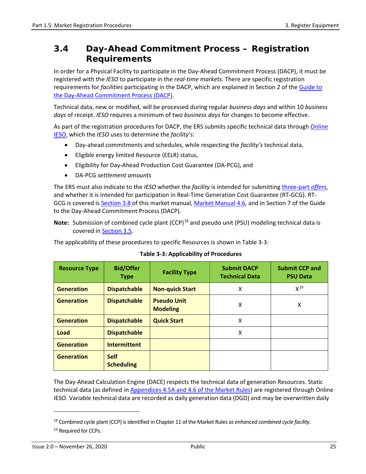# <span id="page-34-0"></span>**3.4 Day-Ahead Commitment Process – Registration Requirements**

In order for a Physical Facility to participate in the Day-Ahead Commitment Process (DACP), it must be registered with the *IESO* to participate in the *real-time markets*. There are specific registration requirements for *facilities* participating in the DACP, which are explained in Section 2 of th[e Guide to](http://www.ieso.ca/-/media/Files/IESO/Document-Library/training/TG-Day-Ahead-Commitment-Process.pdf)  [the Day-Ahead Commitment Process \(DACP\).](http://www.ieso.ca/-/media/Files/IESO/Document-Library/training/TG-Day-Ahead-Commitment-Process.pdf)

Technical data, new or modified, will be processed during regular *business days* and within 10 *business days* of receipt. *IESO* requires a minimum of two *business days* for changes to become effective.

As part of the registration procedures for DACP, the ERS submits specific technical data throug[h Online](https://online.ieso.ca/suite/) [IESO,](https://online.ieso.ca/suite/) which the *IESO* uses to determine the *facility*'s:

- Day-ahead commitments and schedules, while respecting the *facility's* technical data,
- Eligible energy limited Resource (EELR) status,
- Eligibility for Day-Ahead Production Cost Guarantee (DA-PCG), and
- DA-PCG *settlement amounts*

The ERS must also indicate to the *IESO* whether the *facility* is intended for submitting [three-part](#page-39-0) *offers*, and whether it is intended for participation in Real-Time Generation Cost Guarantee (RT-GCG). RT-GCG is covered is [Section 3.8](#page-48-1) of this market manual, [Market Manual 4.6,](http://www.ieso.ca/-/media/Files/IESO/Document-Library/Market-Rules-and-Manuals-Library/market-manuals/market-operations/mo-rtgcgprogram.pdf) and in Section 7 of the Guide to the Day-Ahead Commitment Process (DACP).

**Note:** Submission of combined cycle plant (CCP)<sup>[18](#page-34-2)</sup> and pseudo unit (PSU) modeling technical data is covered in [Section 3.5.](#page-42-1)

<span id="page-34-1"></span>The applicability of these procedures to specific Resources is shown in Table 3-3:

| <b>Resource Type</b> | <b>Bid/Offer</b><br><b>Type</b>  | <b>Facility Type</b>                  | <b>Submit DACP</b><br><b>Technical Data</b> | <b>Submit CCP and</b><br><b>PSU Data</b> |
|----------------------|----------------------------------|---------------------------------------|---------------------------------------------|------------------------------------------|
| <b>Generation</b>    | <b>Dispatchable</b>              | <b>Non-quick Start</b>                | x                                           | $X^{19}$                                 |
| <b>Generation</b>    | <b>Dispatchable</b>              | <b>Pseudo Unit</b><br><b>Modeling</b> | X                                           | X                                        |
| <b>Generation</b>    | <b>Dispatchable</b>              | <b>Quick Start</b>                    | x                                           |                                          |
| Load                 | <b>Dispatchable</b>              |                                       | x                                           |                                          |
| <b>Generation</b>    | <b>Intermittent</b>              |                                       |                                             |                                          |
| <b>Generation</b>    | <b>Self</b><br><b>Scheduling</b> |                                       |                                             |                                          |

#### **Table 3-3: Applicability of Procedures**

The Day-Ahead Calculation Engine (DACE) respects the technical data of generation Resources. Static technical data (as defined in [Appendices 4.5A and 4.6 of the Market Rules\)](http://www.ieso.ca/-/media/Files/IESO/Document-Library/Market-Rules-and-Manuals-Library/market-rules/mr-chapter4appx.pdf) are registered through Online IESO. Variable technical data are recorded as daily generation data (DGD) and may be overwritten daily

<span id="page-34-2"></span><sup>18</sup> Combined cycle plant (CCP) is identified in Chapter 11 of the Market Rules as *enhanced combined cycle facility*.

<span id="page-34-3"></span><sup>&</sup>lt;sup>19</sup> Required for CCPs.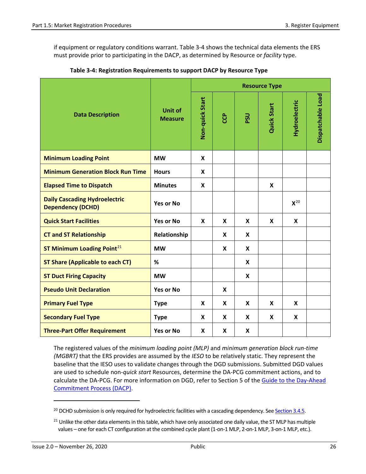if equipment or regulatory conditions warrant. Table 3-4 shows the technical data elements the ERS must provide prior to participating in the DACP, as determined by Resource or *facility* type.

|                                                                  | Unit of<br><b>Measure</b> | <b>Resource Type</b> |                           |            |                           |                           |                   |
|------------------------------------------------------------------|---------------------------|----------------------|---------------------------|------------|---------------------------|---------------------------|-------------------|
| <b>Data Description</b>                                          |                           | Non-quick Start      | ၉                         | <b>DSQ</b> | <b>Quick Start</b>        | Hydroelectric             | Dispatchable Load |
| <b>Minimum Loading Point</b>                                     | <b>MW</b>                 | X                    |                           |            |                           |                           |                   |
| <b>Minimum Generation Block Run Time</b>                         | <b>Hours</b>              | X                    |                           |            |                           |                           |                   |
| <b>Elapsed Time to Dispatch</b>                                  | <b>Minutes</b>            | X                    |                           |            | $\boldsymbol{\mathsf{x}}$ |                           |                   |
| <b>Daily Cascading Hydroelectric</b><br><b>Dependency (DCHD)</b> | <b>Yes or No</b>          |                      |                           |            |                           | $X^{20}$                  |                   |
| <b>Quick Start Facilities</b>                                    | <b>Yes or No</b>          | X                    | X                         | X          | X                         | $\boldsymbol{\mathsf{x}}$ |                   |
| <b>CT and ST Relationship</b>                                    | Relationship              |                      | X                         | X          |                           |                           |                   |
| ST Minimum Loading Point <sup>21</sup>                           | <b>MW</b>                 |                      | X                         | X          |                           |                           |                   |
| <b>ST Share (Applicable to each CT)</b>                          | %                         |                      |                           | X          |                           |                           |                   |
| <b>ST Duct Firing Capacity</b>                                   | <b>MW</b>                 |                      |                           | X          |                           |                           |                   |
| <b>Pseudo Unit Declaration</b>                                   | <b>Yes or No</b>          |                      | $\boldsymbol{\mathsf{X}}$ |            |                           |                           |                   |
| <b>Primary Fuel Type</b>                                         | <b>Type</b>               | X                    | X                         | X          | X                         | X                         |                   |
| <b>Secondary Fuel Type</b>                                       | <b>Type</b>               | X                    | X                         | X          | X                         | X                         |                   |
| <b>Three-Part Offer Requirement</b>                              | <b>Yes or No</b>          | X                    | X                         | X          |                           |                           |                   |

<span id="page-35-0"></span>**Table 3-4: Registration Requirements to support DACP by Resource Type**

The registered values of the *minimum loading point (MLP)* and *minimum generation block run-time (MGBRT)* that the ERS provides are assumed by the *IESO* to be relatively static. They represent the baseline that the IESO uses to validate changes through the DGD submissions. Submitted DGD values are used to schedule non-*quick start* Resources, determine the DA-PCG commitment actions, and to calculate the DA-PCG. For more information on DGD, refer to Section 5 of the [Guide to the Day-Ahead](http://www.ieso.ca/-/media/Files/IESO/Document-Library/training/TG-Day-Ahead-Commitment-Process.pdf)  [Commitment Process \(DACP\).](http://www.ieso.ca/-/media/Files/IESO/Document-Library/training/TG-Day-Ahead-Commitment-Process.pdf)

<span id="page-35-1"></span> $^{20}$  DCHD submission is only required for hydroelectric facilities with a cascading dependency. See Section 3.4.5.

<span id="page-35-2"></span> $21$  Unlike the other data elements in this table, which have only associated one daily value, the ST MLP has multiple values – one for each CT configuration at the combined cycle plant (1-on-1 MLP, 2-on-1 MLP, 3-on-1 MLP, etc.).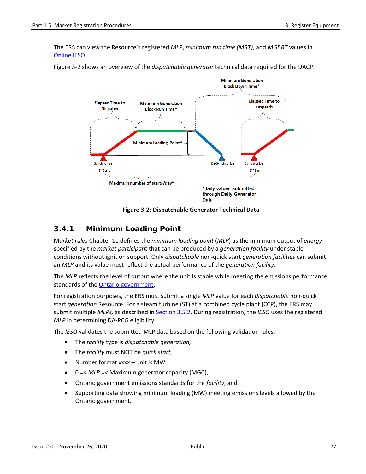The ERS can view the Resource's registered *MLP*, *minimum run time (MRT)*, and *MGBRT* values in [Online IESO.](https://online.ieso.ca/)



Figure 3-2 shows an overview of the *dispatchable generator* technical data required for the DACP.

**Figure 3-2: Dispatchable Generator Technical Data**

#### **3.4.1 Minimum Loading Point**

M*arket rules* Chapter 11 defines the *minimum loading point* (*MLP*) as the minimum output of *energy* specified by the *market participant* that can be produced by a *generation facility* under stable conditions without ignition support. Only *dispatchable* non-quick start *generation facilities* can submit an *MLP* and its value must reflect the actual performance of the *generation facility*.

The *MLP* reflects the level of output where the unit is stable while meeting the emissions performance standards of th[e Ontario government.](https://www.ontario.ca/page/ministry-environment-conservation-parks)

For registration purposes, the ERS must submit a single *MLP* value for each *dispatchable* non-quick start *generation* Resource. For a steam turbine (ST) at a combined cycle plant (CCP), the ERS may submit multiple *MLPs,* as described in [Section 3.5.2.](#page-41-0) During registration, the *IESO* uses the registered *MLP* in determining DA-PCG eligibility.

The *IESO* validates the submitted MLP data based on the following validation rules:

- The *facility* type is *dispatchable generation,*
- The *facility* must NOT be *quick start,*
- Number format xxxx unit is MW,
- 0 =< *MLP* =< Maximum generator capacity (MGC),
- Ontario government emissions standards for the *facility*, and
- Supporting data showing minimum loading (MW) meeting emissions levels allowed by the Ontario government.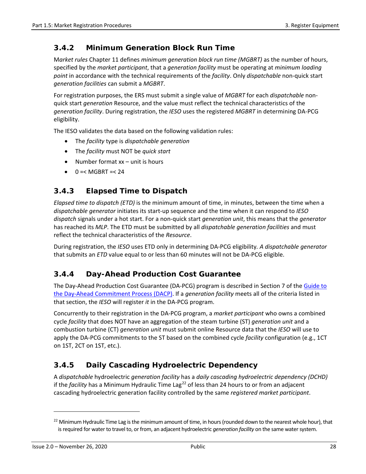### **3.4.2 Minimum Generation Block Run Time**

M*arket rules* Chapter 11 defines *minimum generation block run time (MGBRT)* as the number of hours, specified by the *market participant*, that a *generation facility* must be operating at *minimum loading point* in accordance with the technical requirements of the *facility*. Only *dispatchable* non-quick start *generation facilities* can submit a *MGBRT*.

For registration purposes, the ERS must submit a single value of *MGBRT* for each *dispatchable* nonquick start *generation* Resource, and the value must reflect the technical characteristics of the *generation facility*. During registration, the *IESO* uses the registered *MGBRT* in determining DA-PCG eligibility.

The IESO validates the data based on the following validation rules:

- The *facility* type is *dispatchable generation*
- The *facility* must NOT be *quick start*
- Number format xx unit is hours
- $\bullet$  0 = < MGBRT = < 24

### **3.4.3 Elapsed Time to Dispatch**

*Elapsed time to dispatch (ETD)* is the minimum amount of time, in minutes, between the time when a *dispatchable generator* initiates its start-up sequence and the time when it can respond to *IESO dispatch* signals under a hot start. For a non-quick start *generation unit*, this means that the *generator* has reached its *MLP*. The ETD must be submitted by all *dispatchable generation facilities* and must reflect the technical characteristics of the *Resource*.

During registration, the *IESO* uses ETD only in determining DA-PCG eligibility*. A dispatchable generator* that submits an *ETD* value equal to or less than 60 minutes will not be DA-PCG eligible.

#### **3.4.4 Day-Ahead Production Cost Guarantee**

The Day-Ahead Production Cost Guarantee (DA-PCG) program is described in Section 7 of the Guide to [the Day-Ahead Commitment Process \(DACP\).](http://www.ieso.ca/-/media/Files/IESO/Document-Library/training/TG-Day-Ahead-Commitment-Process.pdf) If a *generation facility* meets all of the criteria listed in that section, the *IESO* will register *it* in the DA-PCG program.

Concurrently to their registration in the DA-PCG program, a *market participant* who owns a combined cycle *facility* that does NOT have an aggregation of the steam turbine (ST) *generation unit* and a combustion turbine (CT) *generation unit* must submit online Resource data that the *IESO* will use to apply the DA-PCG commitments to the ST based on the combined cycle *facility* configuration (e.g., 1CT on 1ST, 2CT on 1ST, etc.).

## **3.4.5 Daily Cascading Hydroelectric Dependency**

A *dispatchable* hydroelectric *generation facility* has a *daily cascading hydroelectric dependency (DCHD)* if the *facility* has a Minimum Hydraulic Time Lag<sup>[22](#page-37-0)</sup> of less than 24 hours to or from an adjacent cascading hydroelectric generation facility controlled by the same *registered market participant*.

<span id="page-37-0"></span> $22$  Minimum Hydraulic Time Lag is the minimum amount of time, in hours (rounded down to the nearest whole hour), that is required for water to travel to, or from, an adjacent hydroelectric *generation facility* on the same water system.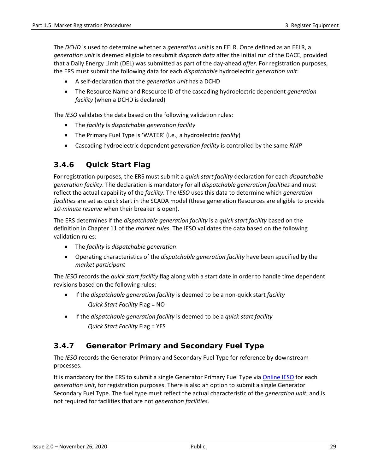The *DCHD* is used to determine whether a *generation unit* is an EELR. Once defined as an EELR, a *generation unit* is deemed eligible to resubmit *dispatch data* after the initial run of the DACE, provided that a Daily Energy Limit (DEL) was submitted as part of the day-ahead *offer*. For registration purposes, the ERS must submit the following data for each *dispatchable* hydroelectric *generation unit*:

- A self-declaration that the *generation unit* has a DCHD
- The Resource Name and Resource ID of the cascading hydroelectric dependent *generation facility* (when a DCHD is declared)

The *IESO* validates the data based on the following validation rules:

- The *facility* is *dispatchable generation facility*
- The Primary Fuel Type is 'WATER' (i.e., a hydroelectric *facility*)
- Cascading hydroelectric dependent *generation facility* is controlled by the same *RMP*

#### **3.4.6 Quick Start Flag**

For registration purposes, the ERS must submit a *quick start facility* declaration for each *dispatchable generation facility*. The declaration is mandatory for all *dispatchable generation facilities* and must reflect the actual capability of the *facility*. The *IESO* uses this data to determine which *generation facilities* are set as quick start in the SCADA model (these generation Resources are eligible to provide *10-minute reserve* when their breaker is open).

The ERS determines if the *dispatchable generation facility* is a *quick start facility* based on the definition in Chapter 11 of the *market rules*. The IESO validates the data based on the following validation rules:

- The *facility* is *dispatchable generation*
- Operating characteristics of the *dispatchable generation facility* have been specified by the *market participant*

The *IESO* records the *quick start facility* flag along with a start date in order to handle time dependent revisions based on the following rules:

- If the *dispatchable generation facility* is deemed to be a non-quick start *facility Quick Start Facility* Flag = NO
- If the *dispatchable generation facility* is deemed to be a *quick start facility Quick Start Facility* Flag = YES

#### **3.4.7 Generator Primary and Secondary Fuel Type**

The *IESO* records the Generator Primary and Secondary Fuel Type for reference by downstream processes.

It is mandatory for the ERS to submit a single Generator Primary Fuel Type vi[a Online IESO](https://online.ieso.ca/suite/) for each *generation unit*, for registration purposes. There is also an option to submit a single Generator Secondary Fuel Type. The fuel type must reflect the actual characteristic of the *generation unit*, and is not required for facilities that are not *generation facilities*.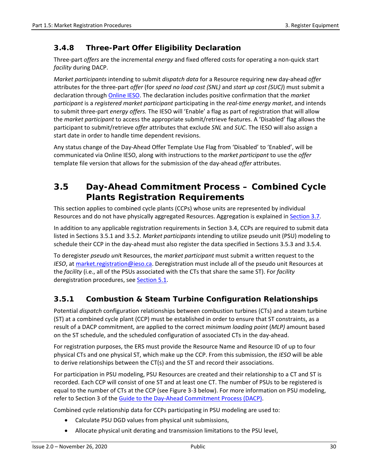### **3.4.8 Three-Part Offer Eligibility Declaration**

Three-part *offers* are the incremental *energy* and fixed offered costs for operating a non-quick start *facility* during DACP.

*Market participants* intending to submit *dispatch data* for a Resource requiring new day-ahead *offer* attributes for the three-part *offer* (for *speed no load cost (SNL)* and *start up cost (SUC)*) must submit a declaration through [Online IESO.](https://online.ieso.ca/suite/) The declaration includes positive confirmation that the *market participant* is a *registered market participant* participating in the *real-time energy market*, and intends to submit three-part *energy offers.* The IESO will 'Enable' a flag as part of registration that will allow the *market participant* to access the appropriate submit/retrieve features. A 'Disabled' flag allows the participant to submit/retrieve *offer* attributes that exclude *SNL* and *SUC*. The IESO will also assign a start date in order to handle time dependent revisions.

Any status change of the Day-Ahead Offer Template Use Flag from 'Disabled' to 'Enabled', will be communicated via Online IESO, along with instructions to the *market participant* to use the *offer* template file version that allows for the submission of the day-ahead *offer* attributes.

## **3.5 Day-Ahead Commitment Process – Combined Cycle Plants Registration Requirements**

This section applies to combined cycle plants (CCPs) whose units are represented by individual Resources and do not have physically aggregated Resources. Aggregation is explained in [Section 3.7.](#page-44-0)

In addition to any applicable registration requirements in Section 3.4, CCPs are required to submit data listed in Sections 3.5.1 and 3.5.2. *Market participants* intending to utilize pseudo unit (PSU) modeling to schedule their CCP in the day-ahead must also register the data specified in Sections 3.5.3 and 3.5.4.

To deregister *pseudo uni*t Resources, the *market participant* must submit a written request to the *IESO*, at [market.registration@ieso.ca.](mailto:market.registration@ieso.ca) Deregistration must include all of the pseudo unit Resources at the *facility* (i.e., all of the PSUs associated with the CTs that share the same ST). For *facility* deregistration procedures, see [Section 5.1.](#page-55-0)

#### **3.5.1 Combustion & Steam Turbine Configuration Relationships**

Potential *dispatch* configuration relationships between combustion turbines (CTs) and a steam turbine (ST) at a combined cycle plant (CCP) must be established in order to ensure that ST constraints, as a result of a DACP commitment, are applied to the correct *minimum loading point* (*MLP)* amount based on the ST schedule, and the scheduled configuration of associated CTs in the day-ahead.

For registration purposes, the ERS must provide the Resource Name and Resource ID of up to four physical CTs and one physical ST, which make up the CCP. From this submission, the *IESO* will be able to derive relationships between the CT(s) and the ST and record their associations.

For participation in PSU modeling, PSU Resources are created and their relationship to a CT and ST is recorded. Each CCP will consist of one ST and at least one CT. The number of PSUs to be registered is equal to the number of CTs at the CCP (see Figure 3-3 below). For more information on PSU modeling, refer to Section 3 of the [Guide to the Day-Ahead Commitment Process \(DACP\).](http://www.ieso.ca/-/media/Files/IESO/Document-Library/training/TG-Day-Ahead-Commitment-Process.pdf)

Combined cycle relationship data for CCPs participating in PSU modeling are used to:

- Calculate PSU DGD values from physical unit submissions,
- Allocate physical unit derating and transmission limitations to the PSU level,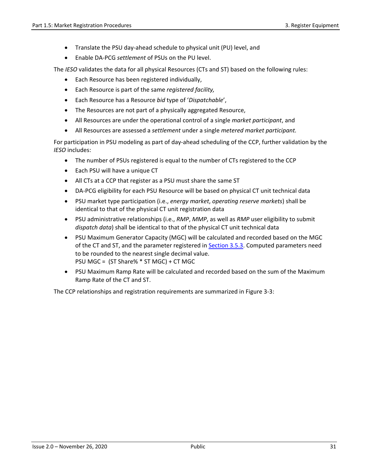- Translate the PSU day-ahead schedule to physical unit (PU) level, and
- Enable DA-PCG *settlement* of PSUs on the PU level.

The *IESO* validates the data for all physical Resources (CTs and ST) based on the following rules:

- Each Resource has been registered individually,
- Each Resource is part of the same *registered facility,*
- Each Resource has a Resource *bid* type of '*Dispatchable*',
- The Resources are not part of a physically aggregated Resource,
- All Resources are under the operational control of a single *market participant*, and
- All Resources are assessed a *settlement* under a single *metered market participant.*

For participation in PSU modeling as part of day-ahead scheduling of the CCP, further validation by the *IESO* includes:

- The number of PSUs registered is equal to the number of CTs registered to the CCP
- Each PSU will have a unique CT
- All CTs at a CCP that register as a PSU must share the same ST
- DA-PCG eligibility for each PSU Resource will be based on physical CT unit technical data
- PSU market type participation (i.e., *energy market*, *operating reserve markets*) shall be identical to that of the physical CT unit registration data
- PSU administrative relationships (i.e., *RMP*, *MMP*, as well as *RMP* user eligibility to submit *dispatch data*) shall be identical to that of the physical CT unit technical data
- PSU Maximum Generator Capacity (MGC) will be calculated and recorded based on the MGC of the CT and ST, and the parameter registered in [Section 3.5.3.](#page-41-1) Computed parameters need to be rounded to the nearest single decimal value. PSU MGC = (ST Share% \* ST MGC) + CT MGC
- PSU Maximum Ramp Rate will be calculated and recorded based on the sum of the Maximum Ramp Rate of the CT and ST.

The CCP relationships and registration requirements are summarized in Figure 3-3: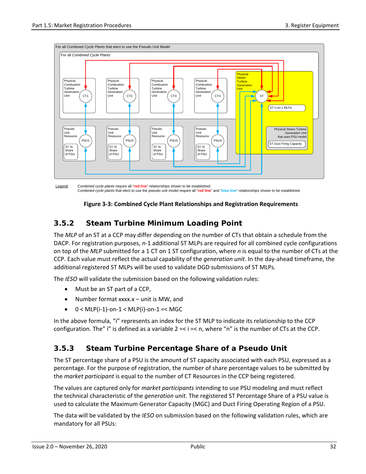

Legend: *Combined cycle plants* require all "**red line**" relationships shown to be established. *Combined cycle plants* that elect to use the pseudo unit model require all "**red line**" and "**blue line**" relationships shown to be established.

#### **Figure 3-3: Combined Cycle Plant Relationships and Registration Requirements**

### <span id="page-41-0"></span>**3.5.2 Steam Turbine Minimum Loading Point**

The *MLP* of an ST at a CCP may differ depending on the number of CTs that obtain a schedule from the DACP. For registration purposes, *n*-1 additional ST MLPs are required for all combined cycle configurations on top of the *MLP* submitted for a 1 CT on 1 ST configuration, where *n* is equal to the number of CTs at the CCP. Each value must reflect the actual capability of the *generation unit*. In the day-ahead timeframe, the additional registered ST MLPs will be used to validate DGD submissions of ST MLPs.

The *IESO* will validate the submission based on the following validation rules:

- Must be an ST part of a CCP,
- Number format xxxx.x unit is MW, and
- $\bullet$  0 < MLP(i-1)-on-1 < MLP(i)-on-1 =< MGC

In the above formula, "i" represents an index for the ST MLP to indicate its relationship to the CCP configuration. The" i" is defined as a variable  $2 \le i \le n$ , where "n" is the number of CTs at the CCP.

## <span id="page-41-1"></span>**3.5.3 Steam Turbine Percentage Share of a Pseudo Unit**

The ST percentage share of a PSU is the amount of ST capacity associated with each PSU, expressed as a percentage. For the purpose of registration, the number of share percentage values to be submitted by the *market participant* is equal to the number of CT Resources in the CCP being registered.

The values are captured only for *market participants* intending to use PSU modeling and must reflect the technical characteristic of the *generation unit*. The registered ST Percentage Share of a PSU value is used to calculate the Maximum Generator Capacity (MGC) and Duct Firing Operating Region of a PSU.

The data will be validated by the *IESO* on submission based on the following validation rules, which are mandatory for all PSUs: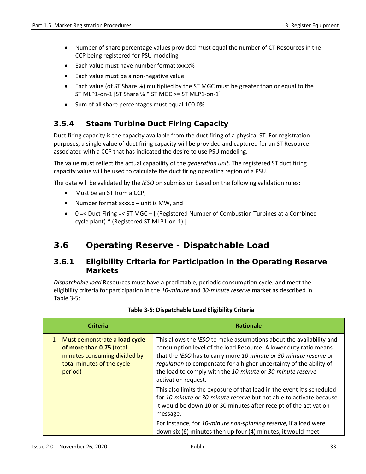- Number of share percentage values provided must equal the number of CT Resources in the CCP being registered for PSU modeling
- Each value must have number format xxx.x%
- Each value must be a non-negative value
- Each value (of ST Share %) multiplied by the ST MGC must be greater than or equal to the ST MLP1-on-1 [ST Share % \* ST MGC >= ST MLP1-on-1]
- Sum of all share percentages must equal 100.0%

### **3.5.4 Steam Turbine Duct Firing Capacity**

Duct firing capacity is the capacity available from the duct firing of a physical ST. For registration purposes, a single value of duct firing capacity will be provided and captured for an ST Resource associated with a CCP that has indicated the desire to use PSU modeling.

The value must reflect the actual capability of the *generation unit*. The registered ST duct firing capacity value will be used to calculate the duct firing operating region of a PSU.

The data will be validated by the *IESO* on submission based on the following validation rules:

- Must be an ST from a CCP,
- Number format xxxx.x unit is MW, and
- 0 =< Duct Firing =< ST MGC [ (Registered Number of Combustion Turbines at a Combined cycle plant) \* (Registered ST MLP1-on-1) ]

# **3.6 Operating Reserve - Dispatchable Load**

#### **3.6.1 Eligibility Criteria for Participation in the Operating Reserve Markets**

*Dispatchable load* Resources must have a predictable, periodic consumption cycle, and meet the eligibility criteria for participation in the *10-minute* and *30-minute reserve* market as described in Table 3-5:

| Criteria |                                                                                                                                    | <b>Rationale</b>                                                                                                                                                                                                                                                                                                                                                         |  |  |
|----------|------------------------------------------------------------------------------------------------------------------------------------|--------------------------------------------------------------------------------------------------------------------------------------------------------------------------------------------------------------------------------------------------------------------------------------------------------------------------------------------------------------------------|--|--|
|          | Must demonstrate a load cycle<br>of more than 0.75 (total<br>minutes consuming divided by<br>total minutes of the cycle<br>period) | This allows the IESO to make assumptions about the availability and<br>consumption level of the load Resource. A lower duty ratio means<br>that the IESO has to carry more 10-minute or 30-minute reserve or<br>regulation to compensate for a higher uncertainty of the ability of<br>the load to comply with the 10-minute or 30-minute reserve<br>activation request. |  |  |
|          |                                                                                                                                    | This also limits the exposure of that load in the event it's scheduled<br>for 10-minute or 30-minute reserve but not able to activate because<br>it would be down 10 or 30 minutes after receipt of the activation<br>message.                                                                                                                                           |  |  |
|          |                                                                                                                                    | For instance, for 10-minute non-spinning reserve, if a load were<br>down six (6) minutes then up four (4) minutes, it would meet                                                                                                                                                                                                                                         |  |  |

#### **Table 3-5: Dispatchable Load Eligibility Criteria**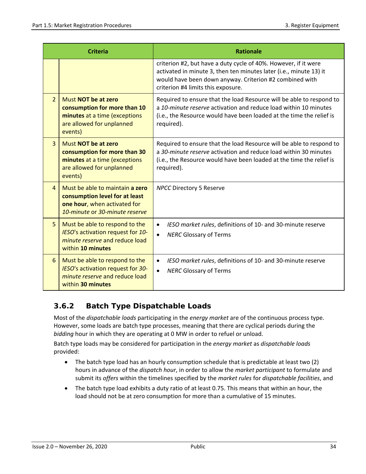| <b>Criteria</b> |                                                                                                                                     | <b>Rationale</b>                                                                                                                                                                                                                       |  |  |  |
|-----------------|-------------------------------------------------------------------------------------------------------------------------------------|----------------------------------------------------------------------------------------------------------------------------------------------------------------------------------------------------------------------------------------|--|--|--|
|                 |                                                                                                                                     | criterion #2, but have a duty cycle of 40%. However, if it were<br>activated in minute 3, then ten minutes later (i.e., minute 13) it<br>would have been down anyway. Criterion #2 combined with<br>criterion #4 limits this exposure. |  |  |  |
| $\overline{2}$  | Must NOT be at zero<br>consumption for more than 10<br>minutes at a time (exceptions<br>are allowed for unplanned<br>events)        | Required to ensure that the load Resource will be able to respond to<br>a 10-minute reserve activation and reduce load within 10 minutes<br>(i.e., the Resource would have been loaded at the time the relief is<br>required).         |  |  |  |
| $\overline{3}$  | Must NOT be at zero<br>consumption for more than 30<br>minutes at a time (exceptions<br>are allowed for unplanned<br>events)        | Required to ensure that the load Resource will be able to respond to<br>a 30-minute reserve activation and reduce load within 30 minutes<br>(i.e., the Resource would have been loaded at the time the relief is<br>required).         |  |  |  |
| $\Delta$        | Must be able to maintain a zero<br>consumption level for at least<br>one hour, when activated for<br>10-minute or 30-minute reserve | <b>NPCC Directory 5 Reserve</b>                                                                                                                                                                                                        |  |  |  |
| 5               | Must be able to respond to the<br>IESO's activation request for 10-<br>minute reserve and reduce load<br>within 10 minutes          | IESO market rules, definitions of 10- and 30-minute reserve<br>٠<br><b>NERC Glossary of Terms</b><br>$\bullet$                                                                                                                         |  |  |  |
| 6               | Must be able to respond to the<br>IESO's activation request for 30-<br>minute reserve and reduce load<br>within 30 minutes          | IESO market rules, definitions of 10- and 30-minute reserve<br>$\bullet$<br><b>NERC Glossary of Terms</b><br>$\bullet$                                                                                                                 |  |  |  |

## **3.6.2 Batch Type Dispatchable Loads**

Most of the *dispatchable loads* participating in the *energy market* are of the continuous process type. However, some loads are batch type processes, meaning that there are cyclical periods during the *bidding* hour in which they are operating at 0 MW in order to refuel or unload.

Batch type loads may be considered for participation in the *energy market* as *dispatchable loads*  provided:

- The batch type load has an hourly consumption schedule that is predictable at least two (2) hours in advance of the *dispatch hour*, in order to allow the *market participant* to formulate and submit its *offers* within the timelines specified by the *market rules* for *dispatchable facilities*, and
- The batch type load exhibits a duty ratio of at least 0.75. This means that within an hour, the load should not be at zero consumption for more than a cumulative of 15 minutes.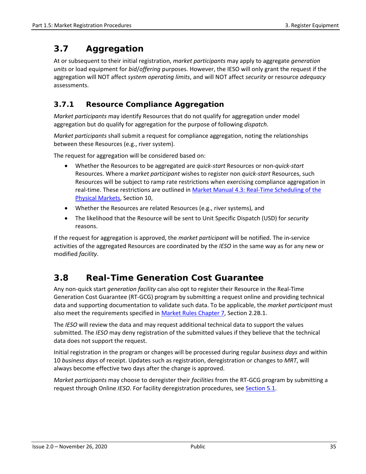# <span id="page-44-0"></span>**3.7 Aggregation**

At or subsequent to their initial registration, *market participants* may apply to aggregate *generation units* or load equipment for *bid*/*offering* purposes. However, the IESO will only grant the request if the aggregation will NOT affect *system operating limits*, and will NOT affect *security* or resource *adequacy*  assessments.

#### **3.7.1 Resource Compliance Aggregation**

*Market participants* may identify Resources that do not qualify for aggregation under model aggregation but do qualify for aggregation for the purpose of following *dispatch*.

*Market participants* shall submit a request for compliance aggregation, noting the relationships between these Resources (e.g., river system).

The request for aggregation will be considered based on:

- Whether the Resources to be aggregated are *quick-start* Resources or non-*quick-start*  Resources. Where a *market participant* wishes to register non *quick-start* Resources, such Resources will be subject to ramp rate restrictions when exercising compliance aggregation in real-time. These restrictions are outlined in Market Manual 4.3: Real-Time Scheduling of the [Physical Markets,](http://www.ieso.ca/-/media/Files/IESO/Document-Library/Market-Rules-and-Manuals-Library/market-manuals/market-operations/mo-RealTimeScheduling.pdf) Section 10,
- Whether the Resources are related Resources (e.g., river systems), and
- The likelihood that the Resource will be sent to Unit Specific Dispatch (USD) for *security* reasons.

If the request for aggregation is approved, the *market participant* will be notified. The in-service activities of the aggregated Resources are coordinated by the *IESO* in the same way as for any new or modified *facility*.

# **3.8 Real-Time Generation Cost Guarantee**

Any non-quick start *generation facility* can also opt to register their Resource in the Real-Time Generation Cost Guarantee (RT-GCG) program by submitting a request online and providing technical data and supporting documentation to validate such data. To be applicable, the *market participant* must also meet the requirements specified in [Market Rules Chapter 7,](http://www.ieso.ca/-/media/Files/IESO/Document-Library/Market-Rules-and-Manuals-Library/market-rules/mr-chapter7.pdf) Section 2.2B.1.

The *IESO* will review the data and may request additional technical data to support the values submitted. The *IESO* may deny registration of the submitted values if they believe that the technical data does not support the request.

Initial registration in the program or changes will be processed during regular *business days* and within 10 *business days* of receipt. Updates such as registration, deregistration or changes to *MRT*, will always become effective two days after the change is approved.

*Market participants* may choose to deregister their *facilities* from the RT-GCG program by submitting a request through Online *IESO*. For facility deregistration procedures, see [Section 5.1.](#page-55-0)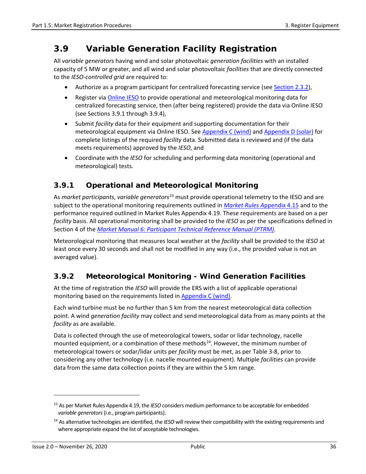# **3.9 Variable Generation Facility Registration**

All *variable generators* having wind and solar photovoltaic *generation facilities* with an installed capacity of 5 MW or greater, and all wind and solar photovoltaic *facilities* that are directly connected to the *IESO-controlled grid* are required to:

- Authorize as a program participant for centralized forecasting service (see [Section 2.3.2\)](#page-22-0),
- Register via [Online IESO](https://online.ieso.ca/suite/) to provide operational and meteorological monitoring data for centralized forecasting service, then (after being registered) provide the data via Online IESO (see Sections 3.9.1 through 3.9.4),
- Submit *facility* data for their equipment and supporting documentation for their meteorological equipment via Online IESO. Se[e Appendix C \(wind\)](#page-66-0) and [Appendix D \(solar\)](#page-69-0) for complete listings of the required *facility* data. Submitted data is reviewed and (if the data meets requirements) approved by the *IESO*, and
- Coordinate with the *IESO* for scheduling and performing data monitoring (operational and meteorological) tests.

## **3.9.1 Operational and Meteorological Monitoring**

As *market participants*, *variable generators*[23](#page-45-0) must provide operational telemetry to the IESO and are subject to the operational monitoring requirements outlined in *[Market Rules A](http://www.ieso.ca/-/media/Files/IESO/Document-Library/Market-Rules-and-Manuals-Library/market-rules/mr-chapter4appx.pdf)*ppendix 4.15 and to the performance required outlined in Market Rules Appendix 4.19. These requirements are based on a per *facility* basis. All operational monitoring shall be provided to the *IESO* as per the specifications defined in Section 4 of the *[Market Manual 6: Participant Technical Reference Manual \(PTRM\)](http://www.ieso.ca/imoweb/pubs/ptrm/ptrm_ptrmManual.pdf)*.

Meteorological monitoring that measures local weather at the *facility* shall be provided to the *IESO* at least once every 30 seconds and shall not be modified in any way (i.e., the provided value is not an averaged value).

## **3.9.2 Meteorological Monitoring - Wind Generation Facilities**

At the time of registration the *IESO* will provide the ERS with a list of applicable operational monitoring based on the requirements listed in **Appendix C** (wind).

Each wind turbine must be no further than 5 km from the nearest meteorological data collection point. A wind *generation facility* may collect and send meteorological data from as many points at the *facility* as are available.

Data is collected through the use of meteorological towers, sodar or lidar technology, nacelle mounted equipment, or a combination of these methods<sup>24</sup>. However, the minimum number of meteorological towers or sodar/lidar units per *facility* must be met, as per Table 3-8, prior to considering any other technology (i.e. nacelle mounted equipment). Multiple *facilities* can provide data from the same data collection points if they are within the 5 km range.

<span id="page-45-0"></span><sup>23</sup> As per Market Rules Appendix 4.19, the *IESO* considers medium performance to be acceptable for embedded *variable generators*(i.e., program participants).

<span id="page-45-1"></span><sup>24</sup> As alternative technologies are identified, the *IESO* will review their compatibility with the existing requirements and where appropriate expand the list of acceptable technologies.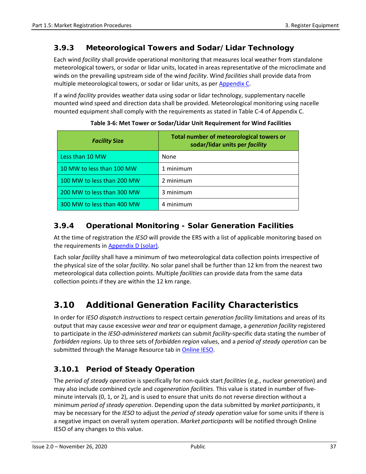### **3.9.3 Meteorological Towers and Sodar/Lidar Technology**

Each wind *facility* shall provide operational monitoring that measures local weather from standalone meteorological towers, or sodar or lidar units, located in areas representative of the microclimate and winds on the prevailing upstream side of the wind *facility*. Wind *facilities* shall provide data from multiple meteorological towers, or sodar or lidar units, as per [Appendix C.](#page-66-0)

If a wind *facility* provides weather data using sodar or lidar technology, supplementary nacelle mounted wind speed and direction data shall be provided. Meteorological monitoring using nacelle mounted equipment shall comply with the requirements as stated in Table C-4 of Appendix C.

| <b>Facility Size</b>       | Total number of meteorological towers or<br>sodar/lidar units per facility |  |  |
|----------------------------|----------------------------------------------------------------------------|--|--|
| Less than 10 MW            | None                                                                       |  |  |
| 10 MW to less than 100 MW  | 1 minimum                                                                  |  |  |
| 100 MW to less than 200 MW | 2 minimum                                                                  |  |  |
| 200 MW to less than 300 MW | 3 minimum                                                                  |  |  |
| 300 MW to less than 400 MW | 4 minimum                                                                  |  |  |

**Table 3-6: Met Tower or Sodar/Lidar Unit Requirement for Wind Facilities**

## **3.9.4 Operational Monitoring - Solar Generation Facilities**

At the time of registration the *IESO* will provide the ERS with a list of applicable monitoring based on the requirements in [Appendix D \(solar\).](#page-69-0)

Each solar *facility* shall have a minimum of two meteorological data collection points irrespective of the physical size of the solar *facility*. No solar panel shall be further than 12 km from the nearest two meteorological data collection points. Multiple *facilities* can provide data from the same data collection points if they are within the 12 km range.

# **3.10 Additional Generation Facility Characteristics**

In order for *IESO dispatch instructions* to respect certain *generation facility* limitations and areas of its output that may cause excessive *wear and tear* or equipment damage, a *generation facility* registered to participate in the *IESO-administered markets* can submit *facility-*specific data stating the number of *forbidden regions*. Up to three sets of *forbidden region* values, and a *period of steady operation* can be submitted through the Manage Resource tab i[n Online IESO.](https://online.ieso.ca/suite/)

## **3.10.1 Period of Steady Operation**

The *period of steady operation* is specifically for non-quick start *facilities* (e.g., nuclear *generation*) and may also include combined cycle and *cogeneration facilities*. This value is stated in number of fiveminute intervals (0, 1, or 2), and is used to ensure that units do not reverse direction without a minimum *period of steady operation*. Depending upon the data submitted by *market participants*, it may be necessary for the *IESO* to adjust the *period of steady operation* value for some units if there is a negative impact on overall system operation. *Market participants* will be notified through Online IESO of any changes to this value.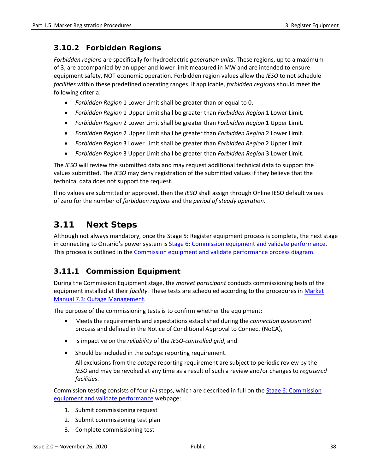#### **3.10.2 Forbidden Regions**

*Forbidden regions* are specifically for hydroelectric *generation units*. These regions, up to a maximum of 3, are accompanied by an upper and lower limit measured in MW and are intended to ensure equipment safety, NOT economic operation. Forbidden region values allow the *IESO* to not schedule *facilities* within these predefined operating ranges. If applicable, *forbidden regions* should meet the following criteria:

- *Forbidden Region* 1 Lower Limit shall be greater than or equal to 0.
- *Forbidden Region* 1 Upper Limit shall be greater than *Forbidden Region* 1 Lower Limit.
- *Forbidden Region* 2 Lower Limit shall be greater than *Forbidden Region* 1 Upper Limit.
- *Forbidden Region* 2 Upper Limit shall be greater than *Forbidden Region* 2 Lower Limit.
- *Forbidden Region* 3 Lower Limit shall be greater than *Forbidden Region* 2 Upper Limit.
- *Forbidden Region* 3 Upper Limit shall be greater than *Forbidden Region* 3 Lower Limit.

The *IESO* will review the submitted data and may request additional technical data to support the values submitted. The *IESO* may deny registration of the submitted values if they believe that the technical data does not support the request.

If no values are submitted or approved, then the *IESO* shall assign through Online IESO default values of zero for the number of *forbidden regions* and the *period of steady operation*.

## **3.11 Next Steps**

Although not always mandatory, once the Stage 5: Register equipment process is complete, the next stage in connecting to Ontario's power system is [Stage 6: Commission equipment and validate performance.](http://www.ieso.ca/en/Sector-Participants/Connection-Process/Commission-Equipment-and-Validate-Performance) This process is outlined in the [Commission equipment and validate performance process diagram.](http://www.ieso.ca/Sector-Participants/Connection-Process/Commission-Equipment-and-Validate-Performance/Stage-6-Diagram)

#### **3.11.1 Commission Equipment**

During the Commission Equipment stage, the *market participant* conducts commissioning tests of the equipment installed at their *facility.* These tests are scheduled according to the procedures in [Market](http://www.ieso.ca/-/media/Files/IESO/Document-Library/Market-Rules-and-Manuals-Library/market-manuals/system-operations/so-outagemanagement.pdf)  [Manual 7.3: Outage Management.](http://www.ieso.ca/-/media/Files/IESO/Document-Library/Market-Rules-and-Manuals-Library/market-manuals/system-operations/so-outagemanagement.pdf)

The purpose of the commissioning tests is to confirm whether the equipment:

- Meets the requirements and expectations established during the *connection assessment* process and defined in the Notice of Conditional Approval to Connect (NoCA),
- Is impactive on the *reliability* of the *IESO-controlled grid*, and
- Should be included in the *outage* reporting requirement.

All exclusions from the *outage* reporting requirement are subject to periodic review by the *IESO* and may be revoked at any time as a result of such a review and/or changes to *registered facilities*.

Commission testing consists of four (4) steps, which are described in full on the Stage 6: Commission [equipment and validate performance](http://www.ieso.ca/en/Sector-Participants/Connection-Process/Commission-Equipment-and-Validate-Performance) webpage:

- 1. Submit commissioning request
- 2. Submit commissioning test plan
- 3. Complete commissioning test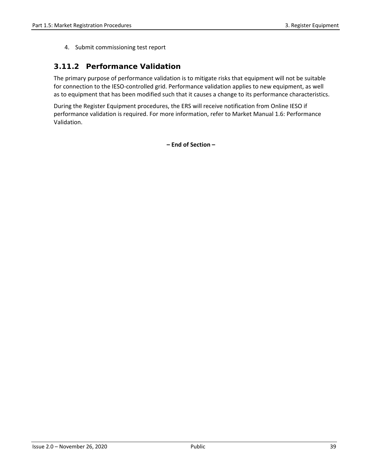4. Submit commissioning test report

#### **3.11.2 Performance Validation**

The primary purpose of performance validation is to mitigate risks that equipment will not be suitable for connection to the IESO-controlled grid. Performance validation applies to new equipment, as well as to equipment that has been modified such that it causes a change to its performance characteristics.

During the Register Equipment procedures, the ERS will receive notification from Online IESO if performance validation is required. For more information, refer to Market Manual 1.6: Performance Validation.

**– End of Section –**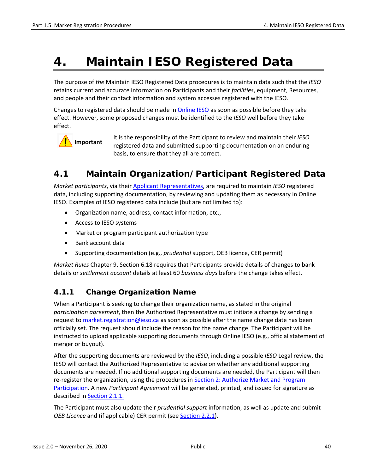# **4. Maintain IESO Registered Data**

The purpose of *the* Maintain IESO Registered Data procedures is to maintain data such that the *IESO* retains current and accurate information on Participants and their *facilities*, equipment, Resources, and people and their contact information and system accesses registered with the IESO.

Changes to registered data should be made in [Online IESO](https://online.ieso.ca/suite/) as soon as possible before they take effect. However, some proposed changes must be identified to the *IESO* well before they take effect.



It is the responsibility of the Participant to review and maintain their *IESO* registered data and submitted supporting documentation on an enduring basis, to ensure that they all are correct.

# **4.1 Maintain Organization/Participant Registered Data**

*Market participants*, via their [Applicant Representatives,](http://www.ieso.ca/-/media/Files/IESO/Document-Library/registration/online-ieso/Applicant_Representative.pdf?la=en) are required to maintain *IESO* registered data, including supporting documentation, by reviewing and updating them as necessary in Online IESO. Examples of IESO registered data include (but are not limited to):

- Organization name, address, contact information, etc.,
- Access to IESO systems
- Market or program participant authorization type
- Bank account data
- Supporting documentation (e.g., *prudential* support, OEB licence, CER permit)

*Market Rules* Chapter 9, Section 6.18 requires that Participants provide details of changes to bank details or *settlement account* details at least 60 *business days* before the change takes effect.

#### **4.1.1 Change Organization Name**

When a Participant is seeking to change their organization name, as stated in the original *participation agreement*, then the Authorized Representative must initiate a change by sending a request to [market.registration@ieso.ca](mailto:market.registration@ieso.ca) as soon as possible after the name change date has been officially set. The request should include the reason for the name change. The Participant will be instructed to upload applicable supporting documents through Online IESO (e.g., official statement of merger or buyout).

After the supporting documents are reviewed by the *IESO*, including a possible *IESO* Legal review, the IESO will contact the Authorized Representative to advise on whether any additional supporting documents are needed. If no additional supporting documents are needed, the Participant will then re-register the organization, using the procedures in Section 2: Authorize Market and Program [Participation.](#page-16-0) A new *Participant Agreement* will be generated, printed, and issued for signature as described in [Section 2.1.1.](#page-17-0)

The Participant must also update their *prudential support* information, as well as update and submit OEB Licence and (if applicable) CER permit (see **Section 2.2.1**).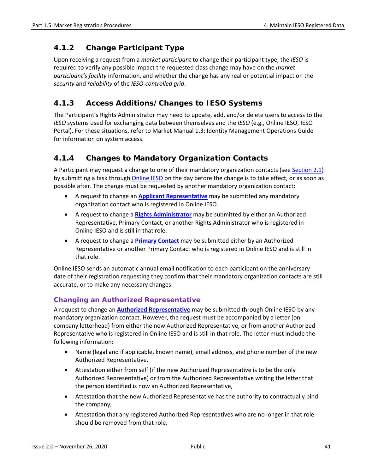#### **4.1.2 Change Participant Type**

Upon receiving a request from a *market participant* to change their participant type, the *IESO* is required to verify any possible impact the requested class change may have on the *market participant's facility* information, and whether the change has any real or potential impact on the *security* and *reliability* of the *IESO-controlled grid*.

### **4.1.3 Access Additions/Changes to IESO Systems**

The Participant's Rights Administrator may need to update, add, and/or delete users to access to the *IESO* systems used for exchanging data between themselves and the *IESO* (e.g., Online IESO, IESO Portal). For these situations, refer to Market Manual 1.3: Identity Management Operations Guide for information on system access.

### **4.1.4 Changes to Mandatory Organization Contacts**

A Participant may request a change to one of their mandatory organization contacts (see [Section 2.1\)](#page-16-1) by submitting a task throug[h Online IESO](https://online.ieso.ca/suite/) on the day before the change is to take effect, or as soon as possible after. The change must be requested by another mandatory organization contact:

- A request to change an **[Applicant Representative](http://www.ieso.ca/-/media/Files/IESO/Document-Library/registration/online-ieso/Applicant_Representative.pdf?la=en)** may be submitted any mandatory organization contact who is registered in Online IESO.
- A request to change a **[Rights Administrator](http://www.ieso.ca/-/media/Files/IESO/Document-Library/registration/online-ieso/Rights_Administrator.pdf?la=en)** may be submitted by either an Authorized Representative, Primary Contact, or another Rights Administrator who is registered in Online IESO and is still in that role.
- A request to change a **[Primary Contact](http://www.ieso.ca/-/media/Files/IESO/Document-Library/registration/online-ieso/Primary_Contact.pdf?la=en)** may be submitted either by an Authorized Representative or another Primary Contact who is registered in Online IESO and is still in that role.

Online IESO sends an automatic annual email notification to each participant on the anniversary date of their registration requesting they confirm that their mandatory organization contacts are still accurate, or to make any necessary changes.

#### **Changing an Authorized Representative**

A request to change an **[Authorized Representative](http://www.ieso.ca/-/media/Files/IESO/Document-Library/registration/online-ieso/Authorized_Representative.pdf?la=en)** may be submitted through Online IESO by any mandatory organization contact. However, the request must be accompanied by a letter (on company letterhead) from either the new Authorized Representative, or from another Authorized Representative who is registered in Online IESO and is still in that role. The letter must include the following information:

- Name (legal and if applicable, known name), email address, and phone number of the new Authorized Representative,
- Attestation either from self (if the new Authorized Representative is to be the only Authorized Representative) or from the Authorized Representative writing the letter that the person identified is now an Authorized Representative,
- Attestation that the new Authorized Representative has the authority to contractually bind the company,
- Attestation that any registered Authorized Representatives who are no longer in that role should be removed from that role,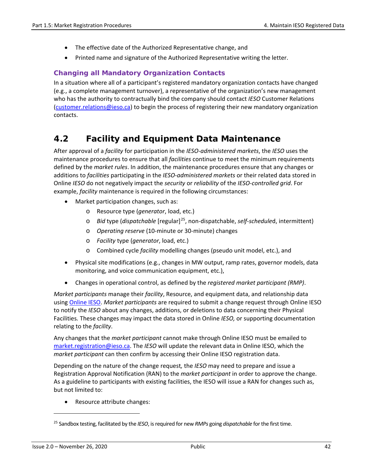- The effective date of the Authorized Representative change, and
- Printed name and signature of the Authorized Representative writing the letter.

#### **Changing all Mandatory Organization Contacts**

In a situation where all of a participant's registered mandatory organization contacts have changed (e.g., a complete management turnover), a representative of the organization's new management who has the authority to contractually bind the company should contact *IESO* Customer Relations [\(customer.relations@ieso.ca\)](mailto:customer.relations@ieso.ca) to begin the process of registering their new mandatory organization contacts.

## **4.2 Facility and Equipment Data Maintenance**

After approval of a *facility* for participation in the *IESO-administered markets*, the *IESO* uses the maintenance procedures to ensure that all *facilities* continue to meet the minimum requirements defined by the *market rules*. In addition, the maintenance procedures ensure that any changes or additions to *facilities* participating in the *IESO-administered markets* or their related data stored in Online *IESO* do not negatively impact the *security* or *reliability* of the *IESO-controlled grid*. For example, *facility* maintenance is required in the following circumstances:

- Market participation changes, such as:
	- o Resource type (*generator*, load, etc.)
	- o *Bid* type (*dispatchable* [regular][25,](#page-51-0) non-dispatchable, *self-schedule*d, intermittent)
	- o *Operating reserve* (10-minute or 30-minute) changes
	- o *Facility* type (*generator*, load, etc.)
	- o Combined cycle *facility* modelling changes (pseudo unit model, etc.), and
- Physical site modifications (e.g., changes in MW output, ramp rates, governor models, data monitoring, and voice communication equipment, etc.),
- Changes in operational control, as defined by the *registered market participant (RMP)*.

*Market participants* manage their *facility*, Resource, and equipment data, and relationship data using [Online IESO.](https://online.ieso.ca/suite/) *Market participants* are required to submit a change request through Online IESO to notify the *IESO* about any changes, additions, or deletions to data concerning their Physical Facilities*.* These changes may impact the data stored in Online *IESO,* or supporting documentation relating to the *facility*.

Any changes that the *market participant* cannot make through Online IESO must be emailed to [market.registration@ieso.ca.](mailto:market.registration@ieso.ca) The *IESO* will update the relevant data in Online IESO, which the *market participant* can then confirm by accessing their Online IESO registration data.

Depending on the nature of the change request*,* the *IESO* may need to prepare and issue a Registration Approval Notification (RAN) to the *market participant* in order to approve the change. As a guideline to participants with existing facilities, the IESO will issue a RAN for changes such as, but not limited to:

• Resource attribute changes:

<span id="page-51-0"></span><sup>25</sup> Sandbox testing, facilitated by the *IESO*, is required for new *RMPs* going *dispatchable* for the first time.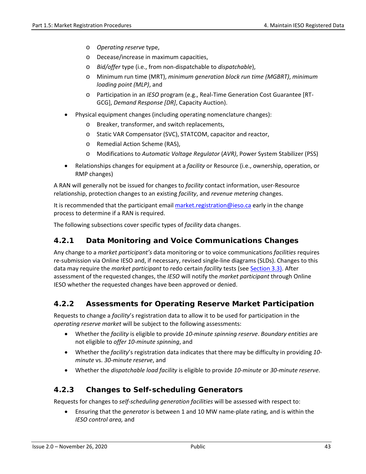- o *Operating reserve* type,
- o Decease/increase in maximum capacities,
- o *Bid/offer* type (i.e., from non-dispatchable to *dispatchable*),
- o Minimum run time (MRT), *minimum generation block run time (MGBRT)*, *minimum loading point (MLP)*, and
- o Participation in an *IESO* program (e.g., Real-Time Generation Cost Guarantee [RT-GCG], *Demand Response [DR]*, Capacity Auction).
- Physical equipment changes (including operating nomenclature changes):
	- o Breaker, transformer, and switch replacements,
	- o Static VAR Compensator (SVC), STATCOM, capacitor and reactor,
	- o Remedial Action Scheme (RAS),
	- o Modifications to *Automatic Voltage Regulator* (*AVR)*, Power System Stabilizer (PSS)
- Relationships changes for equipment at a *facility* or Resource (i.e., ownership, operation, or RMP changes)

A RAN will generally not be issued for changes to *facility* contact information, user-Resource relationship, protection changes to an existing *facility*, and *revenue metering* changes.

It is recommended that the participant email [market.registration@ieso.ca](mailto:market.registration@ieso.ca) early in the change process to determine if a RAN is required.

The following subsections cover specific types of *facility* data changes.

#### **4.2.1 Data Monitoring and Voice Communications Changes**

Any change to a *market participant's* data monitoring or to voice communications *facilities* requires re-submission via Online IESO and, if necessary, revised single-line diagrams (SLDs). Changes to this data may require the *market participant* to redo certain *facility* tests (see [Section 3.3\)](#page-32-0). After assessment of the requested changes, the *IESO* will notify the *market participant* through Online IESO whether the requested changes have been approved or denied.

#### **4.2.2 Assessments for Operating Reserve Market Participation**

Requests to change a *facility*'s registration data to allow it to be used for participation in the *operating reserve market* will be subject to the following assessments:

- Whether the *facility* is eligible to provide *10-minute spinning reserve*. *Boundary entities* are not eligible to *offer 10-minute spinning*, and
- Whether the *facility*'s registration data indicates that there may be difficulty in providing *10 minute* vs. *30-minute reserve*, and
- Whether the *dispatchable load facility* is eligible to provide *10-minute* or *30-minute reserve*.

#### **4.2.3 Changes to Self-scheduling Generators**

Requests for changes to *self-scheduling generation facilities* will be assessed with respect to:

• Ensuring that the *generator* is between 1 and 10 MW name-plate rating, and is within the *IESO control area,* and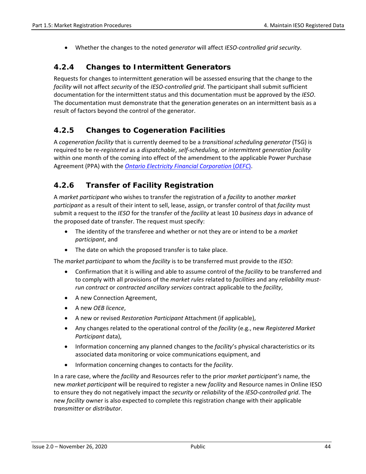• Whether the changes to the noted *generator* will affect *IESO-controlled grid security*.

#### **4.2.4 Changes to Intermittent Generators**

Requests for changes to intermittent generation will be assessed ensuring that the change to the *facility* will not affect *security* of the *IESO-controlled grid*. The participant shall submit sufficient documentation for the intermittent status and this documentation must be approved by the *IESO*. The documentation must demonstrate that the generation generates on an intermittent basis as a result of factors beyond the control of the generator.

#### **4.2.5 Changes to Cogeneration Facilities**

A *cogeneration facility* that is currently deemed to be a *transitional scheduling generator* (TSG) is required to be re-*registered* as a *dispatchable*, *self-scheduling,* or *intermittent generation facility*  within one month of the coming into effect of the amendment to the applicable Power Purchase Agreement (PPA) with the *[Ontario Electricity Financial Corporation](https://www.oefc.on.ca/index.html)* (*OEFC*).

#### **4.2.6 Transfer of Facility Registration**

A *market participant* who wishes to transfer the registration of a *facility* to another *market participant* as a result of their intent to sell, lease, assign, or transfer control of that *facility* must submit a request to the *IESO* for the transfer of the *facility* at least 10 *business days* in advance of the proposed date of transfer. The request must specify:

- The identity of the transferee and whether or not they are or intend to be a *market participant*, and
- The date on which the proposed transfer is to take place.

The *market participant* to whom the *facility* is to be transferred must provide to the *IESO*:

- Confirmation that it is willing and able to assume control of the *facility* to be transferred and to comply with all provisions of the *market rules* related to *facilities* and any *reliability mustrun contract* or *contracted ancillary services* contract applicable to the *facility*,
- A new Connection Agreement,
- A new *OEB licence*,
- A new or revised *Restoration Participant* Attachment (if applicable),
- Any changes related to the operational control of the *facility* (e.g., new *Registered Market Participant* data),
- Information concerning any planned changes to the *facility*'s physical characteristics or its associated data monitoring or voice communications equipment, and
- Information concerning changes to contacts for the *facility*.

In a rare case, where the *facility* and Resources refer to the prior *market participant's* name, the new *market participant* will be required to register a new *facility* and Resource names in Online IESO to ensure they do not negatively impact the *security* or *reliability* of the *IESO-controlled grid*. The new *facility* owner is also expected to complete this registration change with their applicable *transmitter* or *distributor*.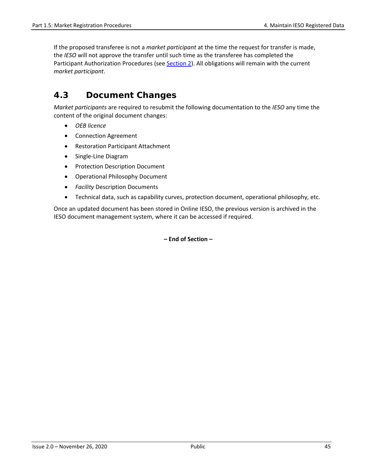If the proposed transferee is not a *market participant* at the time the request for transfer is made, the *IESO* will not approve the transfer until such time as the transferee has completed the Participant Authorization Procedures (see [Section 2\)](#page-16-0). All obligations will remain with the current *market participant*.

# **4.3 Document Changes**

*Market participants* are required to resubmit the following documentation to the *IESO* any time the content of the original document changes:

- *OEB licence*
- Connection Agreement
- Restoration Participant Attachment
- Single-Line Diagram
- Protection Description Document
- Operational Philosophy Document
- *Facility* Description Documents
- Technical data, such as capability curves, protection document, operational philosophy, etc.

Once an updated document has been stored in Online IESO, the previous version is archived in the IESO document management system, where it can be accessed if required.

**– End of Section –**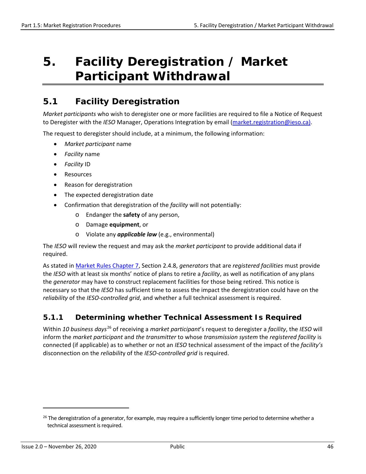# **5. Facility Deregistration / Market Participant Withdrawal**

# <span id="page-55-0"></span>**5.1 Facility Deregistration**

*Market participants* who wish to deregister one or more facilities are required to file a Notice of Request to Deregister with the *IESO* Manager, Operations Integration by email [\(market.registration@ieso.ca\)](mailto:market.registration@ieso.ca).

The request to deregister should include, at a minimum, the following information:

- *Market participant* name
- *Facility* name
- *Facility* ID
- Resources
- Reason for deregistration
- The expected deregistration date
- Confirmation that deregistration of the *facility* will not potentially:
	- o Endanger the **safety** of any person,
	- o Damage **equipment**, or
	- o Violate any *applicable law* (e.g., environmental)

The *IESO* will review the request and may ask the *market participant* to provide additional data if required.

As stated i[n Market Rules Chapter 7,](http://www.ieso.ca/-/media/Files/IESO/Document-Library/Market-Rules-and-Manuals-Library/market-rules/mr-chapter7.pdf) Section 2.4.8, *generators* that are *registered facilities* must provide the *IESO* with at least six months' notice of plans to retire a *facility*, as well as notification of any plans the *generator* may have to construct replacement facilities for those being retired. This notice is necessary so that the *IESO* has sufficient time to assess the impact the deregistration could have on the *reliability* of the *IESO-controlled grid*, and whether a full technical assessment is required.

#### **5.1.1 Determining whether Technical Assessment Is Required**

Within *10 business days*[26](#page-55-1) of receiving a *market participant*'s request to deregister a *facility*, the *IESO* will inform the *market participant* and *the transmitter* to whose *transmission system* the *registered facility* is connected (if applicable) as to whether or not an *IESO* technical assessment of the impact of the *facility's* disconnection on the *reliabilit*y of the *IESO-controlled grid* is required.

<span id="page-55-1"></span><sup>&</sup>lt;sup>26</sup> The deregistration of a generator, for example, may require a sufficiently longer time period to determine whether a technical assessment is required.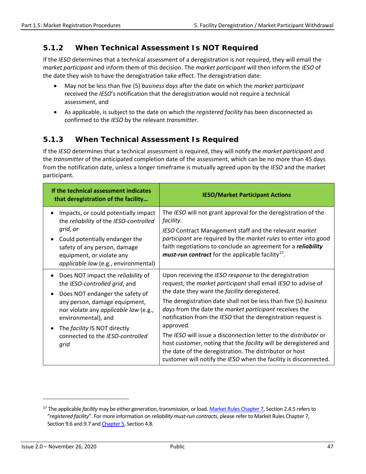### **5.1.2 When Technical Assessment Is NOT Required**

If the *IESO* determines that a technical assessment of a deregistration is not required, they will email the *market participant* and inform them of this decision. The *market participant* will then inform the *IESO* of the date they wish to have the deregistration take effect. The deregistration date:

- May not be less than five (5) *business days* after the date on which the *market participant* received the *IESO*'s notification that the deregistration would not require a technical assessment, and
- As applicable, is subject to the date on which the *registered facility* has been disconnected as confirmed to the *IESO* by the relevant *transmitter*.

### **5.1.3 When Technical Assessment Is Required**

If the *IESO* determines that a technical assessment is required, they will notify the *market participant* and the *transmitter* of the anticipated completion date of the assessment, which can be no more than 45 days from the notification date, unless a longer timeframe is mutually agreed upon by the *IESO* and the market participant.

| If the technical assessment indicates<br>that deregistration of the facility                                                                                                                                                                                                        | <b>IESO/Market Participant Actions</b>                                                                                                                                                                                                                                                                                                                                                                                                                                                                                                                                                                                                                             |
|-------------------------------------------------------------------------------------------------------------------------------------------------------------------------------------------------------------------------------------------------------------------------------------|--------------------------------------------------------------------------------------------------------------------------------------------------------------------------------------------------------------------------------------------------------------------------------------------------------------------------------------------------------------------------------------------------------------------------------------------------------------------------------------------------------------------------------------------------------------------------------------------------------------------------------------------------------------------|
| Impacts, or could potentially impact<br>the reliability of the IESO-controlled<br>grid, or<br>Could potentially endanger the<br>safety of any person, damage<br>equipment, or violate any<br>applicable law (e.g., environmental)                                                   | The IESO will not grant approval for the deregistration of the<br>facility.<br>IESO Contract Management staff and the relevant market<br>participant are required by the market rules to enter into good<br>faith negotiations to conclude an agreement for a reliability<br><i>must-run contract</i> for the applicable facility <sup>27</sup> .                                                                                                                                                                                                                                                                                                                  |
| Does NOT impact the reliability of<br>the IESO-controlled grid, and<br>Does NOT endanger the safety of<br>any person, damage equipment,<br>nor violate any applicable law (e.g.,<br>environmental), and<br>The facility IS NOT directly<br>connected to the IESO-controlled<br>grid | Upon receiving the IESO response to the deregistration<br>request, the market participant shall email IESO to advise of<br>the date they want the facility deregistered.<br>The deregistration date shall not be less than five (5) business<br>days from the date the market participant receives the<br>notification from the IESO that the deregistration request is<br>approved.<br>The IESO will issue a disconnection letter to the <i>distributor</i> or<br>host customer, noting that the facility will be deregistered and<br>the date of the deregistration. The distributor or host<br>customer will notify the IESO when the facility is disconnected. |

<span id="page-56-0"></span><sup>27</sup> The applicable *facility* may be either generation, transmission, or load[. Market Rules Chapter 7,](http://www.ieso.ca/-/media/Files/IESO/Document-Library/Market-Rules-and-Manuals-Library/market-rules/mr-chapter7.pdf) Section 2.4.5 refers to "*registered facility*". For more information on *reliability must-run contracts*, please refer to Market Rules Chapter 7, Section 9.6 and 9.7 an[d Chapter 5,](http://www.ieso.ca/-/media/Files/IESO/Document-Library/Market-Rules-and-Manuals-Library/market-rules/mr-chapter5.pdf) Section 4.8.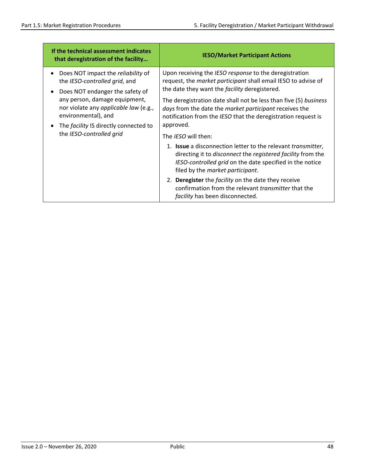| If the technical assessment indicates<br>that deregistration of the facility | <b>IESO/Market Participant Actions</b>                                                                                                                                                                                                     |
|------------------------------------------------------------------------------|--------------------------------------------------------------------------------------------------------------------------------------------------------------------------------------------------------------------------------------------|
| Does NOT impact the reliability of                                           | Upon receiving the IESO response to the deregistration                                                                                                                                                                                     |
| the IESO-controlled grid, and                                                | request, the <i>market participant</i> shall email IESO to advise of                                                                                                                                                                       |
| Does NOT endanger the safety of                                              | the date they want the <i>facility</i> deregistered.                                                                                                                                                                                       |
| any person, damage equipment,                                                | The deregistration date shall not be less than five (5) business                                                                                                                                                                           |
| nor violate any applicable law (e.g.,                                        | days from the date the market participant receives the                                                                                                                                                                                     |
| environmental), and                                                          | notification from the IESO that the deregistration request is                                                                                                                                                                              |
| The <i>facility</i> IS directly connected to                                 | approved.                                                                                                                                                                                                                                  |
| the IESO-controlled grid                                                     | The <i>IESO</i> will then:                                                                                                                                                                                                                 |
|                                                                              | 1. <b>Issue</b> a disconnection letter to the relevant <i>transmitter</i> ,<br>directing it to disconnect the registered facility from the<br>IESO-controlled grid on the date specified in the notice<br>filed by the market participant. |
|                                                                              | <b>Deregister</b> the <i>facility</i> on the date they receive<br>2.<br>confirmation from the relevant <i>transmitter</i> that the<br>facility has been disconnected.                                                                      |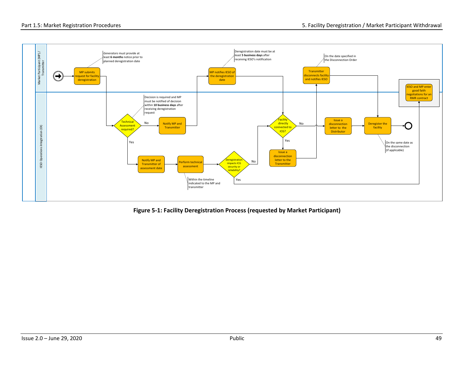

**Figure 5-1: Facility Deregistration Process (requested by Market Participant)**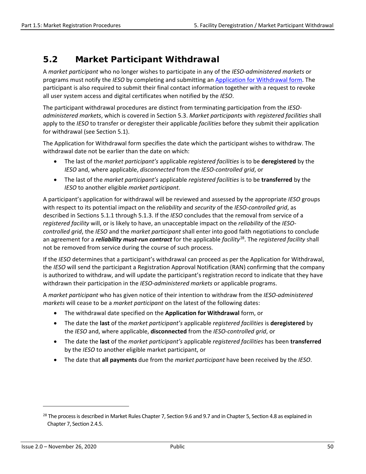# **5.2 Market Participant Withdrawal**

A *market participant* who no longer wishes to participate in any of the *IESO-administered markets* or programs must notify the *IESO* by completing and submitting an [Application for Withdrawal](http://www.ieso.ca/-/media/Files/IESO/Document-Library/Market-Rules-and-Manuals-Library/market-manuals/market-entry/me-f1242-ApplicationForWithdrawal.doc?la=en) form. The participant is also required to submit their final contact information together with a request to revoke all user system access and digital certificates when notified by the *IESO*.

The participant withdrawal procedures are distinct from terminating participation from the *IESOadministered markets*, which is covered in Section 5.3. *Market participants* with *registered facilities* shall apply to the *IESO* to transfer or deregister their applicable *facilities* before they submit their application for withdrawal (see Section 5.1).

The Application for Withdrawal form specifies the date which the participant wishes to withdraw. The withdrawal date not be earlier than the date on which:

- The last of the *market participant's* applicable *registered facilities* is to be **deregistered** by the *IESO* and, where applicable, *disconnected* from the *IESO-controlled grid*, or
- The last of the *market participant's* applicable *registered facilities* is to be **transferred** by the *IESO* to another eligible *market participant*.

A participant's application for withdrawal will be reviewed and assessed by the appropriate *IESO* groups with respect to its potential impact on the *reliability* and *security* of the *IESO-controlled grid*, as described in Sections 5.1.1 through 5.1.3. If the *IESO* concludes that the removal from service of a *registered facility* will, or is likely to have, an unacceptable impact on the *reliability* of the *IESOcontrolled grid*, the *IESO* and the *market participant* shall enter into good faith negotiations to conclude an agreement for a *reliability must-run contract* for the applicable *facility*[28](#page-59-0). The *registered facility* shall not be removed from service during the course of such process.

If the *IESO* determines that a participant's withdrawal can proceed as per the Application for Withdrawal, the *IESO* will send the participant a Registration Approval Notification (RAN) confirming that the company is authorized to withdraw, and will update the participant's registration record to indicate that they have withdrawn their participation in the *IESO-administered markets* or applicable programs.

A *market participant* who has given notice of their intention to withdraw from the *IESO-administered markets* will cease to be a *market participant* on the latest of the following dates:

- The withdrawal date specified on the **Application for Withdrawal** form, or
- The date the **last** of the *market participant's* applicable *registered facilities* is **deregistered** by the *IESO* and, where applicable, **disconnected** from the *IESO-controlled grid*, or
- The date the **last** of the *market participant's* applicable *registered facilities* has been **transferred** by the *IESO* to another eligible market participant, or
- The date that **all payments** due from the *market participant* have been received by the *IESO*.

<span id="page-59-0"></span><sup>&</sup>lt;sup>28</sup> The process is described in Market Rules Chapter 7, Section 9.6 and 9.7 and in Chapter 5, Section 4.8 as explained in Chapter 7, Section 2.4.5.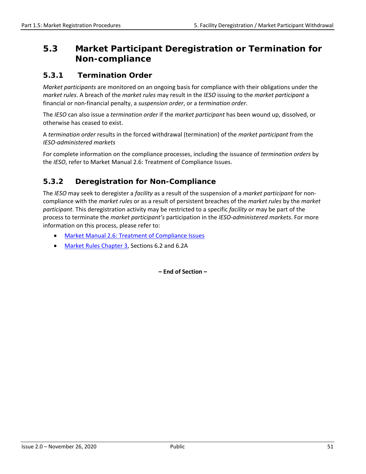# **5.3 Market Participant Deregistration or Termination for Non-compliance**

#### **5.3.1 Termination Order**

*Market participants* are monitored on an ongoing basis for compliance with their obligations under the *market rules*. A breach of the *market rules* may result in the *IESO* issuing to the *market participant* a financial or non-financial penalty, a *suspension order*, or a *termination order*.

The *IESO* can also issue a *termination order* if the *market participant* has been wound up, dissolved, or otherwise has ceased to exist.

A *termination order* results in the forced withdrawal (termination) of the *market participant* from the *IESO-administered markets*

For complete information on the compliance processes, including the issuance of *termination orders* by the *IESO*, refer to Market Manual 2.6: Treatment of Compliance Issues.

### **5.3.2 Deregistration for Non-Compliance**

The *IESO* may seek to deregister a *facility* as a result of the suspension of a *market participant* for noncompliance with the *market rules* or as a result of persistent breaches of the *market rules* by the *market participant*. This deregistration activity may be restricted to a specific *facility* or may be part of the process to terminate the *market participant's* participation in the *IESO-administered markets*. For more information on this process, please refer to:

- [Market Manual 2.6: Treatment of Compliance Issues](http://www.ieso.ca/-/media/Files/IESO/Document-Library/Market-Rules-and-Manuals-Library/market-manuals/market-administration/ma-CompIssues.pdf)
- [Market Rules Chapter 3,](http://www.ieso.ca/-/media/Files/IESO/Document-Library/Market-Rules-and-Manuals-Library/market-rules/mr-chapter3.pdf) Sections 6.2 and 6.2A

**– End of Section –**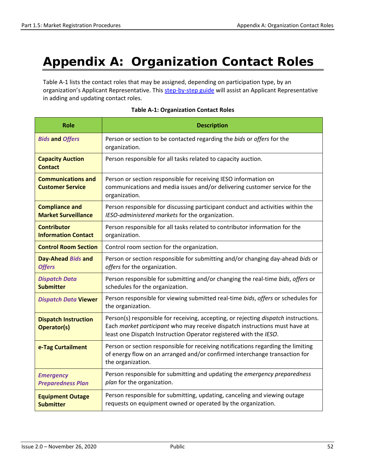# **Appendix A: Organization Contact Roles**

Table A-1 lists the contact roles that may be assigned, depending on participation type, by an organization's Applicant Representative. Thi[s step-by-step guide](http://www.ieso.ca/-/media/Files/IESO/Document-Library/registration/online-ieso/Step-by-step_Adding_Contact_Role.pdf?la=en) will assist an Applicant Representative in adding and updating contact roles.

| <b>Role</b>                                                                                                                                      | <b>Description</b>                                                                                                                                                                                                                     |  |  |  |
|--------------------------------------------------------------------------------------------------------------------------------------------------|----------------------------------------------------------------------------------------------------------------------------------------------------------------------------------------------------------------------------------------|--|--|--|
| <b>Bids and Offers</b>                                                                                                                           | Person or section to be contacted regarding the bids or offers for the<br>organization.                                                                                                                                                |  |  |  |
| <b>Capacity Auction</b><br><b>Contact</b>                                                                                                        | Person responsible for all tasks related to capacity auction.                                                                                                                                                                          |  |  |  |
| <b>Communications and</b><br><b>Customer Service</b>                                                                                             | Person or section responsible for receiving IESO information on<br>communications and media issues and/or delivering customer service for the<br>organization.                                                                         |  |  |  |
| <b>Compliance and</b><br><b>Market Surveillance</b>                                                                                              | Person responsible for discussing participant conduct and activities within the<br>IESO-administered markets for the organization.                                                                                                     |  |  |  |
| Person responsible for all tasks related to contributor information for the<br><b>Contributor</b><br><b>Information Contact</b><br>organization. |                                                                                                                                                                                                                                        |  |  |  |
| <b>Control Room Section</b>                                                                                                                      | Control room section for the organization.                                                                                                                                                                                             |  |  |  |
| Day-Ahead Bids and<br><b>Offers</b>                                                                                                              | Person or section responsible for submitting and/or changing day-ahead bids or<br>offers for the organization.                                                                                                                         |  |  |  |
| <b>Dispatch Data</b><br><b>Submitter</b>                                                                                                         | Person responsible for submitting and/or changing the real-time bids, offers or<br>schedules for the organization.                                                                                                                     |  |  |  |
| <b>Dispatch Data Viewer</b>                                                                                                                      | Person responsible for viewing submitted real-time bids, offers or schedules for<br>the organization.                                                                                                                                  |  |  |  |
| <b>Dispatch Instruction</b><br><b>Operator(s)</b>                                                                                                | Person(s) responsible for receiving, accepting, or rejecting dispatch instructions.<br>Each market participant who may receive dispatch instructions must have at<br>least one Dispatch Instruction Operator registered with the IESO. |  |  |  |
| e-Tag Curtailment                                                                                                                                | Person or section responsible for receiving notifications regarding the limiting<br>of energy flow on an arranged and/or confirmed interchange transaction for<br>the organization.                                                    |  |  |  |
| <b>Emergency</b><br><b>Preparedness Plan</b>                                                                                                     | Person responsible for submitting and updating the emergency preparedness<br>plan for the organization.                                                                                                                                |  |  |  |
| <b>Equipment Outage</b><br><b>Submitter</b>                                                                                                      | Person responsible for submitting, updating, canceling and viewing outage<br>requests on equipment owned or operated by the organization.                                                                                              |  |  |  |

#### **Table A-1: Organization Contact Roles**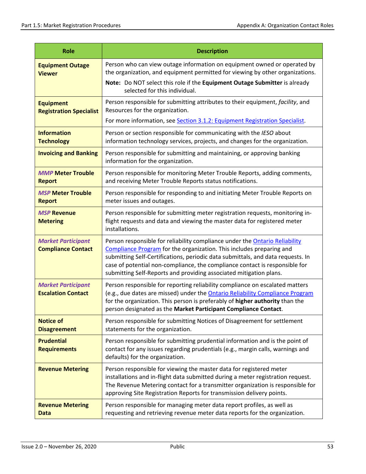| <b>Role</b>                                            | <b>Description</b>                                                                                                                                                                                                                                                                                                                                                                                 |  |  |  |  |
|--------------------------------------------------------|----------------------------------------------------------------------------------------------------------------------------------------------------------------------------------------------------------------------------------------------------------------------------------------------------------------------------------------------------------------------------------------------------|--|--|--|--|
| <b>Equipment Outage</b><br><b>Viewer</b>               | Person who can view outage information on equipment owned or operated by<br>the organization, and equipment permitted for viewing by other organizations.                                                                                                                                                                                                                                          |  |  |  |  |
|                                                        | Note: Do NOT select this role if the Equipment Outage Submitter is already<br>selected for this individual.                                                                                                                                                                                                                                                                                        |  |  |  |  |
| <b>Equipment</b><br><b>Registration Specialist</b>     | Person responsible for submitting attributes to their equipment, facility, and<br>Resources for the organization.                                                                                                                                                                                                                                                                                  |  |  |  |  |
|                                                        | For more information, see Section 3.1.2: Equipment Registration Specialist.                                                                                                                                                                                                                                                                                                                        |  |  |  |  |
| <b>Information</b><br><b>Technology</b>                | Person or section responsible for communicating with the IESO about<br>information technology services, projects, and changes for the organization.                                                                                                                                                                                                                                                |  |  |  |  |
| <b>Invoicing and Banking</b>                           | Person responsible for submitting and maintaining, or approving banking<br>information for the organization.                                                                                                                                                                                                                                                                                       |  |  |  |  |
| <b>MMP Meter Trouble</b><br><b>Report</b>              | Person responsible for monitoring Meter Trouble Reports, adding comments,<br>and receiving Meter Trouble Reports status notifications.                                                                                                                                                                                                                                                             |  |  |  |  |
| <b>MSP Meter Trouble</b><br><b>Report</b>              | Person responsible for responding to and initiating Meter Trouble Reports on<br>meter issues and outages.                                                                                                                                                                                                                                                                                          |  |  |  |  |
| <b>MSP Revenue</b><br><b>Metering</b>                  | Person responsible for submitting meter registration requests, monitoring in-<br>flight requests and data and viewing the master data for registered meter<br>installations.                                                                                                                                                                                                                       |  |  |  |  |
| <b>Market Participant</b><br><b>Compliance Contact</b> | Person responsible for reliability compliance under the <b>Ontario Reliability</b><br>Compliance Program for the organization. This includes preparing and<br>submitting Self-Certifications, periodic data submittals, and data requests. In<br>case of potential non-compliance, the compliance contact is responsible for<br>submitting Self-Reports and providing associated mitigation plans. |  |  |  |  |
| <b>Market Participant</b><br><b>Escalation Contact</b> | Person responsible for reporting reliability compliance on escalated matters<br>(e.g., due dates are missed) under the Ontario Reliability Compliance Program<br>for the organization. This person is preferably of higher authority than the<br>person designated as the Market Participant Compliance Contact.                                                                                   |  |  |  |  |
| <b>Notice of</b><br><b>Disagreement</b>                | Person responsible for submitting Notices of Disagreement for settlement<br>statements for the organization.                                                                                                                                                                                                                                                                                       |  |  |  |  |
| <b>Prudential</b><br><b>Requirements</b>               | Person responsible for submitting prudential information and is the point of<br>contact for any issues regarding prudentials (e.g., margin calls, warnings and<br>defaults) for the organization.                                                                                                                                                                                                  |  |  |  |  |
| <b>Revenue Metering</b>                                | Person responsible for viewing the master data for registered meter<br>installations and in-flight data submitted during a meter registration request.<br>The Revenue Metering contact for a transmitter organization is responsible for<br>approving Site Registration Reports for transmission delivery points.                                                                                  |  |  |  |  |
| <b>Revenue Metering</b><br>Data                        | Person responsible for managing meter data report profiles, as well as<br>requesting and retrieving revenue meter data reports for the organization.                                                                                                                                                                                                                                               |  |  |  |  |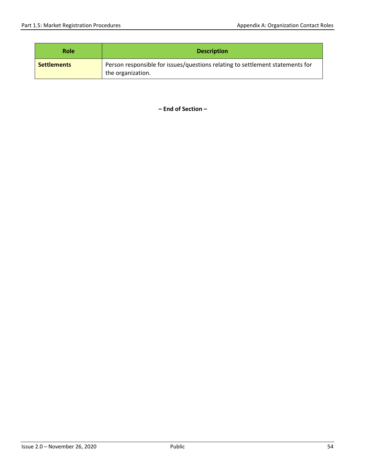| <b>Role</b>        | <b>Description</b>                                                                                 |  |  |  |
|--------------------|----------------------------------------------------------------------------------------------------|--|--|--|
| <b>Settlements</b> | Person responsible for issues/questions relating to settlement statements for<br>the organization. |  |  |  |

**– End of Section –**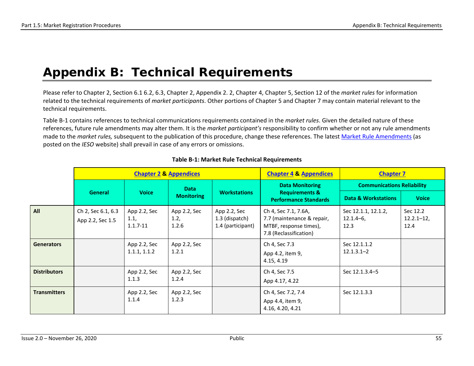# **Appendix B: Technical Requirements**

Please refer to Chapter 2, Section 6.1 6.2, 6.3, Chapter 2, Appendix 2. 2, Chapter 4, Chapter 5, Section 12 of the *market rules* for information related to the technical requirements of *market participants*. Other portions of Chapter 5 and Chapter 7 may contain material relevant to the technical requirements.

Table B-1 contains references to technical communications requirements contained in the *market rules*. Given the detailed nature of these references, future rule amendments may alter them. It is the *market participant's* responsibility to confirm whether or not any rule amendments made to the *market rules,* subsequent to the publication of this procedure, change these references. The latest [Market Rule Amendments](http://www.ieso.ca/en/Sector-Participants/Change-Management/Proposed-Market-Rule-Amendments) (as posted on the *IESO* website) shall prevail in case of any errors or omissions.

|                     | <b>Chapter 2 &amp; Appendices</b>      |                                      |                               | <b>Chapter 4 &amp; Appendices</b>                   | <b>Chapter 7</b>                                                                                       |                                             |                                    |
|---------------------|----------------------------------------|--------------------------------------|-------------------------------|-----------------------------------------------------|--------------------------------------------------------------------------------------------------------|---------------------------------------------|------------------------------------|
|                     |                                        |                                      | <b>Data</b>                   |                                                     | <b>Data Monitoring</b>                                                                                 | <b>Communications Reliability</b>           |                                    |
|                     | General                                | <b>Voice</b>                         | <b>Monitoring</b>             | <b>Workstations</b>                                 | <b>Requirements &amp;</b><br><b>Performance Standards</b>                                              | <b>Data &amp; Workstations</b>              | <b>Voice</b>                       |
| All                 | Ch 2, Sec 6.1, 6.3<br>App 2.2, Sec 1.5 | App 2.2, Sec<br>1.1,<br>$1.1.7 - 11$ | App 2.2, Sec<br>1.2,<br>1.2.6 | App 2.2, Sec<br>1.3 (dispatch)<br>1.4 (participant) | Ch 4, Sec 7.1, 7.6A,<br>7.7 (maintenance & repair,<br>MTBF, response times),<br>7.8 (Reclassification) | Sec 12.1.1, 12.1.2,<br>$12.1.4 - 6$<br>12.3 | Sec 12.2<br>$12.2.1 - 12,$<br>12.4 |
| <b>Generators</b>   |                                        | App 2.2, Sec<br>1.1.1, 1.1.2         | App 2.2, Sec<br>1.2.1         |                                                     | Ch 4, Sec 7.3<br>App 4.2, item 9,<br>4.15, 4.19                                                        | Sec 12.1.1.2<br>$12.1.3.1 - 2$              |                                    |
| <b>Distributors</b> |                                        | App 2.2, Sec<br>1.1.3                | App 2.2, Sec<br>1.2.4         |                                                     | Ch 4, Sec 7.5<br>App 4.17, 4.22                                                                        | Sec 12.1.3.4-5                              |                                    |
| <b>Transmitters</b> |                                        | App 2.2, Sec<br>1.1.4                | App 2.2, Sec<br>1.2.3         |                                                     | Ch 4, Sec 7.2, 7.4<br>App 4.4, item 9,<br>4.16, 4.20, 4.21                                             | Sec 12.1.3.3                                |                                    |

#### **Table B-1: Market Rule Technical Requirements**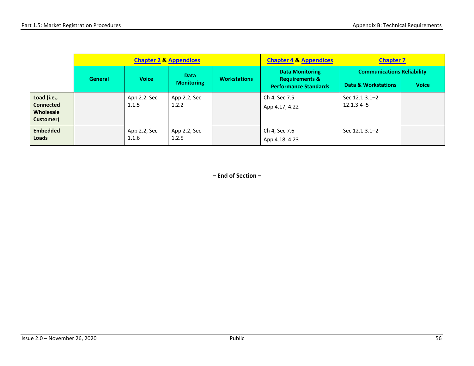|                                                           | <b>Chapter 2 &amp; Appendices</b> |                       |                       |                     | <b>Chapter 4 &amp; Appendices</b>                         | <b>Chapter 7</b>                  |              |
|-----------------------------------------------------------|-----------------------------------|-----------------------|-----------------------|---------------------|-----------------------------------------------------------|-----------------------------------|--------------|
|                                                           |                                   |                       | <b>Data</b>           |                     | <b>Data Monitoring</b>                                    | <b>Communications Reliability</b> |              |
|                                                           | General                           | <b>Voice</b>          | <b>Monitoring</b>     | <b>Workstations</b> | <b>Requirements &amp;</b><br><b>Performance Standards</b> | Data & Workstations               | <b>Voice</b> |
| Load (i.e.,<br><b>Connected</b><br>Wholesale<br>Customer) |                                   | App 2.2, Sec<br>1.1.5 | App 2.2, Sec<br>1.2.2 |                     | Ch 4, Sec 7.5<br>App 4.17, 4.22                           | Sec 12.1.3.1-2<br>$12.1.3.4 - 5$  |              |
| <b>Embedded</b><br>Loads                                  |                                   | App 2.2, Sec<br>1.1.6 | App 2.2, Sec<br>1.2.5 |                     | Ch 4, Sec 7.6<br>App 4.18, 4.23                           | Sec 12.1.3.1-2                    |              |

**– End of Section –**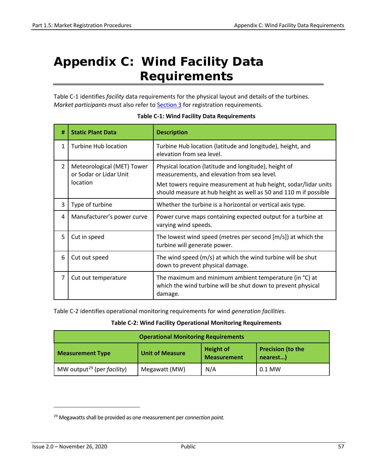# <span id="page-66-0"></span>**Appendix C: Wind Facility Data Requirements**

Table C-1 identifies *facility* data requirements for the physical layout and details of the turbines. *Market participants* must also refer to **Section 3** for registration requirements.

| #                        | <b>Static Plant Data</b>                                         | <b>Description</b>                                                                                                                                                                                                                          |  |  |  |
|--------------------------|------------------------------------------------------------------|---------------------------------------------------------------------------------------------------------------------------------------------------------------------------------------------------------------------------------------------|--|--|--|
| $\mathbf{1}$             | <b>Turbine Hub location</b>                                      | Turbine Hub location (latitude and longitude), height, and<br>elevation from sea level.                                                                                                                                                     |  |  |  |
| $\overline{\phantom{a}}$ | Meteorological (MET) Tower<br>or Sodar or Lidar Unit<br>location | Physical location (latitude and longitude), height of<br>measurements, and elevation from sea level.<br>Met towers require measurement at hub height, sodar/lidar units<br>should measure at hub height as well as 50 and 110 m if possible |  |  |  |
| 3                        | Type of turbine                                                  | Whether the turbine is a horizontal or vertical axis type.                                                                                                                                                                                  |  |  |  |
| 4                        | Manufacturer's power curve                                       | Power curve maps containing expected output for a turbine at<br>varying wind speeds.                                                                                                                                                        |  |  |  |
| 5                        | Cut in speed                                                     | The lowest wind speed (metres per second $[m/s]$ ) at which the<br>turbine will generate power.                                                                                                                                             |  |  |  |
| 6                        | Cut out speed                                                    | The wind speed (m/s) at which the wind turbine will be shut<br>down to prevent physical damage.                                                                                                                                             |  |  |  |
| 7                        | Cut out temperature                                              | The maximum and minimum ambient temperature (in °C) at<br>which the wind turbine will be shut down to prevent physical<br>damage.                                                                                                           |  |  |  |

#### **Table C-1: Wind Facility Data Requirements**

Table C-2 identifies operational monitoring requirements for wind *generation facilities*.

#### **Table C-2: Wind Facility Operational Monitoring Requirements**

| <b>Operational Monitoring Requirements</b>     |                        |                                        |                                      |  |  |  |
|------------------------------------------------|------------------------|----------------------------------------|--------------------------------------|--|--|--|
| <b>Measurement Type</b>                        | <b>Unit of Measure</b> | <b>Height of</b><br><b>Measurement</b> | <b>Precision (to the</b><br>nearest) |  |  |  |
| MW output <sup>29</sup> (per <i>facility</i> ) | Megawatt (MW)          | N/A                                    | $0.1$ MW                             |  |  |  |

<span id="page-66-1"></span><sup>29</sup> Megawatts shall be provided as one measurement per *connection point.*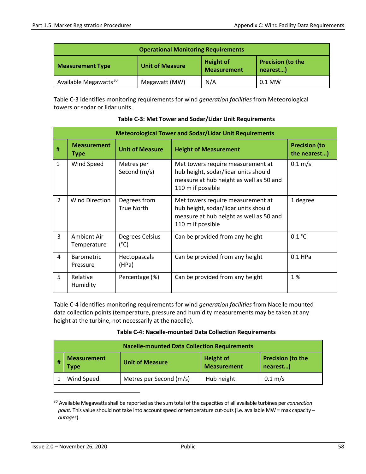| <b>Operational Monitoring Requirements</b> |                        |                                        |                                      |  |  |
|--------------------------------------------|------------------------|----------------------------------------|--------------------------------------|--|--|
| <b>Measurement Type</b>                    | <b>Unit of Measure</b> | <b>Height of</b><br><b>Measurement</b> | <b>Precision (to the</b><br>nearest) |  |  |
| Available Megawatts <sup>30</sup>          | Megawatt (MW)          | N/A                                    | $0.1$ MW                             |  |  |

Table C-3 identifies monitoring requirements for wind *generation facilities* from Meteorological towers or sodar or lidar units.

|                | <b>Meteorological Tower and Sodar/Lidar Unit Requirements</b>                                     |                                   |                                                                                                                                           |                   |  |  |
|----------------|---------------------------------------------------------------------------------------------------|-----------------------------------|-------------------------------------------------------------------------------------------------------------------------------------------|-------------------|--|--|
| #              | <b>Measurement</b><br><b>Unit of Measure</b><br><b>Height of Measurement</b><br>Type              |                                   | <b>Precision (to</b><br>the nearest)                                                                                                      |                   |  |  |
| $\mathbf{1}$   | Wind Speed                                                                                        | Metres per<br>Second (m/s)        | Met towers require measurement at<br>hub height, sodar/lidar units should<br>measure at hub height as well as 50 and<br>110 m if possible | $0.1 \text{ m/s}$ |  |  |
| $\overline{2}$ | <b>Wind Direction</b>                                                                             | Degrees from<br><b>True North</b> | Met towers require measurement at<br>hub height, sodar/lidar units should<br>measure at hub height as well as 50 and<br>110 m if possible | 1 degree          |  |  |
| 3              | Ambient Air<br>Degrees Celsius<br>Can be provided from any height<br>$(^{\circ}C)$<br>Temperature |                                   | 0.1 °C                                                                                                                                    |                   |  |  |
| 4              | Can be provided from any height<br><b>Barometric</b><br>Hectopascals<br>(HPa)<br>Pressure         |                                   | $0.1$ HPa                                                                                                                                 |                   |  |  |
| 5              | Relative<br>Humidity                                                                              | Percentage (%)                    | Can be provided from any height                                                                                                           | 1%                |  |  |

**Table C-3: Met Tower and Sodar/Lidar Unit Requirements**

Table C-4 identifies monitoring requirements for wind *generation facilities* from Nacelle mounted data collection points (temperature, pressure and humidity measurements may be taken at any height at the turbine, not necessarily at the nacelle).

|                                                            | <b>Nacelle-mounted Data Collection Requirements</b> |                                        |                                      |                   |  |  |
|------------------------------------------------------------|-----------------------------------------------------|----------------------------------------|--------------------------------------|-------------------|--|--|
| <b>Measurement</b><br><b>Unit of Measure</b><br>-#<br>Type |                                                     | <b>Height of</b><br><b>Measurement</b> | <b>Precision (to the</b><br>nearest) |                   |  |  |
|                                                            | Wind Speed                                          | Metres per Second (m/s)                | Hub height                           | $0.1 \text{ m/s}$ |  |  |

<span id="page-67-0"></span><sup>30</sup> Available Megawatts shall be reported as the sum total of the capacities of all available turbines per *connection point*. This value should not take into account speed or temperature cut-outs (i.e. available MW = max capacity – *outages*).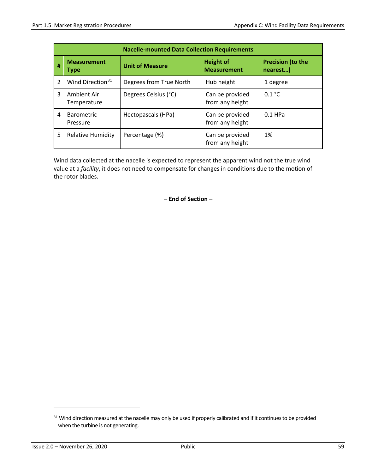|                         | <b>Nacelle-mounted Data Collection Requirements</b> |                         |                                        |                                      |  |  |  |
|-------------------------|-----------------------------------------------------|-------------------------|----------------------------------------|--------------------------------------|--|--|--|
| #                       | <b>Measurement</b><br><b>Type</b>                   | <b>Unit of Measure</b>  | <b>Height of</b><br><b>Measurement</b> | <b>Precision (to the</b><br>nearest) |  |  |  |
| $\overline{\mathbf{c}}$ | Wind Direction <sup>31</sup>                        | Degrees from True North | Hub height                             | 1 degree                             |  |  |  |
| 3                       | Ambient Air<br>Temperature                          | Degrees Celsius (°C)    | Can be provided<br>from any height     | 0.1 °C                               |  |  |  |
| 4                       | <b>Barometric</b><br>Pressure                       | Hectopascals (HPa)      | Can be provided<br>from any height     | $0.1$ HPa                            |  |  |  |
| 5                       | <b>Relative Humidity</b>                            | Percentage (%)          | Can be provided<br>from any height     | 1%                                   |  |  |  |

Wind data collected at the nacelle is expected to represent the apparent wind not the true wind value at a *facility*, it does not need to compensate for changes in conditions due to the motion of the rotor blades.

**– End of Section –** 

<span id="page-68-0"></span><sup>&</sup>lt;sup>31</sup> Wind direction measured at the nacelle may only be used if properly calibrated and if it continues to be provided when the turbine is not generating.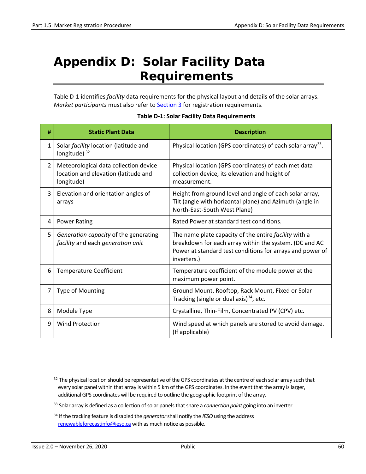# <span id="page-69-0"></span>**Appendix D: Solar Facility Data Requirements**

Table D-1 identifies *facility* data requirements for the physical layout and details of the solar arrays. *Market participants* must also refer to [Section 3](#page-25-0) for registration requirements.

| # | <b>Static Plant Data</b>                                                                    | <b>Description</b>                                                                                                                                                                          |
|---|---------------------------------------------------------------------------------------------|---------------------------------------------------------------------------------------------------------------------------------------------------------------------------------------------|
| 1 | Solar facility location (latitude and<br>longitude) <sup>32</sup>                           | Physical location (GPS coordinates) of each solar array <sup>33</sup> .                                                                                                                     |
| 2 | Meteorological data collection device<br>location and elevation (latitude and<br>longitude) | Physical location (GPS coordinates) of each met data<br>collection device, its elevation and height of<br>measurement.                                                                      |
| 3 | Elevation and orientation angles of<br>arrays                                               | Height from ground level and angle of each solar array,<br>Tilt (angle with horizontal plane) and Azimuth (angle in<br>North-East-South West Plane)                                         |
| 4 | <b>Power Rating</b>                                                                         | Rated Power at standard test conditions.                                                                                                                                                    |
| 5 | Generation capacity of the generating<br>facility and each generation unit                  | The name plate capacity of the entire facility with a<br>breakdown for each array within the system. (DC and AC<br>Power at standard test conditions for arrays and power of<br>inverters.) |
| 6 | <b>Temperature Coefficient</b>                                                              | Temperature coefficient of the module power at the<br>maximum power point.                                                                                                                  |
| 7 | Type of Mounting                                                                            | Ground Mount, Rooftop, Rack Mount, Fixed or Solar<br>Tracking (single or dual axis) $^{34}$ , etc.                                                                                          |
| 8 | Module Type                                                                                 | Crystalline, Thin-Film, Concentrated PV (CPV) etc.                                                                                                                                          |
| 9 | <b>Wind Protection</b>                                                                      | Wind speed at which panels are stored to avoid damage.<br>(If applicable)                                                                                                                   |

#### **Table D-1: Solar Facility Data Requirements**

<span id="page-69-1"></span> $32$  The physical location should be representative of the GPS coordinates at the centre of each solar array such that every solar panel within that array is within 5 km of the GPS coordinates. In the event that the array is larger, additional GPS coordinates will be required to outline the geographic footprint of the array.

<span id="page-69-2"></span><sup>33</sup> Solar array is defined as a collection of solar panels that share a *connection point* going into an inverter.

<span id="page-69-3"></span><sup>34</sup> If the tracking feature is disabled the *generator*shall notify the *IESO* using the address [renewableforecastinfo@ieso.ca](mailto:renewableforecastinfo@ieso.ca) with as much notice as possible.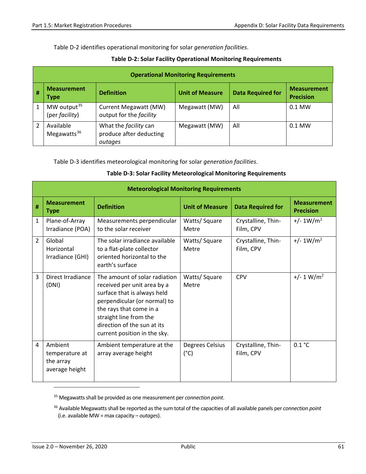Table D-2 identifies operational monitoring for solar *generation facilities*.

|              | <b>Operational Monitoring Requirements</b> |                                                                    |                        |                          |                                        |  |  |
|--------------|--------------------------------------------|--------------------------------------------------------------------|------------------------|--------------------------|----------------------------------------|--|--|
| #            | <b>Measurement</b><br><b>Type</b>          | <b>Definition</b>                                                  | <b>Unit of Measure</b> | <b>Data Required for</b> | <b>Measurement</b><br><b>Precision</b> |  |  |
| $\mathbf{1}$ | MW output <sup>35</sup><br>(per facility)  | Current Megawatt (MW)<br>output for the facility                   | Megawatt (MW)          | All                      | $0.1$ MW                               |  |  |
|              | Available<br>Megawatts $36$                | What the <i>facility</i> can<br>produce after deducting<br>outages | Megawatt (MW)          | All                      | $0.1$ MW                               |  |  |

#### **Table D-2: Solar Facility Operational Monitoring Requirements**

Table D-3 identifies meteorological monitoring for solar *generation facilities*.

#### **Table D-3: Solar Facility Meteorological Monitoring Requirements**

|                | <b>Meteorological Monitoring Requirements</b>            |                                                                                                                                                                                                                                                 |                                  |                                 |                                        |  |  |
|----------------|----------------------------------------------------------|-------------------------------------------------------------------------------------------------------------------------------------------------------------------------------------------------------------------------------------------------|----------------------------------|---------------------------------|----------------------------------------|--|--|
| #              | <b>Measurement</b><br><b>Type</b>                        | <b>Definition</b>                                                                                                                                                                                                                               | <b>Unit of Measure</b>           | <b>Data Required for</b>        | <b>Measurement</b><br><b>Precision</b> |  |  |
| $\mathbf{1}$   | Plane-of-Array<br>Irradiance (POA)                       | Measurements perpendicular<br>to the solar receiver                                                                                                                                                                                             | Watts/Square<br>Metre            | Crystalline, Thin-<br>Film, CPV | $+/- 1W/m2$                            |  |  |
| $\overline{2}$ | Global<br>Horizontal<br>Irradiance (GHI)                 | The solar irradiance available<br>to a flat-plate collector<br>oriented horizontal to the<br>earth's surface                                                                                                                                    | Watts/Square<br>Metre            | Crystalline, Thin-<br>Film, CPV | $+/- 1W/m2$                            |  |  |
| $\overline{3}$ | Direct Irradiance<br>(DNI)                               | The amount of solar radiation<br>received per unit area by a<br>surface that is always held<br>perpendicular (or normal) to<br>the rays that come in a<br>straight line from the<br>direction of the sun at its<br>current position in the sky. | Watts/Square<br>Metre            | <b>CPV</b>                      | $+/- 1 W/m2$                           |  |  |
| 4              | Ambient<br>temperature at<br>the array<br>average height | Ambient temperature at the<br>array average height                                                                                                                                                                                              | Degrees Celsius<br>$(^{\circ}C)$ | Crystalline, Thin-<br>Film, CPV | 0.1 °C                                 |  |  |

<span id="page-70-0"></span><sup>35</sup> Megawatts shall be provided as one measurement per *connection point*.

<span id="page-70-1"></span><sup>36</sup> Available Megawatts shall be reported as the sum total of the capacities of all available panels per *connection point* (i.e. available MW = max capacity – *outages*).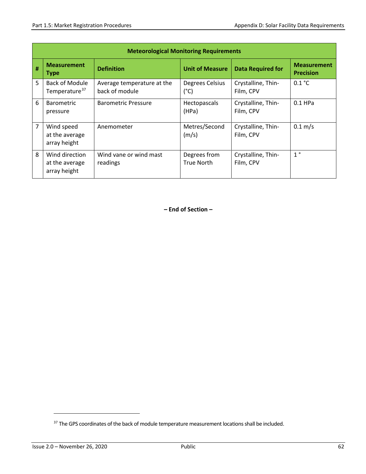|   | <b>Meteorological Monitoring Requirements</b>      |                                              |                                   |                                 |                                        |  |  |
|---|----------------------------------------------------|----------------------------------------------|-----------------------------------|---------------------------------|----------------------------------------|--|--|
| # | <b>Measurement</b><br><b>Type</b>                  | <b>Definition</b>                            | <b>Unit of Measure</b>            | <b>Data Required for</b>        | <b>Measurement</b><br><b>Precision</b> |  |  |
| 5 | <b>Back of Module</b><br>Temperature <sup>37</sup> | Average temperature at the<br>back of module | Degrees Celsius<br>$(^{\circ}C)$  | Crystalline, Thin-<br>Film, CPV | 0.1 °C                                 |  |  |
| 6 | <b>Barometric</b><br>pressure                      | <b>Barometric Pressure</b>                   | Hectopascals<br>(HPa)             | Crystalline, Thin-<br>Film, CPV | $0.1$ HPa                              |  |  |
| 7 | Wind speed<br>at the average<br>array height       | Anemometer                                   | Metres/Second<br>(m/s)            | Crystalline, Thin-<br>Film, CPV | $0.1 \, \text{m/s}$                    |  |  |
| 8 | Wind direction<br>at the average<br>array height   | Wind vane or wind mast<br>readings           | Degrees from<br><b>True North</b> | Crystalline, Thin-<br>Film, CPV | 1 <sup>°</sup>                         |  |  |

**– End of Section –** 

<span id="page-71-0"></span><sup>&</sup>lt;sup>37</sup> The GPS coordinates of the back of module temperature measurement locations shall be included.